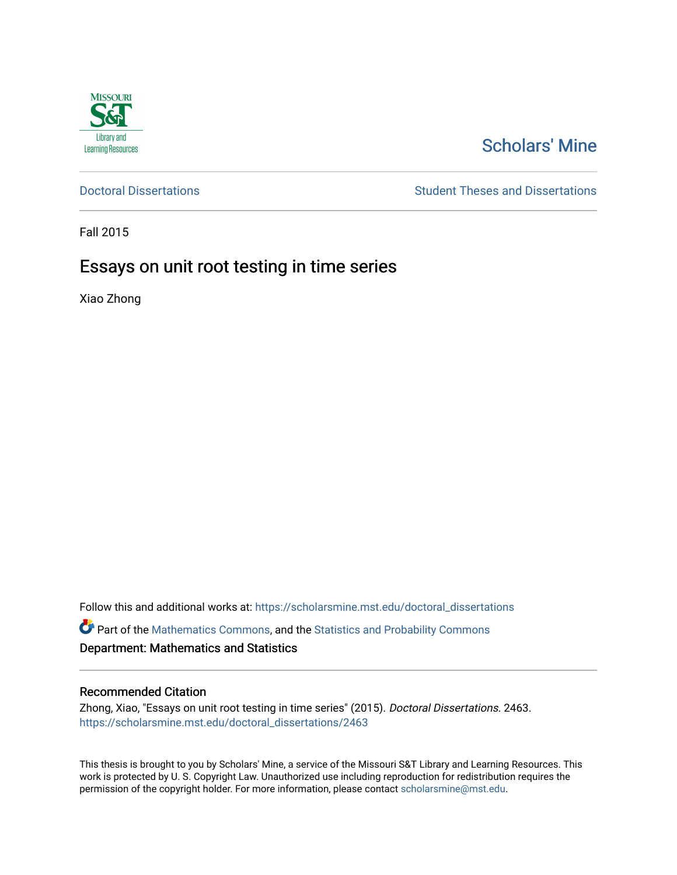

# [Scholars' Mine](https://scholarsmine.mst.edu/)

[Doctoral Dissertations](https://scholarsmine.mst.edu/doctoral_dissertations) **Student Theses and Dissertations** Student Theses and Dissertations

Fall 2015

# Essays on unit root testing in time series

Xiao Zhong

Follow this and additional works at: [https://scholarsmine.mst.edu/doctoral\\_dissertations](https://scholarsmine.mst.edu/doctoral_dissertations?utm_source=scholarsmine.mst.edu%2Fdoctoral_dissertations%2F2463&utm_medium=PDF&utm_campaign=PDFCoverPages)

Part of the [Mathematics Commons](http://network.bepress.com/hgg/discipline/174?utm_source=scholarsmine.mst.edu%2Fdoctoral_dissertations%2F2463&utm_medium=PDF&utm_campaign=PDFCoverPages), and the [Statistics and Probability Commons](http://network.bepress.com/hgg/discipline/208?utm_source=scholarsmine.mst.edu%2Fdoctoral_dissertations%2F2463&utm_medium=PDF&utm_campaign=PDFCoverPages) Department: Mathematics and Statistics

### Recommended Citation

Zhong, Xiao, "Essays on unit root testing in time series" (2015). Doctoral Dissertations. 2463. [https://scholarsmine.mst.edu/doctoral\\_dissertations/2463](https://scholarsmine.mst.edu/doctoral_dissertations/2463?utm_source=scholarsmine.mst.edu%2Fdoctoral_dissertations%2F2463&utm_medium=PDF&utm_campaign=PDFCoverPages)

This thesis is brought to you by Scholars' Mine, a service of the Missouri S&T Library and Learning Resources. This work is protected by U. S. Copyright Law. Unauthorized use including reproduction for redistribution requires the permission of the copyright holder. For more information, please contact [scholarsmine@mst.edu](mailto:scholarsmine@mst.edu).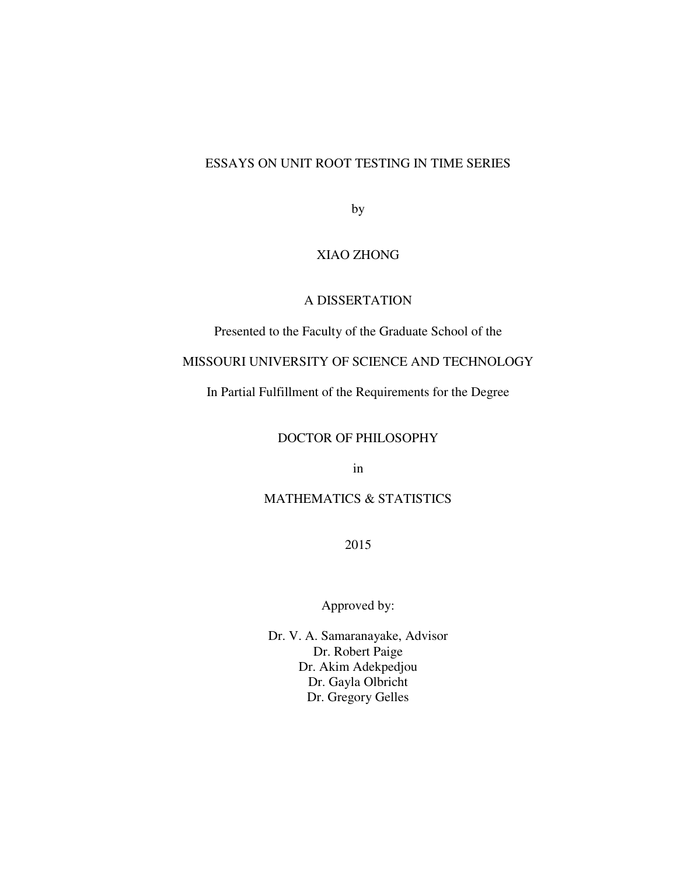## ESSAYS ON UNIT ROOT TESTING IN TIME SERIES

by

# XIAO ZHONG

## A DISSERTATION

Presented to the Faculty of the Graduate School of the

# MISSOURI UNIVERSITY OF SCIENCE AND TECHNOLOGY

In Partial Fulfillment of the Requirements for the Degree

# DOCTOR OF PHILOSOPHY

in

# MATHEMATICS & STATISTICS

2015

# Approved by:

Dr. V. A. Samaranayake, Advisor Dr. Robert Paige Dr. Akim Adekpedjou Dr. Gayla Olbricht Dr. Gregory Gelles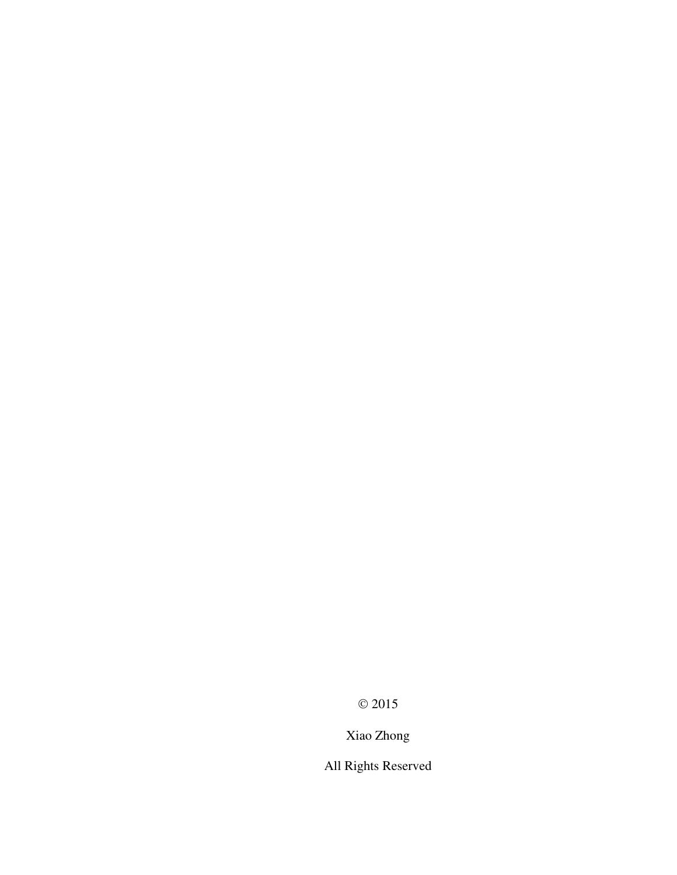$\odot$  2015

Xiao Zhong

All Rights Reserved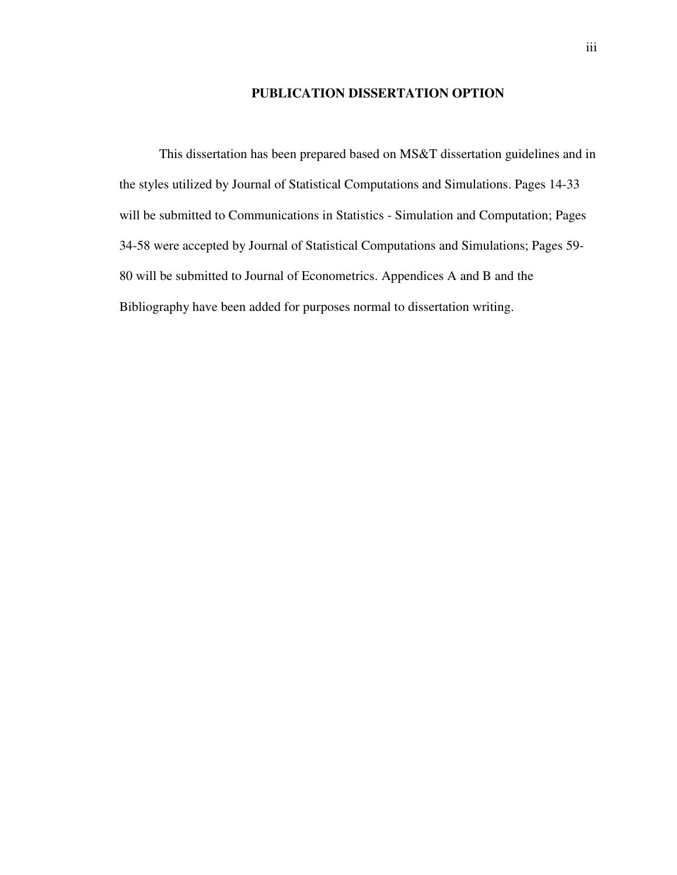### **PUBLICATION DISSERTATION OPTION**

This dissertation has been prepared based on MS&T dissertation guidelines and in the styles utilized by Journal of Statistical Computations and Simulations. Pages 14-33 will be submitted to Communications in Statistics - Simulation and Computation; Pages 34-58 were accepted by Journal of Statistical Computations and Simulations; Pages 59- 80 will be submitted to Journal of Econometrics. Appendices A and B and the Bibliography have been added for purposes normal to dissertation writing.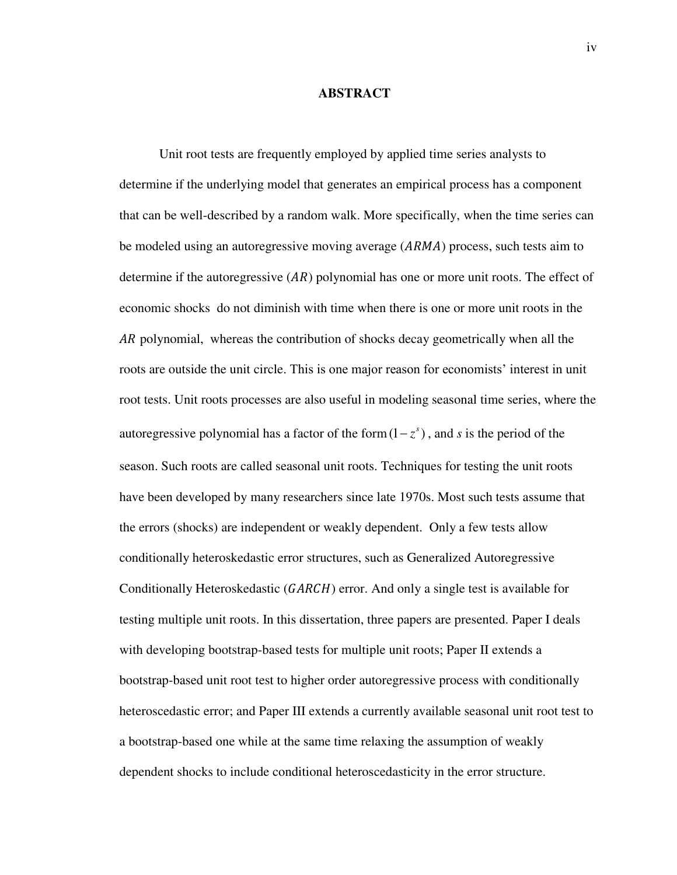#### **ABSTRACT**

Unit root tests are frequently employed by applied time series analysts to determine if the underlying model that generates an empirical process has a component that can be well-described by a random walk. More specifically, when the time series can be modeled using an autoregressive moving average  $(ARMA)$  process, such tests aim to determine if the autoregressive  $(AR)$  polynomial has one or more unit roots. The effect of economic shocks do not diminish with time when there is one or more unit roots in the AR polynomial, whereas the contribution of shocks decay geometrically when all the roots are outside the unit circle. This is one major reason for economists' interest in unit root tests. Unit roots processes are also useful in modeling seasonal time series, where the autoregressive polynomial has a factor of the form  $(1 - z^s)$ , and *s* is the period of the season. Such roots are called seasonal unit roots. Techniques for testing the unit roots have been developed by many researchers since late 1970s. Most such tests assume that the errors (shocks) are independent or weakly dependent. Only a few tests allow conditionally heteroskedastic error structures, such as Generalized Autoregressive Conditionally Heteroskedastic  $(GARCH)$  error. And only a single test is available for testing multiple unit roots. In this dissertation, three papers are presented. Paper I deals with developing bootstrap-based tests for multiple unit roots; Paper II extends a bootstrap-based unit root test to higher order autoregressive process with conditionally heteroscedastic error; and Paper III extends a currently available seasonal unit root test to a bootstrap-based one while at the same time relaxing the assumption of weakly dependent shocks to include conditional heteroscedasticity in the error structure.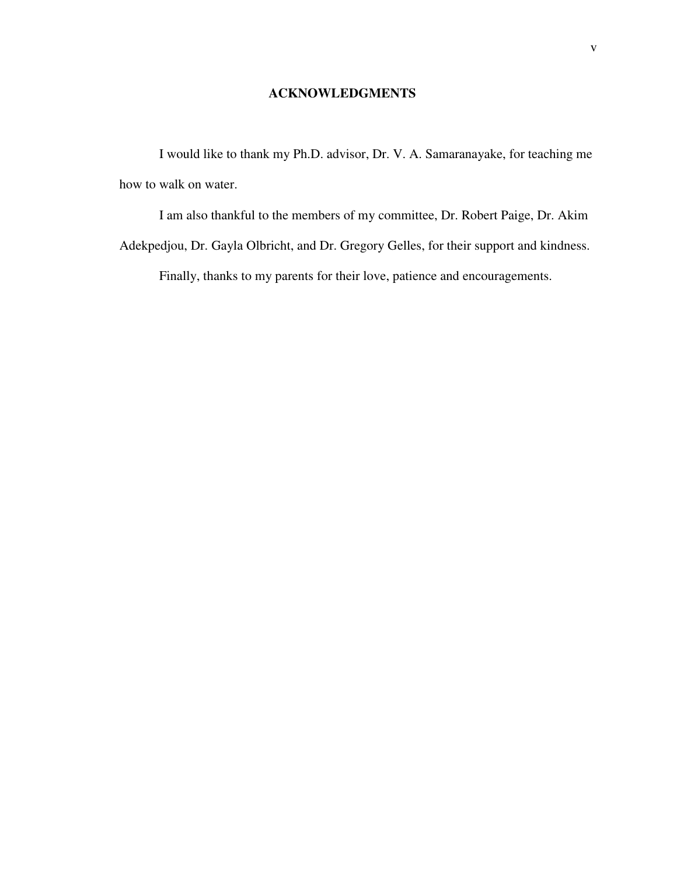# **ACKNOWLEDGMENTS**

I would like to thank my Ph.D. advisor, Dr. V. A. Samaranayake, for teaching me how to walk on water.

I am also thankful to the members of my committee, Dr. Robert Paige, Dr. Akim Adekpedjou, Dr. Gayla Olbricht, and Dr. Gregory Gelles, for their support and kindness. Finally, thanks to my parents for their love, patience and encouragements.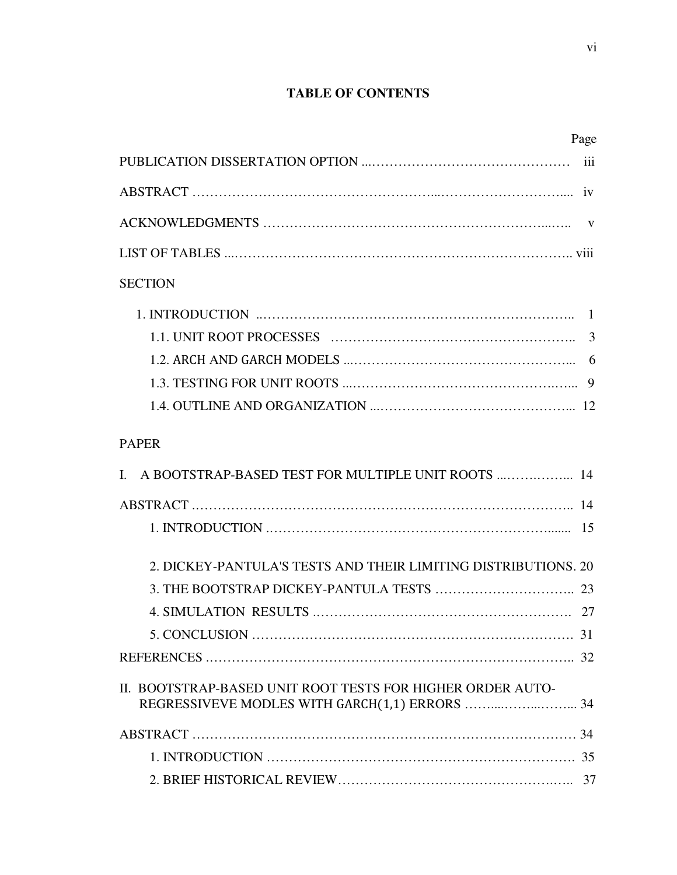# **TABLE OF CONTENTS**

|                                                                | Page |
|----------------------------------------------------------------|------|
|                                                                |      |
|                                                                |      |
|                                                                |      |
|                                                                |      |
| <b>SECTION</b>                                                 |      |
|                                                                |      |
|                                                                | 3    |
|                                                                |      |
|                                                                |      |
|                                                                |      |
| <b>PAPER</b>                                                   |      |
| A BOOTSTRAP-BASED TEST FOR MULTIPLE UNIT ROOTS  14<br>L        |      |
|                                                                |      |
|                                                                |      |
| 2. DICKEY-PANTULA'S TESTS AND THEIR LIMITING DISTRIBUTIONS, 20 |      |
|                                                                | 23   |
|                                                                |      |
|                                                                |      |
|                                                                |      |
| II. BOOTSTRAP-BASED UNIT ROOT TESTS FOR HIGHER ORDER AUTO-     |      |
|                                                                |      |
|                                                                |      |
|                                                                |      |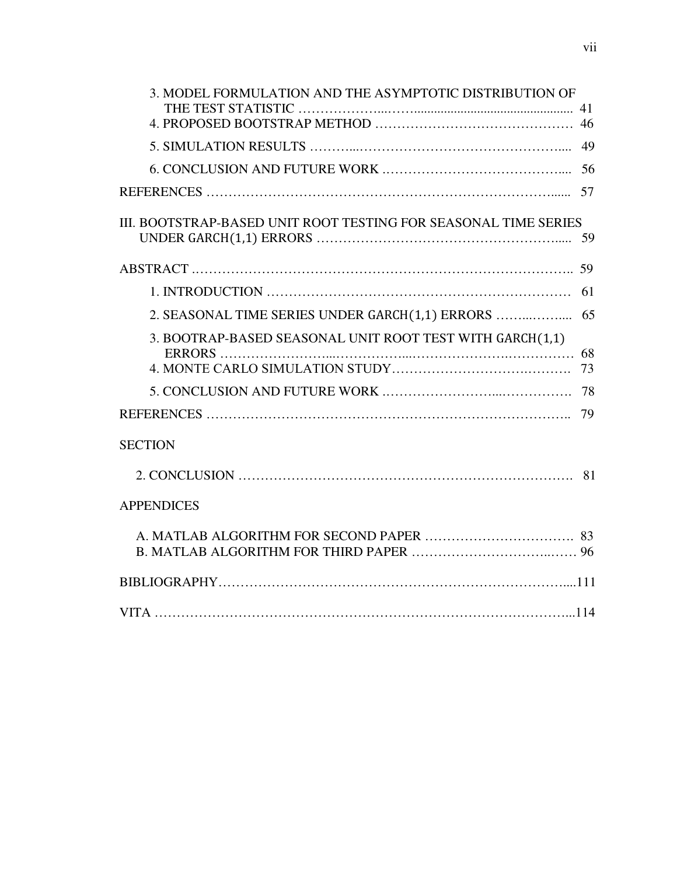| 3. MODEL FORMULATION AND THE ASYMPTOTIC DISTRIBUTION OF<br>41   |
|-----------------------------------------------------------------|
|                                                                 |
|                                                                 |
|                                                                 |
|                                                                 |
| III. BOOTSTRAP-BASED UNIT ROOT TESTING FOR SEASONAL TIME SERIES |
|                                                                 |
| 61                                                              |
|                                                                 |
| 3. BOOTRAP-BASED SEASONAL UNIT ROOT TEST WITH GARCH(1,1)<br>68  |
|                                                                 |
| 78                                                              |
| 79                                                              |
| <b>SECTION</b>                                                  |
|                                                                 |
| <b>APPENDICES</b>                                               |
|                                                                 |
|                                                                 |
|                                                                 |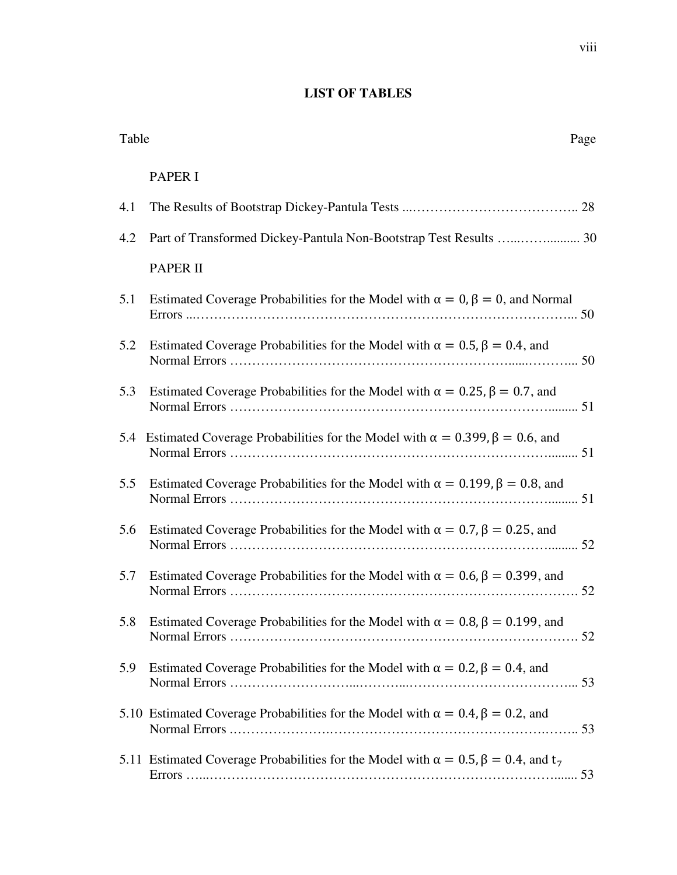# **LIST OF TABLES**

| Table |                                                                                                     |
|-------|-----------------------------------------------------------------------------------------------------|
|       | <b>PAPER I</b>                                                                                      |
| 4.1   |                                                                                                     |
| 4.2   |                                                                                                     |
|       | <b>PAPER II</b>                                                                                     |
| 5.1   | Estimated Coverage Probabilities for the Model with $\alpha = 0$ , $\beta = 0$ , and Normal         |
| 5.2   | Estimated Coverage Probabilities for the Model with $\alpha = 0.5$ , $\beta = 0.4$ , and            |
| 5.3   | Estimated Coverage Probabilities for the Model with $\alpha = 0.25$ , $\beta = 0.7$ , and           |
| 5.4   | Estimated Coverage Probabilities for the Model with $\alpha = 0.399$ , $\beta = 0.6$ , and          |
| 5.5   | Estimated Coverage Probabilities for the Model with $\alpha = 0.199$ , $\beta = 0.8$ , and          |
| 5.6   | Estimated Coverage Probabilities for the Model with $\alpha = 0.7$ , $\beta = 0.25$ , and           |
| 5.7   | Estimated Coverage Probabilities for the Model with $\alpha = 0.6$ , $\beta = 0.399$ , and          |
|       | 5.8 Estimated Coverage Probabilities for the Model with $\alpha = 0.8$ , $\beta = 0.199$ , and      |
| 5.9   | Estimated Coverage Probabilities for the Model with $\alpha = 0.2$ , $\beta = 0.4$ , and            |
|       | 5.10 Estimated Coverage Probabilities for the Model with $\alpha = 0.4$ , $\beta = 0.2$ , and       |
|       | 5.11 Estimated Coverage Probabilities for the Model with $\alpha = 0.5$ , $\beta = 0.4$ , and $t_7$ |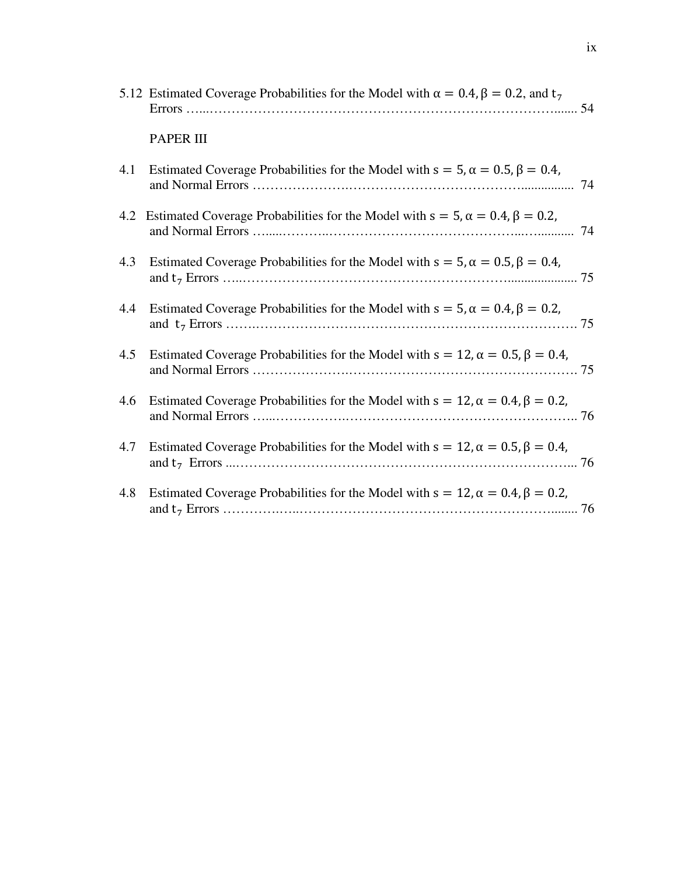|     | 5.12 Estimated Coverage Probabilities for the Model with $\alpha = 0.4$ , $\beta = 0.2$ , and $t_7$ |  |
|-----|-----------------------------------------------------------------------------------------------------|--|
|     | <b>PAPER III</b>                                                                                    |  |
| 4.1 | Estimated Coverage Probabilities for the Model with $s = 5$ , $\alpha = 0.5$ , $\beta = 0.4$ ,      |  |
| 4.2 | Estimated Coverage Probabilities for the Model with $s = 5$ , $\alpha = 0.4$ , $\beta = 0.2$ ,      |  |
| 4.3 | Estimated Coverage Probabilities for the Model with $s = 5$ , $\alpha = 0.5$ , $\beta = 0.4$ ,      |  |
| 4.4 | Estimated Coverage Probabilities for the Model with $s = 5$ , $\alpha = 0.4$ , $\beta = 0.2$ ,      |  |
| 4.5 | Estimated Coverage Probabilities for the Model with $s = 12$ , $\alpha = 0.5$ , $\beta = 0.4$ ,     |  |
| 4.6 | Estimated Coverage Probabilities for the Model with $s = 12$ , $\alpha = 0.4$ , $\beta = 0.2$ ,     |  |
| 4.7 | Estimated Coverage Probabilities for the Model with $s = 12$ , $\alpha = 0.5$ , $\beta = 0.4$ ,     |  |
| 4.8 | Estimated Coverage Probabilities for the Model with $s = 12$ , $\alpha = 0.4$ , $\beta = 0.2$ ,     |  |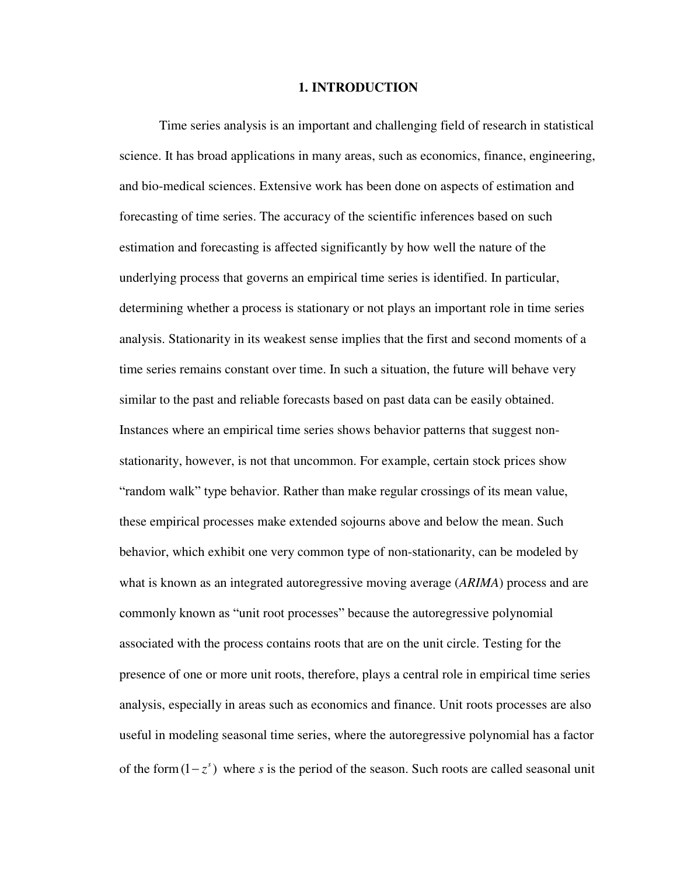### **1. INTRODUCTION**

Time series analysis is an important and challenging field of research in statistical science. It has broad applications in many areas, such as economics, finance, engineering, and bio-medical sciences. Extensive work has been done on aspects of estimation and forecasting of time series. The accuracy of the scientific inferences based on such estimation and forecasting is affected significantly by how well the nature of the underlying process that governs an empirical time series is identified. In particular, determining whether a process is stationary or not plays an important role in time series analysis. Stationarity in its weakest sense implies that the first and second moments of a time series remains constant over time. In such a situation, the future will behave very similar to the past and reliable forecasts based on past data can be easily obtained. Instances where an empirical time series shows behavior patterns that suggest nonstationarity, however, is not that uncommon. For example, certain stock prices show "random walk" type behavior. Rather than make regular crossings of its mean value, these empirical processes make extended sojourns above and below the mean. Such behavior, which exhibit one very common type of non-stationarity, can be modeled by what is known as an integrated autoregressive moving average (*ARIMA*) process and are commonly known as "unit root processes" because the autoregressive polynomial associated with the process contains roots that are on the unit circle. Testing for the presence of one or more unit roots, therefore, plays a central role in empirical time series analysis, especially in areas such as economics and finance. Unit roots processes are also useful in modeling seasonal time series, where the autoregressive polynomial has a factor of the form  $(1 - z^s)$  where *s* is the period of the season. Such roots are called seasonal unit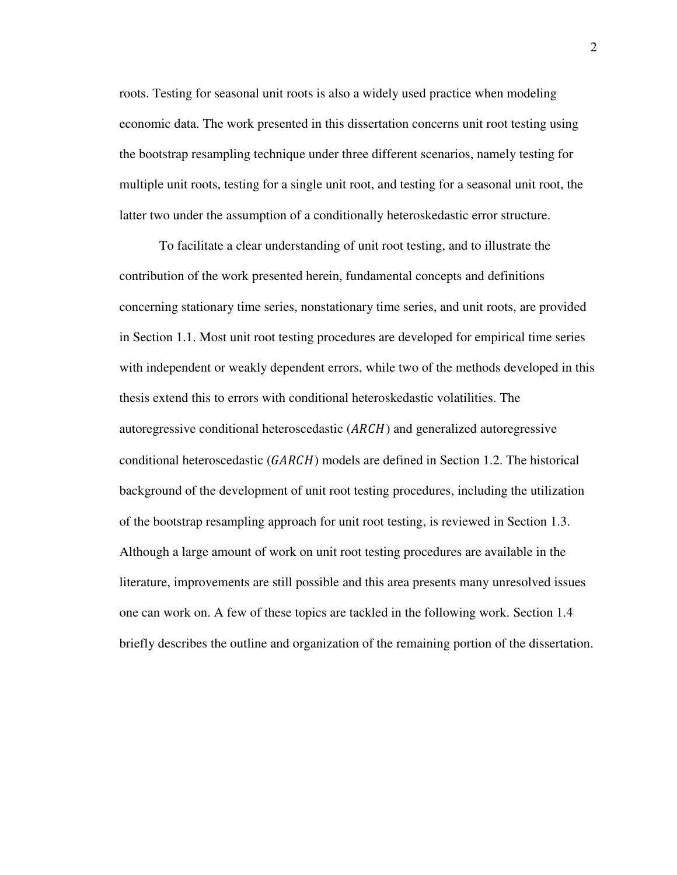roots. Testing for seasonal unit roots is also a widely used practice when modeling economic data. The work presented in this dissertation concerns unit root testing using the bootstrap resampling technique under three different scenarios, namely testing for multiple unit roots, testing for a single unit root, and testing for a seasonal unit root, the latter two under the assumption of a conditionally heteroskedastic error structure.

To facilitate a clear understanding of unit root testing, and to illustrate the contribution of the work presented herein, fundamental concepts and definitions concerning stationary time series, nonstationary time series, and unit roots, are provided in Section 1.1. Most unit root testing procedures are developed for empirical time series with independent or weakly dependent errors, while two of the methods developed in this thesis extend this to errors with conditional heteroskedastic volatilities. The autoregressive conditional heteroscedastic  $(ARCH)$  and generalized autoregressive conditional heteroscedastic  $(GARCH)$  models are defined in Section 1.2. The historical background of the development of unit root testing procedures, including the utilization of the bootstrap resampling approach for unit root testing, is reviewed in Section 1.3. Although a large amount of work on unit root testing procedures are available in the literature, improvements are still possible and this area presents many unresolved issues one can work on. A few of these topics are tackled in the following work. Section 1.4 briefly describes the outline and organization of the remaining portion of the dissertation.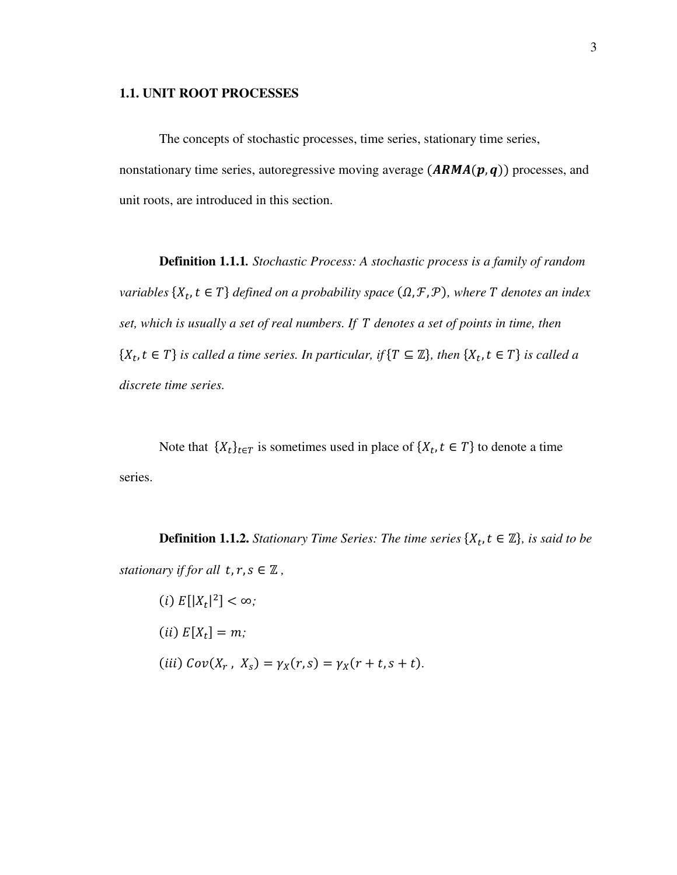### **1.1. UNIT ROOT PROCESSES**

The concepts of stochastic processes, time series, stationary time series, nonstationary time series, autoregressive moving average  $(ARMA(p, q))$  processes, and unit roots, are introduced in this section.

**Definition 1.1.1***. Stochastic Process: A stochastic process is a family of random variables*  $\{X_t, t \in T\}$  defined on a probability space  $(\Omega, \mathcal{F}, \mathcal{P})$ , where  $T$  denotes an index *set, which is usually a set of real numbers. If <i>denotes a set of points in time, then*  $\{X_t, t \in T\}$  is called a time series. In particular, if  $\{T \subseteq \mathbb{Z}\}$ , then  $\{X_t, t \in T\}$  is called a *discrete time series.* 

Note that  $\{X_t\}_{t \in T}$  is sometimes used in place of  $\{X_t, t \in T\}$  to denote a time series.

**Definition 1.1.2.** *Stationary Time Series: The time series*  $\{X_t, t \in \mathbb{Z}\}$ *, is said to be stationary if for all*  $t, r, s \in \mathbb{Z}$ ,

(i) 
$$
E[|X_t|^2] < \infty
$$
;  
\n(ii)  $E[X_t] = m$ ;  
\n(iii)  $Cov(X_r, X_s) = \gamma_X(r, s) = \gamma_X(r + t, s + t)$ .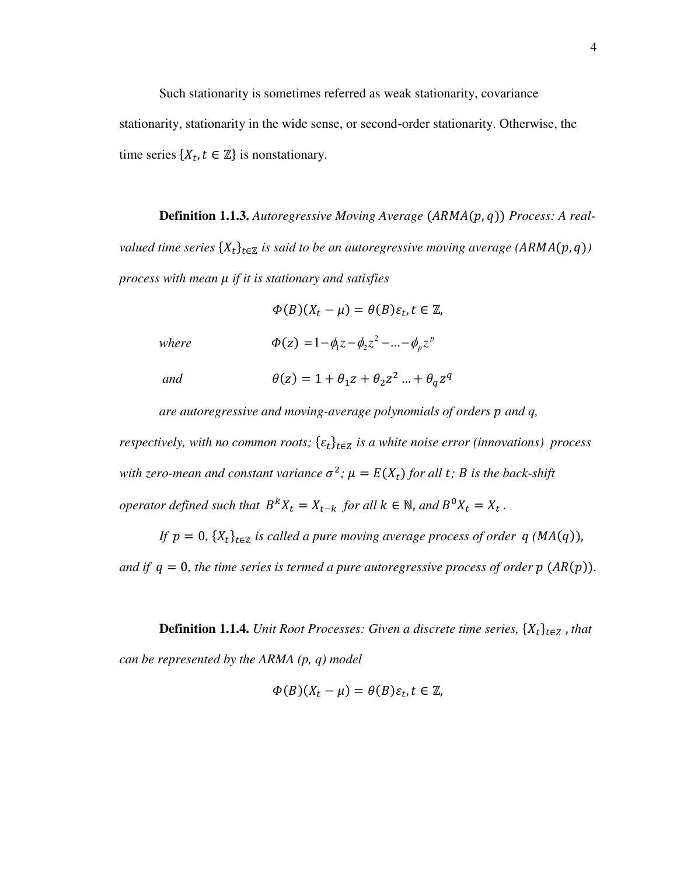Such stationarity is sometimes referred as weak stationarity, covariance stationarity, stationarity in the wide sense, or second-order stationarity. Otherwise, the time series  $\{X_t, t \in \mathbb{Z}\}\$ is nonstationary.

**Definition 1.1.3.** Autoregressive Moving Average (ARMA(p, q)) Process: A real- $\mathit{valued}$  time series  $\{X_t\}_{t\in\mathbb{Z}}$  is said to be an autoregressive moving average  $\mathit{(ARMA}(p,q))$ *process with mean if it is stationary and satisfies* 

 $\Phi(B)(X_t - \mu) = \theta(B)\varepsilon_t, t \in \mathbb{Z}$ 

*where*  $\Phi(z) = 1 - \phi_1 z - \phi_2 z^2 - ... - \phi_p z^p$ 

and  $\theta(z) = 1 + \theta_1 z + \theta_2 z^2 ... + \theta_q z^q$ 

*are autoregressive and moving-average polynomials of orders p and q,* 

*respectively, with no common roots;*  $\{\varepsilon_t\}_{t \in \mathbb{Z}}$  *is a white noise error (innovations) process* with zero-mean and constant variance  $\sigma^2$ ;  $\mu = E(X_t)$  for all t; B is the back-shift *operator defined such that*  $B^{k}X_{t} = X_{t-k}$  *for all*  $k \in \mathbb{N}$ *, and*  $B^{0}X_{t} = X_{t}$ *.* 

*If*  $p = 0$ ,  $\{X_t\}_{t \in \mathbb{Z}}$  is called a pure moving average process of order  $q$  (MA(q)), *and if*  $q = 0$ , the time series is termed a pure autoregressive process of order  $p(AR(p))$ .

**Definition 1.1.4.** *Unit Root Processes: Given a discrete time series,*  $\{X_t\}_{t \in \mathbb{Z}}$ , *that can be represented by the ARMA (p, q) model* 

$$
\Phi(B)(X_t - \mu) = \theta(B)\varepsilon_t, t \in \mathbb{Z},
$$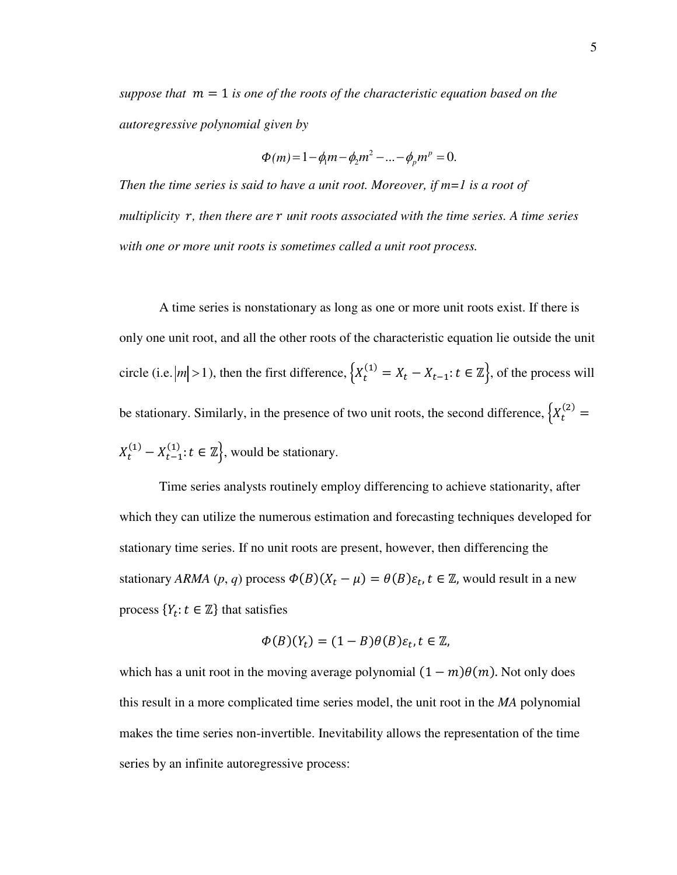*suppose that*  $m = 1$  *is one of the roots of the characteristic equation based on the autoregressive polynomial given by* 

$$
\Phi(m) = 1 - \phi_1 m - \phi_2 m^2 - \dots - \phi_p m^p = 0.
$$

*Then the time series is said to have a unit root. Moreover, if m=1 is a root of multiplicity* r, then there are r unit roots associated with the time series. A time series *with one or more unit roots is sometimes called a unit root process.* 

 A time series is nonstationary as long as one or more unit roots exist. If there is only one unit root, and all the other roots of the characteristic equation lie outside the unit circle (i.e.  $|m| > 1$ ), then the first difference,  $\left\{X_t^{(1)} = X_t - X_{t-1}: t \in \mathbb{Z}\right\}$ , of the process will be stationary. Similarly, in the presence of two unit roots, the second difference,  $\left\{X_t^{(2)}\right\}$  $X_t^{(1)} - X_{t-1}^{(1)}$ :  $t \in \mathbb{Z}$ , would be stationary.

Time series analysts routinely employ differencing to achieve stationarity, after which they can utilize the numerous estimation and forecasting techniques developed for stationary time series. If no unit roots are present, however, then differencing the stationary *ARMA*  $(p, q)$  process  $\Phi(B)(X_t - \mu) = \theta(B)\varepsilon_t$ ,  $t \in \mathbb{Z}$ , would result in a new process  $\{Y_t : t \in \mathbb{Z}\}\$  that satisfies

$$
\Phi(B)(Y_t) = (1 - B)\theta(B)\varepsilon_t, t \in \mathbb{Z},
$$

which has a unit root in the moving average polynomial  $(1 - m)\theta(m)$ . Not only does this result in a more complicated time series model, the unit root in the *MA* polynomial makes the time series non-invertible. Inevitability allows the representation of the time series by an infinite autoregressive process: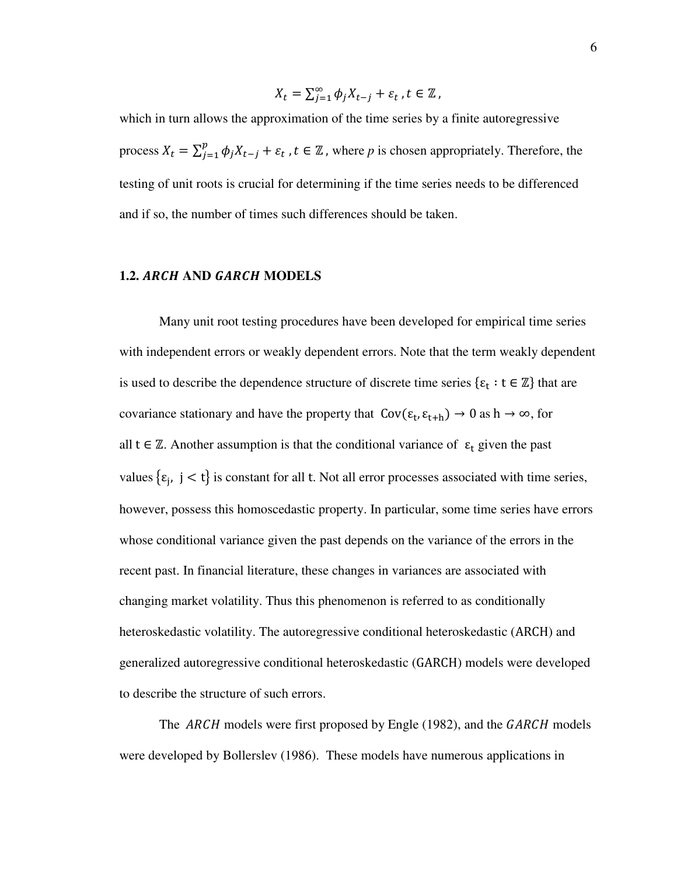$$
X_t = \sum_{j=1}^{\infty} \phi_j X_{t-j} + \varepsilon_t, t \in \mathbb{Z},
$$

which in turn allows the approximation of the time series by a finite autoregressive process  $X_t = \sum_{j=1}^p \phi_j X_{t-j} + \varepsilon_t$ ,  $t \in \mathbb{Z}$ , where p is chosen appropriately. Therefore, the testing of unit roots is crucial for determining if the time series needs to be differenced and if so, the number of times such differences should be taken.

### **1.2. ARCH AND GARCH MODELS**

Many unit root testing procedures have been developed for empirical time series with independent errors or weakly dependent errors. Note that the term weakly dependent is used to describe the dependence structure of discrete time series  $\{\varepsilon_t : t \in \mathbb{Z}\}\$  that are covariance stationary and have the property that  $Cov(\epsilon_t, \epsilon_{t+h}) \to 0$  as  $h \to \infty$ , for all  $t \in \mathbb{Z}$ . Another assumption is that the conditional variance of  $\varepsilon_t$  given the past values  $\{\varepsilon_j, j < t\}$  is constant for all t. Not all error processes associated with time series, however, possess this homoscedastic property. In particular, some time series have errors whose conditional variance given the past depends on the variance of the errors in the recent past. In financial literature, these changes in variances are associated with changing market volatility. Thus this phenomenon is referred to as conditionally heteroskedastic volatility. The autoregressive conditional heteroskedastic (ARCH) and generalized autoregressive conditional heteroskedastic (GARC) models were developed to describe the structure of such errors.

The ARCH models were first proposed by Engle (1982), and the GARCH models were developed by Bollerslev (1986). These models have numerous applications in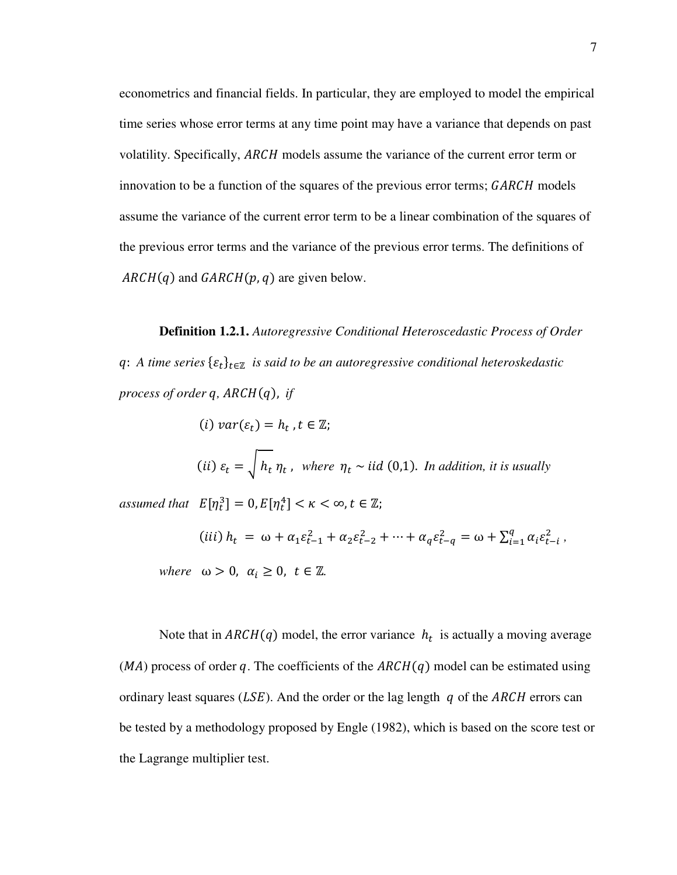econometrics and financial fields. In particular, they are employed to model the empirical time series whose error terms at any time point may have a variance that depends on past volatility. Specifically, ARCH models assume the variance of the current error term or innovation to be a function of the squares of the previous error terms; GARCH models assume the variance of the current error term to be a linear combination of the squares of the previous error terms and the variance of the previous error terms. The definitions of  $ARCH(q)$  and  $GARCH(p, q)$  are given below.

**Definition 1.2.1.** *Autoregressive Conditional Heteroscedastic Process of Order*   $q$ : A time series  $\{\varepsilon_t\}_{t\in\mathbb{Z}}$  is said to be an autoregressive conditional heteroskedastic *process of order q, ARCH(q), if* 

(i) 
$$
var(\varepsilon_t) = h_t
$$
,  $t \in \mathbb{Z}$ ;  
\n(ii)  $\varepsilon_t = \sqrt{h_t \eta_t}$ , where  $\eta_t \sim$  iid (0,1). In addition, it is usually  
\nassumed that  $E[\eta_t^3] = 0, E[\eta_t^4] < \kappa < \infty, t \in \mathbb{Z}$ ;

 $(iii)$   $h_t = \omega + \alpha_1 \varepsilon_{t-1}^2 + \alpha_2 \varepsilon_{t-2}^2 + \cdots + \alpha_q \varepsilon_{t-q}^2 = \omega + \sum_{i=1}^q \alpha_i \varepsilon_{t-i}^2$ , *where*  $\omega > 0$ ,  $\alpha_i \geq 0$ ,  $t \in \mathbb{Z}$ .

Note that in  $ARCH(q)$  model, the error variance  $h_t$  is actually a moving average  $(MA)$  process of order q. The coefficients of the  $ARCH(q)$  model can be estimated using ordinary least squares ( $LSE$ ). And the order or the lag length q of the ARCH errors can be tested by a methodology proposed by Engle (1982), which is based on the score test or the Lagrange multiplier test.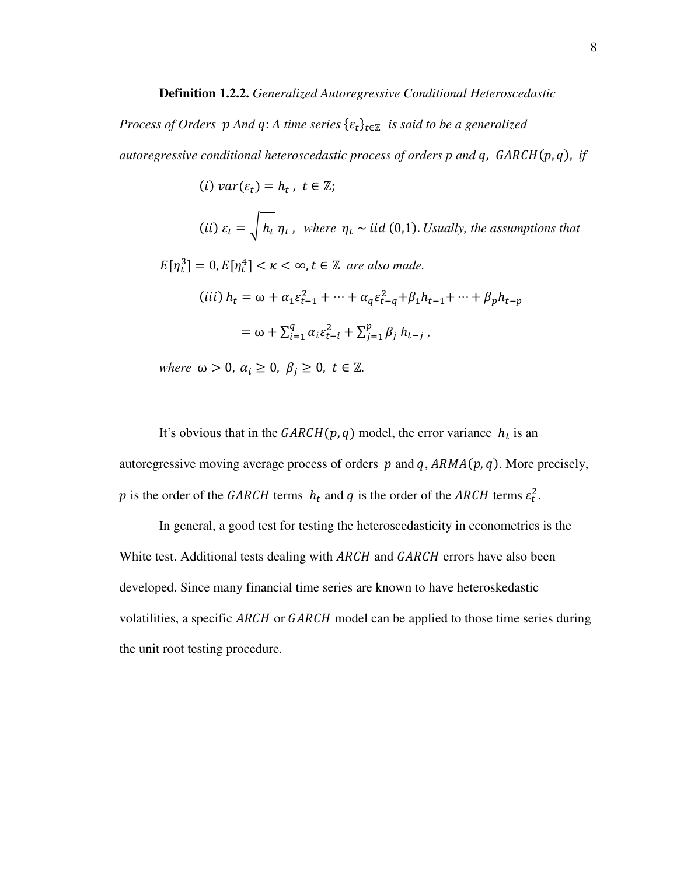#### **Definition 1.2.2.** *Generalized Autoregressive Conditional Heteroscedastic*

*Process of Orders*  $p$  *And q*: *A time series*  $\{\varepsilon_t\}_{t \in \mathbb{Z}}$  is said to be a generalized *autoregressive conditional heteroscedastic process of orders p and q, GARCH(p,q), if* 

 $(i) \; var(\varepsilon_t) = h_t$ ,  $t \in \mathbb{Z}$ ;

(ii) 
$$
\varepsilon_t = \sqrt{h_t} \eta_t
$$
, where  $\eta_t \sim$  iid (0,1). Usually, the assumptions that

 $E[\eta_t^3] = 0, E[\eta_t^4] < \kappa < \infty, t \in \mathbb{Z}$  are also made.

$$
(iii) h_t = \omega + \alpha_1 \varepsilon_{t-1}^2 + \dots + \alpha_q \varepsilon_{t-q}^2 + \beta_1 h_{t-1} + \dots + \beta_p h_{t-p}
$$

$$
= \omega + \sum_{i=1}^q \alpha_i \varepsilon_{t-i}^2 + \sum_{j=1}^p \beta_j h_{t-j},
$$

*where*  $\omega > 0$ ,  $\alpha_i \geq 0$ ,  $\beta_j \geq 0$ ,  $t \in \mathbb{Z}$ .

It's obvious that in the  $GARCH(p, q)$  model, the error variance  $h_t$  is an autoregressive moving average process of orders  $p$  and  $q$ ,  $ARMA(p, q)$ . More precisely, p is the order of the GARCH terms  $h_t$  and q is the order of the ARCH terms  $\varepsilon_t^2$ .

In general, a good test for testing the heteroscedasticity in econometrics is the White test. Additional tests dealing with ARCH and GARCH errors have also been developed. Since many financial time series are known to have heteroskedastic volatilities, a specific ARCH or GARCH model can be applied to those time series during the unit root testing procedure.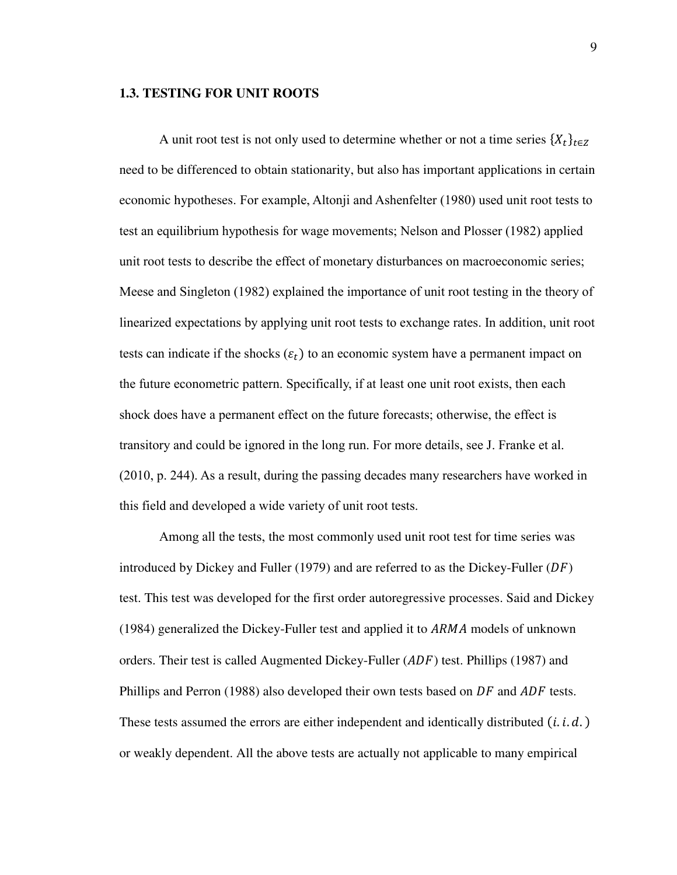### **1.3. TESTING FOR UNIT ROOTS**

A unit root test is not only used to determine whether or not a time series  $\{X_t\}_{t \in \mathbb{Z}}$ need to be differenced to obtain stationarity, but also has important applications in certain economic hypotheses. For example, Altonji and Ashenfelter (1980) used unit root tests to test an equilibrium hypothesis for wage movements; Nelson and Plosser (1982) applied unit root tests to describe the effect of monetary disturbances on macroeconomic series; Meese and Singleton (1982) explained the importance of unit root testing in the theory of linearized expectations by applying unit root tests to exchange rates. In addition, unit root tests can indicate if the shocks  $(\varepsilon_t)$  to an economic system have a permanent impact on the future econometric pattern. Specifically, if at least one unit root exists, then each shock does have a permanent effect on the future forecasts; otherwise, the effect is transitory and could be ignored in the long run. For more details, see J. Franke et al. (2010, p. 244). As a result, during the passing decades many researchers have worked in this field and developed a wide variety of unit root tests.

Among all the tests, the most commonly used unit root test for time series was introduced by Dickey and Fuller (1979) and are referred to as the Dickey-Fuller  $(DF)$ test. This test was developed for the first order autoregressive processes. Said and Dickey (1984) generalized the Dickey-Fuller test and applied it to  $ARMA$  models of unknown orders. Their test is called Augmented Dickey-Fuller  $(ADF)$  test. Phillips (1987) and Phillips and Perron (1988) also developed their own tests based on  $DF$  and  $ADF$  tests. These tests assumed the errors are either independent and identically distributed  $(i. i. d.)$ or weakly dependent. All the above tests are actually not applicable to many empirical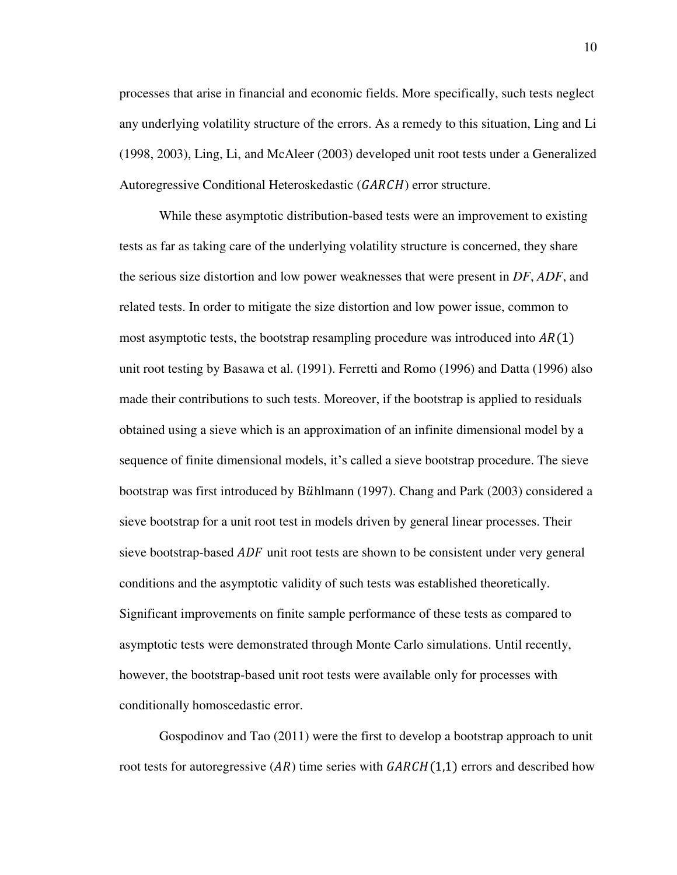processes that arise in financial and economic fields. More specifically, such tests neglect any underlying volatility structure of the errors. As a remedy to this situation, Ling and Li (1998, 2003), Ling, Li, and McAleer (2003) developed unit root tests under a Generalized Autoregressive Conditional Heteroskedastic (GARCH) error structure.

While these asymptotic distribution-based tests were an improvement to existing tests as far as taking care of the underlying volatility structure is concerned, they share the serious size distortion and low power weaknesses that were present in *DF*, *ADF*, and related tests. In order to mitigate the size distortion and low power issue, common to most asymptotic tests, the bootstrap resampling procedure was introduced into  $AR(1)$ unit root testing by Basawa et al. (1991). Ferretti and Romo (1996) and Datta (1996) also made their contributions to such tests. Moreover, if the bootstrap is applied to residuals obtained using a sieve which is an approximation of an infinite dimensional model by a sequence of finite dimensional models, it's called a sieve bootstrap procedure. The sieve bootstrap was first introduced by Bühlmann (1997). Chang and Park (2003) considered a sieve bootstrap for a unit root test in models driven by general linear processes. Their sieve bootstrap-based *ADF* unit root tests are shown to be consistent under very general conditions and the asymptotic validity of such tests was established theoretically. Significant improvements on finite sample performance of these tests as compared to asymptotic tests were demonstrated through Monte Carlo simulations. Until recently, however, the bootstrap-based unit root tests were available only for processes with conditionally homoscedastic error.

Gospodinov and Tao (2011) were the first to develop a bootstrap approach to unit root tests for autoregressive  $(AR)$  time series with  $GARCH(1,1)$  errors and described how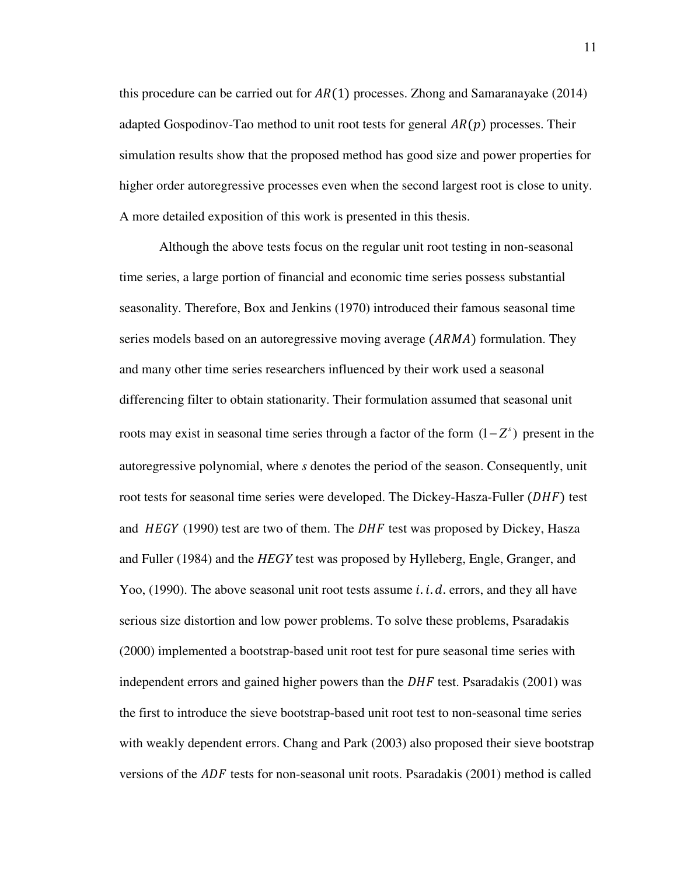this procedure can be carried out for  $AR(1)$  processes. Zhong and Samaranayake (2014) adapted Gospodinov-Tao method to unit root tests for general  $AR(p)$  processes. Their simulation results show that the proposed method has good size and power properties for higher order autoregressive processes even when the second largest root is close to unity. A more detailed exposition of this work is presented in this thesis.

Although the above tests focus on the regular unit root testing in non-seasonal time series, a large portion of financial and economic time series possess substantial seasonality. Therefore, Box and Jenkins (1970) introduced their famous seasonal time series models based on an autoregressive moving average (ARMA) formulation. They and many other time series researchers influenced by their work used a seasonal differencing filter to obtain stationarity. Their formulation assumed that seasonal unit roots may exist in seasonal time series through a factor of the form  $(1 - Z<sup>s</sup>)$  present in the autoregressive polynomial, where *s* denotes the period of the season. Consequently, unit root tests for seasonal time series were developed. The Dickey-Hasza-Fuller (DHF) test and  $HEGY$  (1990) test are two of them. The  $DHF$  test was proposed by Dickey, Hasza and Fuller (1984) and the *HEGY* test was proposed by Hylleberg, Engle, Granger, and Yoo,  $(1990)$ . The above seasonal unit root tests assume *i. i. d.* errors, and they all have serious size distortion and low power problems. To solve these problems, Psaradakis (2000) implemented a bootstrap-based unit root test for pure seasonal time series with independent errors and gained higher powers than the  $DHF$  test. Psaradakis (2001) was the first to introduce the sieve bootstrap-based unit root test to non-seasonal time series with weakly dependent errors. Chang and Park (2003) also proposed their sieve bootstrap versions of the  $ADF$  tests for non-seasonal unit roots. Psaradakis (2001) method is called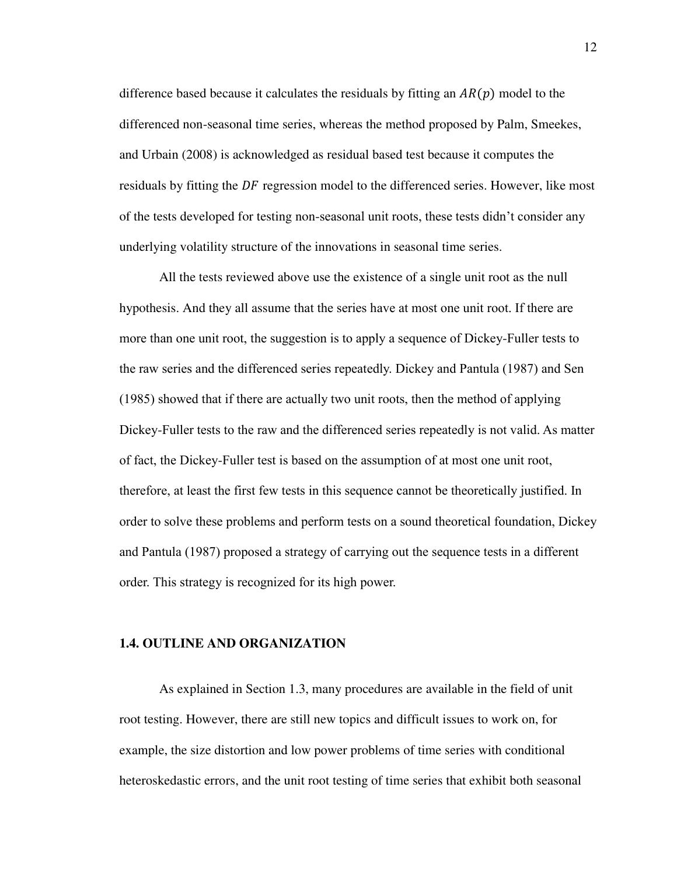difference based because it calculates the residuals by fitting an  $AR(p)$  model to the differenced non-seasonal time series, whereas the method proposed by Palm, Smeekes, and Urbain (2008) is acknowledged as residual based test because it computes the residuals by fitting the DF regression model to the differenced series. However, like most of the tests developed for testing non-seasonal unit roots, these tests didn't consider any underlying volatility structure of the innovations in seasonal time series.

All the tests reviewed above use the existence of a single unit root as the null hypothesis. And they all assume that the series have at most one unit root. If there are more than one unit root, the suggestion is to apply a sequence of Dickey-Fuller tests to the raw series and the differenced series repeatedly. Dickey and Pantula (1987) and Sen (1985) showed that if there are actually two unit roots, then the method of applying Dickey-Fuller tests to the raw and the differenced series repeatedly is not valid. As matter of fact, the Dickey-Fuller test is based on the assumption of at most one unit root, therefore, at least the first few tests in this sequence cannot be theoretically justified. In order to solve these problems and perform tests on a sound theoretical foundation, Dickey and Pantula (1987) proposed a strategy of carrying out the sequence tests in a different order. This strategy is recognized for its high power.

### **1.4. OUTLINE AND ORGANIZATION**

As explained in Section 1.3, many procedures are available in the field of unit root testing. However, there are still new topics and difficult issues to work on, for example, the size distortion and low power problems of time series with conditional heteroskedastic errors, and the unit root testing of time series that exhibit both seasonal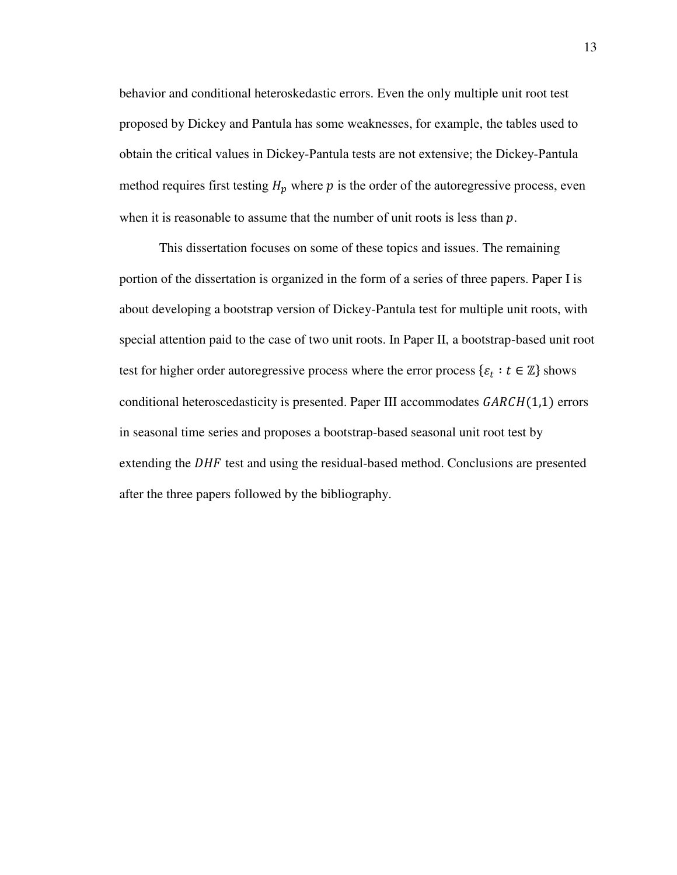behavior and conditional heteroskedastic errors. Even the only multiple unit root test proposed by Dickey and Pantula has some weaknesses, for example, the tables used to obtain the critical values in Dickey-Pantula tests are not extensive; the Dickey-Pantula method requires first testing  $H_p$  where  $p$  is the order of the autoregressive process, even when it is reasonable to assume that the number of unit roots is less than  $p$ .

This dissertation focuses on some of these topics and issues. The remaining portion of the dissertation is organized in the form of a series of three papers. Paper I is about developing a bootstrap version of Dickey-Pantula test for multiple unit roots, with special attention paid to the case of two unit roots. In Paper II, a bootstrap-based unit root test for higher order autoregressive process where the error process  $\{\varepsilon_t : t \in \mathbb{Z}\}$  shows conditional heteroscedasticity is presented. Paper III accommodates  $GARCH(1,1)$  errors in seasonal time series and proposes a bootstrap-based seasonal unit root test by extending the  $DHF$  test and using the residual-based method. Conclusions are presented after the three papers followed by the bibliography.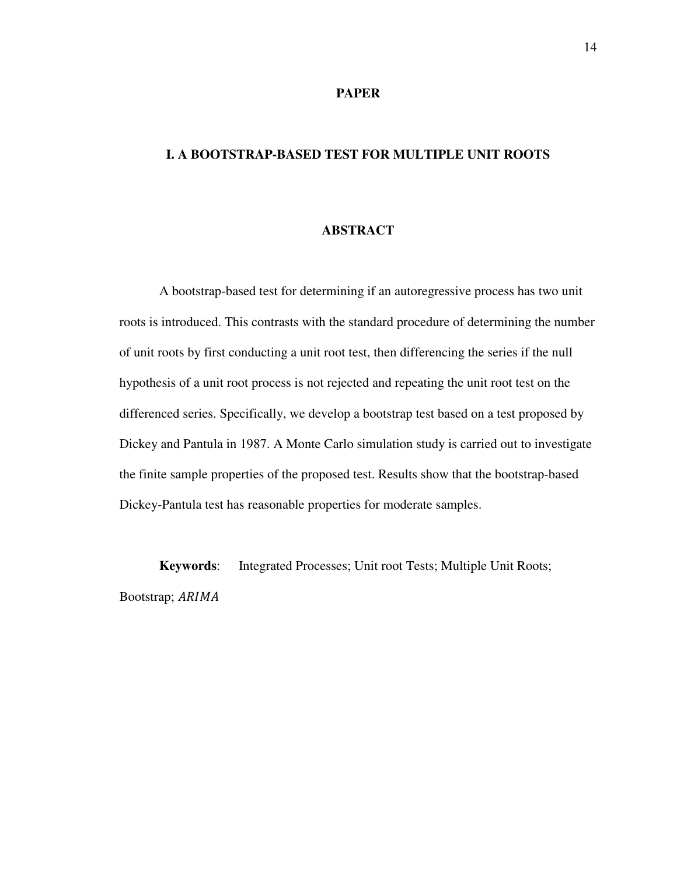### **PAPER**

### **I. A BOOTSTRAP-BASED TEST FOR MULTIPLE UNIT ROOTS**

### **ABSTRACT**

A bootstrap-based test for determining if an autoregressive process has two unit roots is introduced. This contrasts with the standard procedure of determining the number of unit roots by first conducting a unit root test, then differencing the series if the null hypothesis of a unit root process is not rejected and repeating the unit root test on the differenced series. Specifically, we develop a bootstrap test based on a test proposed by Dickey and Pantula in 1987. A Monte Carlo simulation study is carried out to investigate the finite sample properties of the proposed test. Results show that the bootstrap-based Dickey-Pantula test has reasonable properties for moderate samples.

**Keywords**: Integrated Processes; Unit root Tests; Multiple Unit Roots; Bootstrap; ARIMA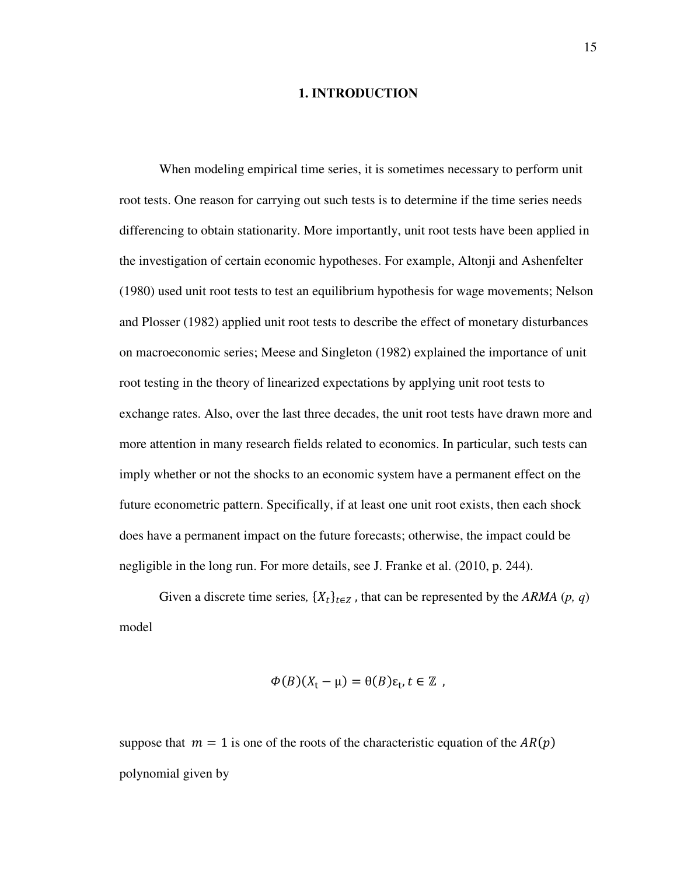### **1. INTRODUCTION**

When modeling empirical time series, it is sometimes necessary to perform unit root tests. One reason for carrying out such tests is to determine if the time series needs differencing to obtain stationarity. More importantly, unit root tests have been applied in the investigation of certain economic hypotheses. For example, Altonji and Ashenfelter (1980) used unit root tests to test an equilibrium hypothesis for wage movements; Nelson and Plosser (1982) applied unit root tests to describe the effect of monetary disturbances on macroeconomic series; Meese and Singleton (1982) explained the importance of unit root testing in the theory of linearized expectations by applying unit root tests to exchange rates. Also, over the last three decades, the unit root tests have drawn more and more attention in many research fields related to economics. In particular, such tests can imply whether or not the shocks to an economic system have a permanent effect on the future econometric pattern. Specifically, if at least one unit root exists, then each shock does have a permanent impact on the future forecasts; otherwise, the impact could be negligible in the long run. For more details, see J. Franke et al. (2010, p. 244).

Given a discrete time series,  $\{X_t\}_{t \in \mathbb{Z}}$ , that can be represented by the *ARMA*  $(p, q)$ model

$$
\Phi(B)(X_{t}-\mu)=\theta(B)\varepsilon_{t}, t\in\mathbb{Z},
$$

suppose that  $m = 1$  is one of the roots of the characteristic equation of the  $AR(p)$ polynomial given by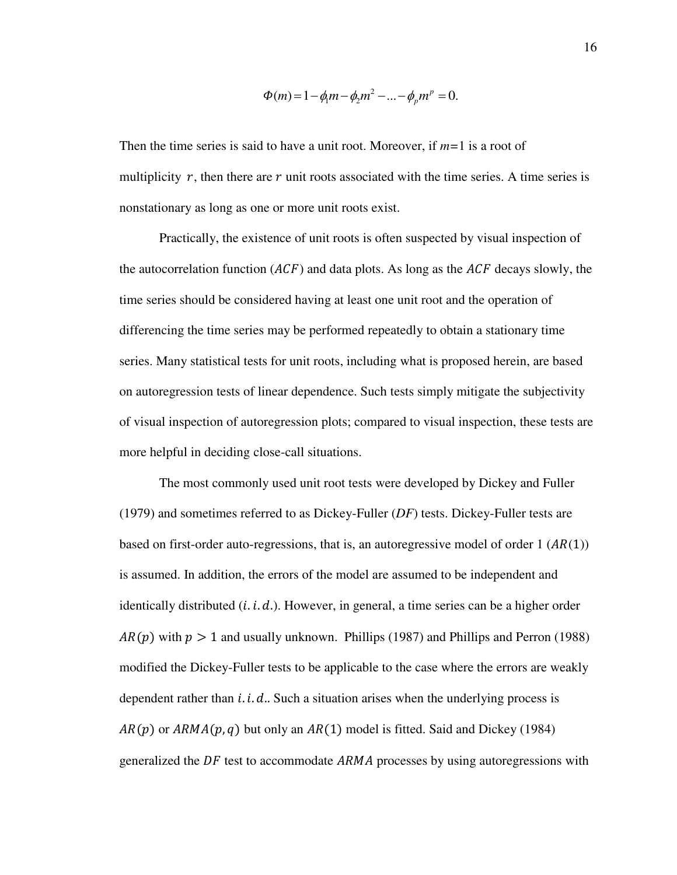$$
\Phi(m) = 1 - \phi_1 m - \phi_2 m^2 - \dots - \phi_p m^p = 0.
$$

Then the time series is said to have a unit root. Moreover, if *m=*1 is a root of multiplicity  $r$ , then there are  $r$  unit roots associated with the time series. A time series is nonstationary as long as one or more unit roots exist.

Practically, the existence of unit roots is often suspected by visual inspection of the autocorrelation function  $(ACF)$  and data plots. As long as the  $ACF$  decays slowly, the time series should be considered having at least one unit root and the operation of differencing the time series may be performed repeatedly to obtain a stationary time series. Many statistical tests for unit roots, including what is proposed herein, are based on autoregression tests of linear dependence. Such tests simply mitigate the subjectivity of visual inspection of autoregression plots; compared to visual inspection, these tests are more helpful in deciding close-call situations.

The most commonly used unit root tests were developed by Dickey and Fuller (1979) and sometimes referred to as Dickey-Fuller (*DF*) tests. Dickey-Fuller tests are based on first-order auto-regressions, that is, an autoregressive model of order  $1 (AR(1))$ is assumed. In addition, the errors of the model are assumed to be independent and identically distributed  $(i.i.d.)$ . However, in general, a time series can be a higher order  $AR(p)$  with  $p > 1$  and usually unknown. Phillips (1987) and Phillips and Perron (1988) modified the Dickey-Fuller tests to be applicable to the case where the errors are weakly dependent rather than  $i$ .  $i$ .  $d$ .. Such a situation arises when the underlying process is  $AR(p)$  or  $ARMA(p, q)$  but only an  $AR(1)$  model is fitted. Said and Dickey (1984) generalized the  $DF$  test to accommodate ARMA processes by using autoregressions with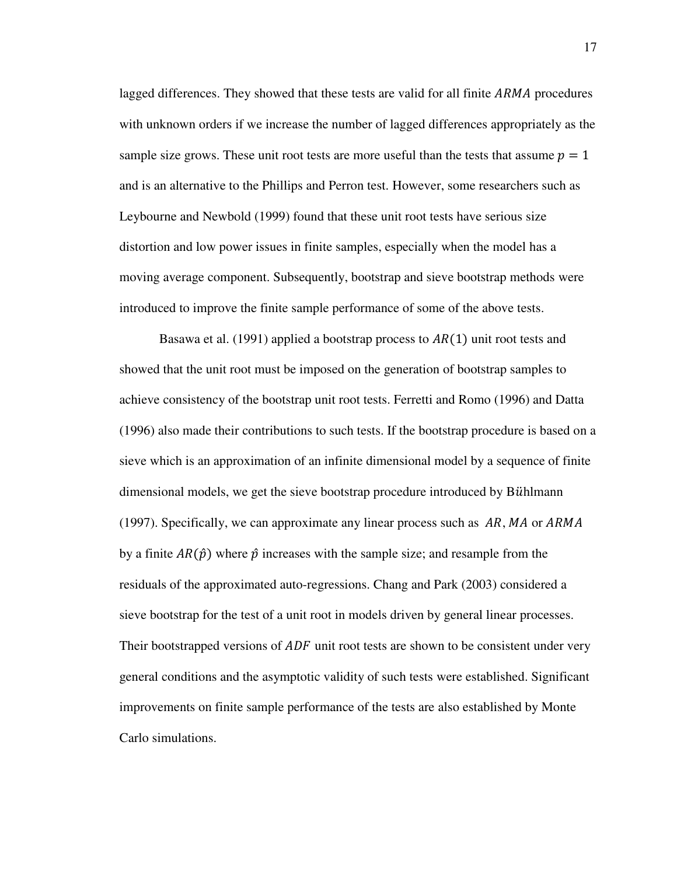lagged differences. They showed that these tests are valid for all finite ARMA procedures with unknown orders if we increase the number of lagged differences appropriately as the sample size grows. These unit root tests are more useful than the tests that assume  $p = 1$ and is an alternative to the Phillips and Perron test. However, some researchers such as Leybourne and Newbold (1999) found that these unit root tests have serious size distortion and low power issues in finite samples, especially when the model has a moving average component. Subsequently, bootstrap and sieve bootstrap methods were introduced to improve the finite sample performance of some of the above tests.

Basawa et al. (1991) applied a bootstrap process to  $AR(1)$  unit root tests and showed that the unit root must be imposed on the generation of bootstrap samples to achieve consistency of the bootstrap unit root tests. Ferretti and Romo (1996) and Datta (1996) also made their contributions to such tests. If the bootstrap procedure is based on a sieve which is an approximation of an infinite dimensional model by a sequence of finite dimensional models, we get the sieve bootstrap procedure introduced by Bühlmann (1997). Specifically, we can approximate any linear process such as  $AR, MA$  or  $ARMA$ by a finite  $AR(\hat{p})$  where  $\hat{p}$  increases with the sample size; and resample from the residuals of the approximated auto-regressions. Chang and Park (2003) considered a sieve bootstrap for the test of a unit root in models driven by general linear processes. Their bootstrapped versions of  $ADF$  unit root tests are shown to be consistent under very general conditions and the asymptotic validity of such tests were established. Significant improvements on finite sample performance of the tests are also established by Monte Carlo simulations.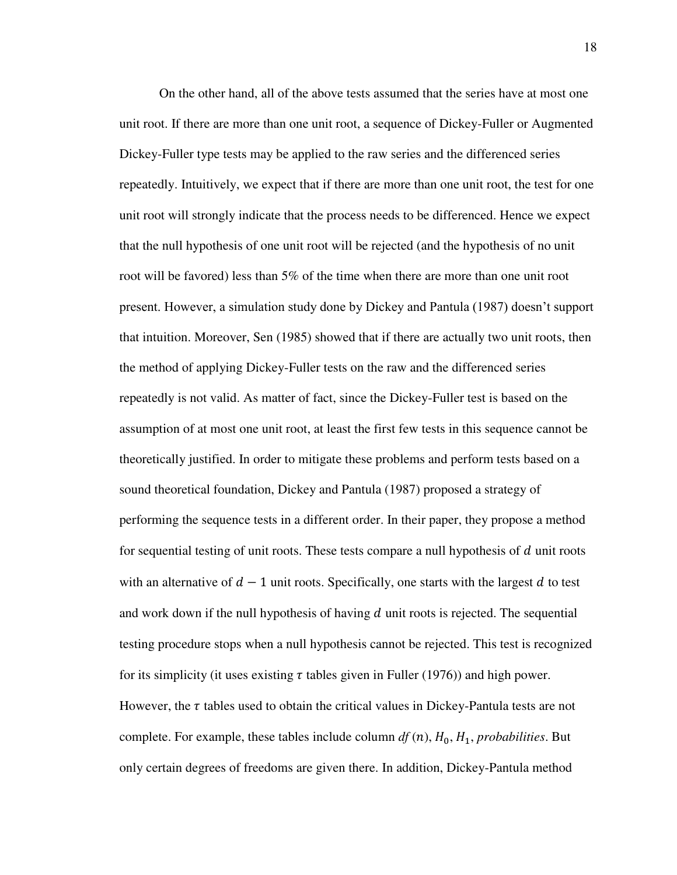On the other hand, all of the above tests assumed that the series have at most one unit root. If there are more than one unit root, a sequence of Dickey-Fuller or Augmented Dickey-Fuller type tests may be applied to the raw series and the differenced series repeatedly. Intuitively, we expect that if there are more than one unit root, the test for one unit root will strongly indicate that the process needs to be differenced. Hence we expect that the null hypothesis of one unit root will be rejected (and the hypothesis of no unit root will be favored) less than 5% of the time when there are more than one unit root present. However, a simulation study done by Dickey and Pantula (1987) doesn't support that intuition. Moreover, Sen (1985) showed that if there are actually two unit roots, then the method of applying Dickey-Fuller tests on the raw and the differenced series repeatedly is not valid. As matter of fact, since the Dickey-Fuller test is based on the assumption of at most one unit root, at least the first few tests in this sequence cannot be theoretically justified. In order to mitigate these problems and perform tests based on a sound theoretical foundation, Dickey and Pantula (1987) proposed a strategy of performing the sequence tests in a different order. In their paper, they propose a method for sequential testing of unit roots. These tests compare a null hypothesis of  $d$  unit roots with an alternative of  $d - 1$  unit roots. Specifically, one starts with the largest d to test and work down if the null hypothesis of having  $d$  unit roots is rejected. The sequential testing procedure stops when a null hypothesis cannot be rejected. This test is recognized for its simplicity (it uses existing  $\tau$  tables given in Fuller (1976)) and high power. However, the  $\tau$  tables used to obtain the critical values in Dickey-Pantula tests are not complete. For example, these tables include column  $df(n)$ ,  $H_0$ ,  $H_1$ , *probabilities*. But only certain degrees of freedoms are given there. In addition, Dickey-Pantula method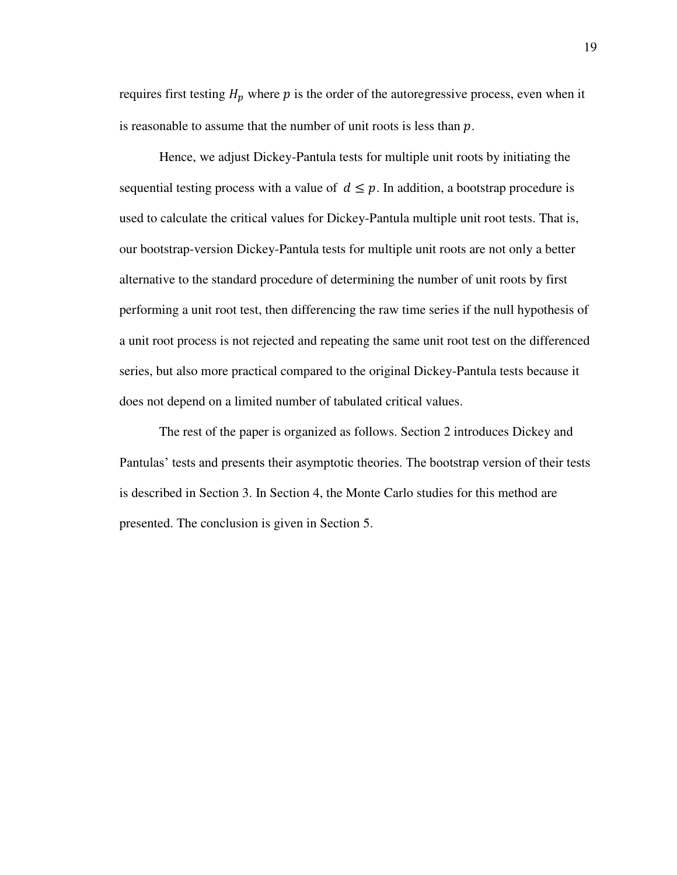requires first testing  $H_p$  where  $p$  is the order of the autoregressive process, even when it is reasonable to assume that the number of unit roots is less than  $p$ .

Hence, we adjust Dickey-Pantula tests for multiple unit roots by initiating the sequential testing process with a value of  $d \leq p$ . In addition, a bootstrap procedure is used to calculate the critical values for Dickey-Pantula multiple unit root tests. That is, our bootstrap-version Dickey-Pantula tests for multiple unit roots are not only a better alternative to the standard procedure of determining the number of unit roots by first performing a unit root test, then differencing the raw time series if the null hypothesis of a unit root process is not rejected and repeating the same unit root test on the differenced series, but also more practical compared to the original Dickey-Pantula tests because it does not depend on a limited number of tabulated critical values.

The rest of the paper is organized as follows. Section 2 introduces Dickey and Pantulas' tests and presents their asymptotic theories. The bootstrap version of their tests is described in Section 3. In Section 4, the Monte Carlo studies for this method are presented. The conclusion is given in Section 5.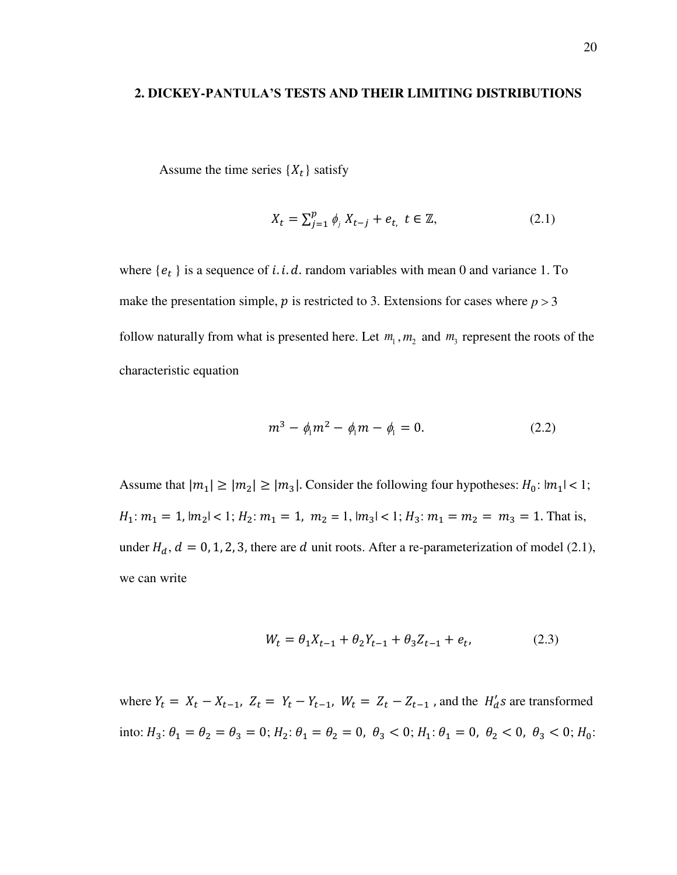#### **2. DICKEY-PANTULA'S TESTS AND THEIR LIMITING DISTRIBUTIONS**

Assume the time series  $\{X_t\}$  satisfy

$$
X_t = \sum_{j=1}^p \phi_j X_{t-j} + e_t, \ t \in \mathbb{Z}, \tag{2.1}
$$

where  $\{e_t\}$  is a sequence of *i. i. d.* random variables with mean 0 and variance 1. To make the presentation simple,  $p$  is restricted to 3. Extensions for cases where  $p > 3$ follow naturally from what is presented here. Let  $m_1$ ,  $m_2$  and  $m_3$  represent the roots of the characteristic equation

$$
m^3 - \phi_1 m^2 - \phi_1 m - \phi_1 = 0. \tag{2.2}
$$

Assume that  $|m_1| \ge |m_2| \ge |m_3|$ . Consider the following four hypotheses:  $H_0: |m_1| < 1$ ;  $H_1: m_1 = 1, |m_2| < 1; H_2: m_1 = 1, m_2 = 1, |m_3| < 1; H_3: m_1 = m_2 = m_3 = 1.$  That is, under  $H_d$ ,  $d = 0, 1, 2, 3$ , there are d unit roots. After a re-parameterization of model (2.1), we can write

$$
W_t = \theta_1 X_{t-1} + \theta_2 Y_{t-1} + \theta_3 Z_{t-1} + e_t, \tag{2.3}
$$

where  $Y_t = X_t - X_{t-1}$ ,  $Z_t = Y_t - Y_{t-1}$ ,  $W_t = Z_t - Z_{t-1}$ , and the  $H'_d s$  are transformed into:  $H_3: \theta_1 = \theta_2 = \theta_3 = 0; H_2: \theta_1 = \theta_2 = 0, \theta_3 < 0; H_1: \theta_1 = 0, \theta_2 < 0, \theta_3 < 0; H_0:$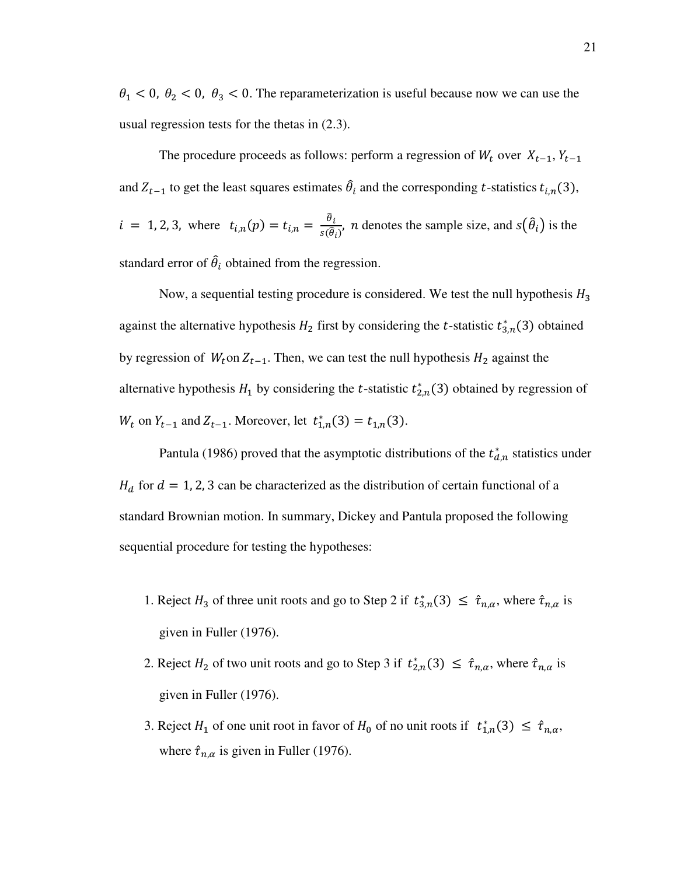$\theta_1$  < 0,  $\theta_2$  < 0,  $\theta_3$  < 0. The reparameterization is useful because now we can use the usual regression tests for the thetas in (2.3).

The procedure proceeds as follows: perform a regression of  $W_t$  over  $X_{t-1}$ ,  $Y_{t-1}$ and  $Z_{t-1}$  to get the least squares estimates  $\hat{\theta}_i$  and the corresponding t-statistics  $t_{i,n}(3)$ ,  $i = 1, 2, 3$ , where  $t_{i,n}(p) = t_{i,n} = \frac{\hat{\theta}_i}{s(\hat{\theta})}$  $\frac{\partial_i}{\partial s(\hat{\theta}_i)}$ , *n* denotes the sample size, and  $s(\hat{\theta}_i)$  is the standard error of  $\hat{\theta}_i$  obtained from the regression.

Now, a sequential testing procedure is considered. We test the null hypothesis  $H_3$ against the alternative hypothesis  $H_2$  first by considering the *t*-statistic  $t_{3,n}^*(3)$  obtained by regression of  $W_t$  on  $Z_{t-1}$ . Then, we can test the null hypothesis  $H_2$  against the alternative hypothesis  $H_1$  by considering the *t*-statistic  $t_{2,n}^*(3)$  obtained by regression of  $W_t$  on  $Y_{t-1}$  and  $Z_{t-1}$ . Moreover, let  $t_{1,n}^*(3) = t_{1,n}(3)$ .

Pantula (1986) proved that the asymptotic distributions of the  $t_{d,n}^*$  statistics under  $H_d$  for  $d = 1, 2, 3$  can be characterized as the distribution of certain functional of a standard Brownian motion. In summary, Dickey and Pantula proposed the following sequential procedure for testing the hypotheses:

- 1. Reject  $H_3$  of three unit roots and go to Step 2 if  $t_{3,n}^*(3) \leq \hat{\tau}_{n,\alpha}$ , where  $\hat{\tau}_{n,\alpha}$  is given in Fuller (1976).
- 2. Reject  $H_2$  of two unit roots and go to Step 3 if  $t_{2,n}^*(3) \leq \hat{\tau}_{n,\alpha}$ , where  $\hat{\tau}_{n,\alpha}$  is given in Fuller (1976).
- 3. Reject  $H_1$  of one unit root in favor of  $H_0$  of no unit roots if  $t_{1,n}^*(3) \leq \hat{\tau}_{n,\alpha}$ , where  $\hat{\tau}_{n,\alpha}$  is given in Fuller (1976).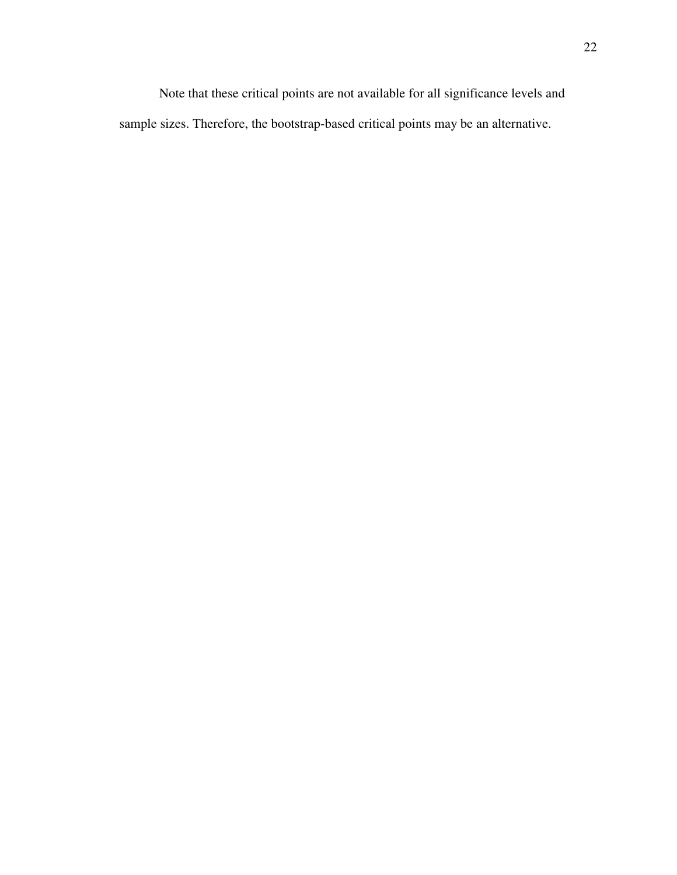Note that these critical points are not available for all significance levels and sample sizes. Therefore, the bootstrap-based critical points may be an alternative.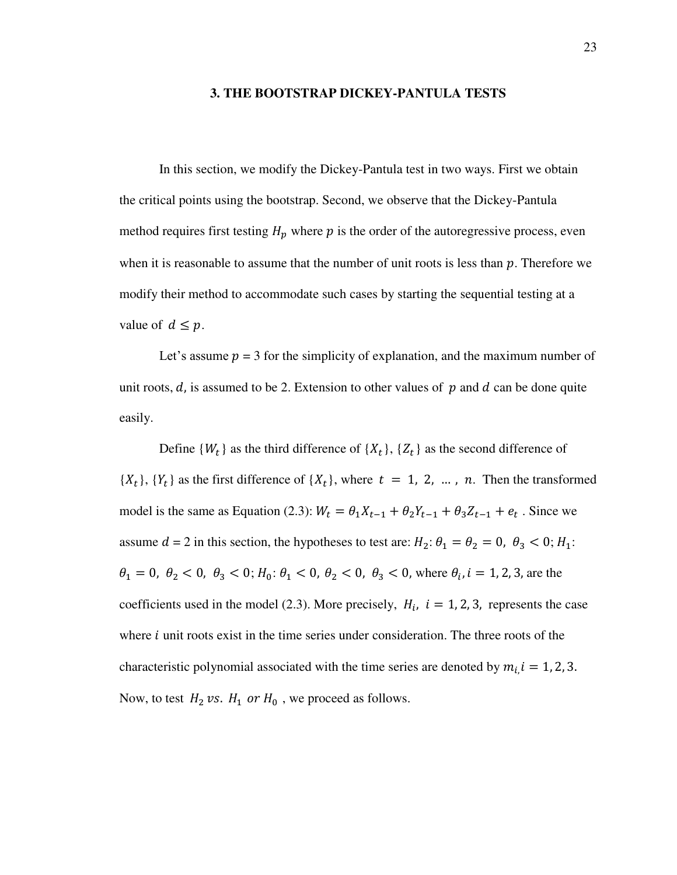#### **3. THE BOOTSTRAP DICKEY-PANTULA TESTS**

In this section, we modify the Dickey-Pantula test in two ways. First we obtain the critical points using the bootstrap. Second, we observe that the Dickey-Pantula method requires first testing  $H_p$  where  $p$  is the order of the autoregressive process, even when it is reasonable to assume that the number of unit roots is less than  $p$ . Therefore we modify their method to accommodate such cases by starting the sequential testing at a value of  $d \leq p$ .

Let's assume  $p = 3$  for the simplicity of explanation, and the maximum number of unit roots,  $d$ , is assumed to be 2. Extension to other values of  $p$  and  $d$  can be done quite easily.

Define  $\{W_t\}$  as the third difference of  $\{X_t\}$ ,  $\{Z_t\}$  as the second difference of  $\{X_t\}$ ,  $\{Y_t\}$  as the first difference of  $\{X_t\}$ , where  $t = 1, 2, ..., n$ . Then the transformed model is the same as Equation (2.3):  $W_t = \theta_1 X_{t-1} + \theta_2 Y_{t-1} + \theta_3 Z_{t-1} + e_t$ . Since we assume  $d = 2$  in this section, the hypotheses to test are:  $H_2: \theta_1 = \theta_2 = 0$ ,  $\theta_3 < 0: H_1$ :  $\theta_1 = 0, \ \theta_2 < 0, \ \theta_3 < 0; H_0: \theta_1 < 0, \ \theta_2 < 0, \ \theta_3 < 0$ , where  $\theta_i, i = 1, 2, 3$ , are the coefficients used in the model (2.3). More precisely,  $H_i$ ,  $i = 1, 2, 3$ , represents the case where  *unit roots exist in the time series under consideration. The three roots of the* characteristic polynomial associated with the time series are denoted by  $m_{i,i} = 1, 2, 3$ . Now, to test  $H_2$  *vs.*  $H_1$  *or*  $H_0$ , we proceed as follows.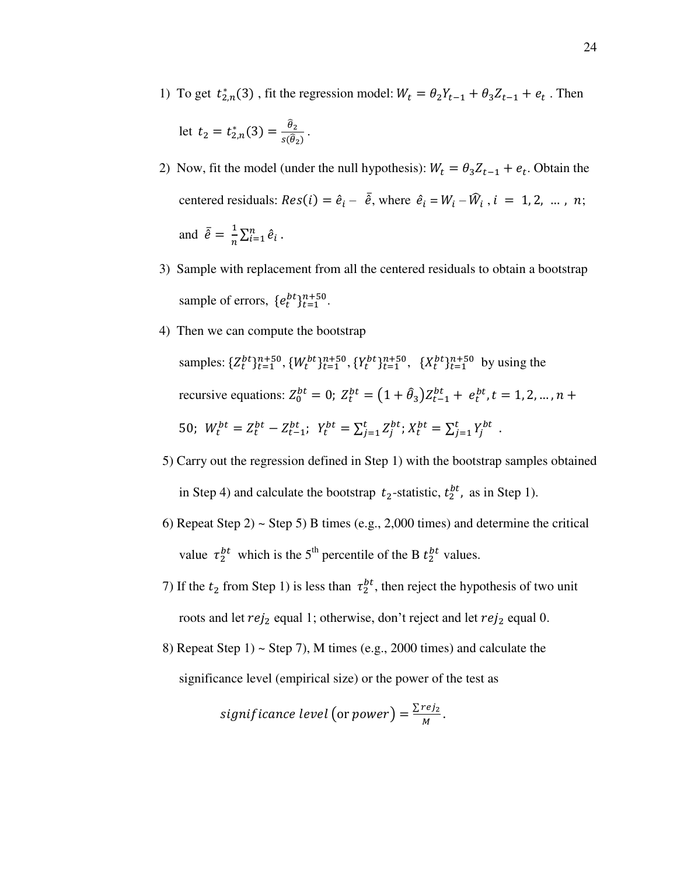1) To get  $t_{2,n}^*(3)$ , fit the regression model:  $W_t = \theta_2 Y_{t-1} + \theta_3 Z_{t-1} + e_t$ . Then

$$
\text{let } t_2 = t_{2,n}^*(3) = \frac{\theta_2}{s(\theta_2)}.
$$

- 2) Now, fit the model (under the null hypothesis):  $W_t = \theta_3 Z_{t-1} + e_t$ . Obtain the centered residuals:  $Res(i) = \hat{e}_i - \hat{e}$ , where  $\hat{e}_i = W_i - \hat{W}_i$ ,  $i = 1, 2, ..., n$ ; and  $\bar{\hat{e}} = \frac{1}{n}$  $\frac{1}{n}\sum_{i=1}^n \hat{e}_i$ .
- 3) Sample with replacement from all the centered residuals to obtain a bootstrap sample of errors,  $\{e_t^{bt}\}_{t=1}^{n+50}$ .
- 4) Then we can compute the bootstrap samples:  $\{Z_t^{bt}\}_{t=1}^{n+50}, \{W_t^{bt}\}_{t=1}^{n+50}, \{Y_t^{bt}\}_{t=1}^{n+50}, \{X_t^{bt}\}_{t=1}^{n+50}$  by using the recursive equations:  $Z_0^{bt} = 0$ ;  $Z_t^{bt} = (1 + \hat{\theta}_3) Z_{t-1}^{bt} + e_t^{bt}, t = 1, 2, ..., n +$ 50;  $W_t^{bt} = Z_t^{bt} - Z_{t-1}^{bt}; Y_t^{bt} = \sum_{j=1}^t Z_j^{bt}; X_t^{bt} = \sum_{j=1}^t Y_j^{bt}.$
- 5) Carry out the regression defined in Step 1) with the bootstrap samples obtained in Step 4) and calculate the bootstrap  $t_2$ -statistic,  $t_2^{bt}$ , as in Step 1).
- 6) Repeat Step 2)  $\sim$  Step 5) B times (e.g., 2,000 times) and determine the critical value  $\tau_2^{bt}$  which is the 5<sup>th</sup> percentile of the B  $t_2^{bt}$  values.
- 7) If the  $t_2$  from Step 1) is less than  $\tau_2^{bt}$ , then reject the hypothesis of two unit roots and let  $rej_2$  equal 1; otherwise, don't reject and let  $rej_2$  equal 0.
- 8) Repeat Step 1)  $\sim$  Step 7), M times (e.g., 2000 times) and calculate the significance level (empirical size) or the power of the test as

*significance level* (or *power*) = 
$$
\frac{\sum rej_2}{M}
$$
.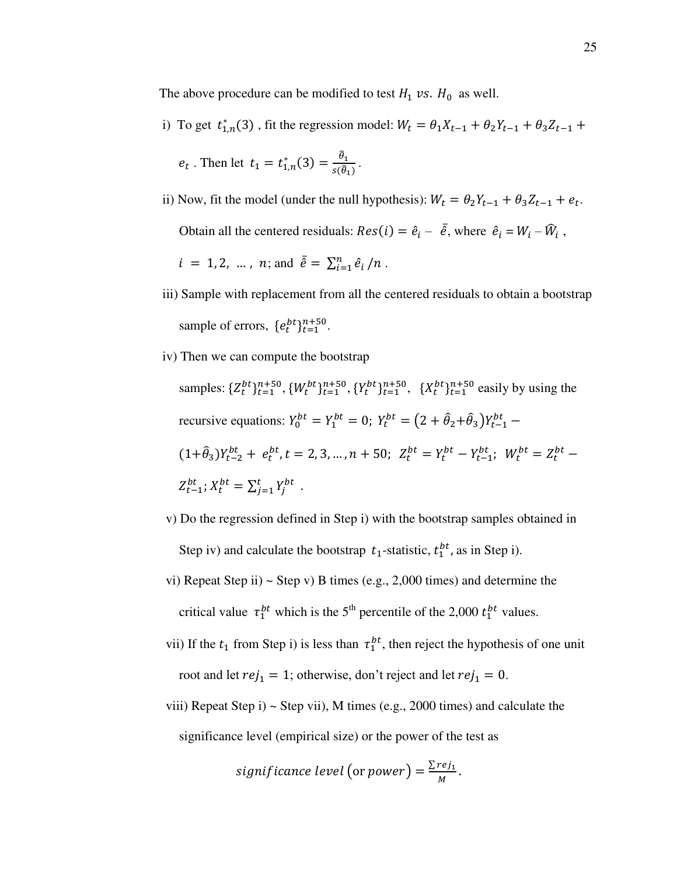The above procedure can be modified to test  $H_1$  vs.  $H_0$  as well.

i) To get  $t_{1,n}^*(3)$ , fit the regression model:  $W_t = \theta_1 X_{t-1} + \theta_2 Y_{t-1} + \theta_3 Z_{t-1}$ 

$$
e_t
$$
. Then let  $t_1 = t_{1,n}^*(3) = \frac{\hat{\theta}_1}{s(\hat{\theta}_1)}$ .

ii) Now, fit the model (under the null hypothesis):  $W_t = \theta_2 Y_{t-1} + \theta_3 Z_{t-1} + e_t$ . Obtain all the centered residuals:  $Res(i) = \hat{e}_i - \overline{\hat{e}}$ , where  $\hat{e}_i = W_i - \widehat{W}_i$ ,

$$
i = 1, 2, ..., n
$$
; and  $\bar{e} = \sum_{i=1}^{n} e_i / n$ .

- iii) Sample with replacement from all the centered residuals to obtain a bootstrap sample of errors,  $\{e_t^{bt}\}_{t=1}^{n+50}$ .
- iv) Then we can compute the bootstrap

samples:  $\{Z_t^{bt}\}_{t=1}^{n+50}, \{W_t^{bt}\}_{t=1}^{n+50}, \{Y_t^{bt}\}_{t=1}^{n+50}, \{X_t^{bt}\}_{t=1}^{n+50}$  easily by using the recursive equations:  $Y_0^{bt} = Y_1^{bt} = 0$ ;  $Y_t^{bt} = (2 + \hat{\theta}_2 + \hat{\theta}_3)Y_{t-1}^{bt}$  $(1+\hat{\theta}_3)Y_{t-2}^{bt} + e_t^{bt}, t = 2, 3, ..., n + 50; \ Z_t^{bt} = Y_t^{bt} - Y_{t-1}^{bt}; \ W_t^{bt} = Z_t^{bt} Z_{t-1}^{bt}$ ;  $X_t^{bt} = \sum_{j=1}^t Y_j^{bt}$ .

- v) Do the regression defined in Step i) with the bootstrap samples obtained in Step iv) and calculate the bootstrap  $t_1$ -statistic,  $t_1^{bt}$ , as in Step i).
- vi) Repeat Step ii)  $\sim$  Step v) B times (e.g., 2,000 times) and determine the critical value  $\tau_1^{bt}$  which is the 5<sup>th</sup> percentile of the 2,000  $t_1^{bt}$  values.
- vii) If the  $t_1$  from Step i) is less than  $\tau_1^{bt}$ , then reject the hypothesis of one unit root and let  $rej_1 = 1$ ; otherwise, don't reject and let  $rej_1 = 0$ .
	- viii) Repeat Step i)  $\sim$  Step vii), M times (e.g., 2000 times) and calculate the significance level (empirical size) or the power of the test as

significance level (or power) = 
$$
\frac{\sum rej_1}{M}
$$
.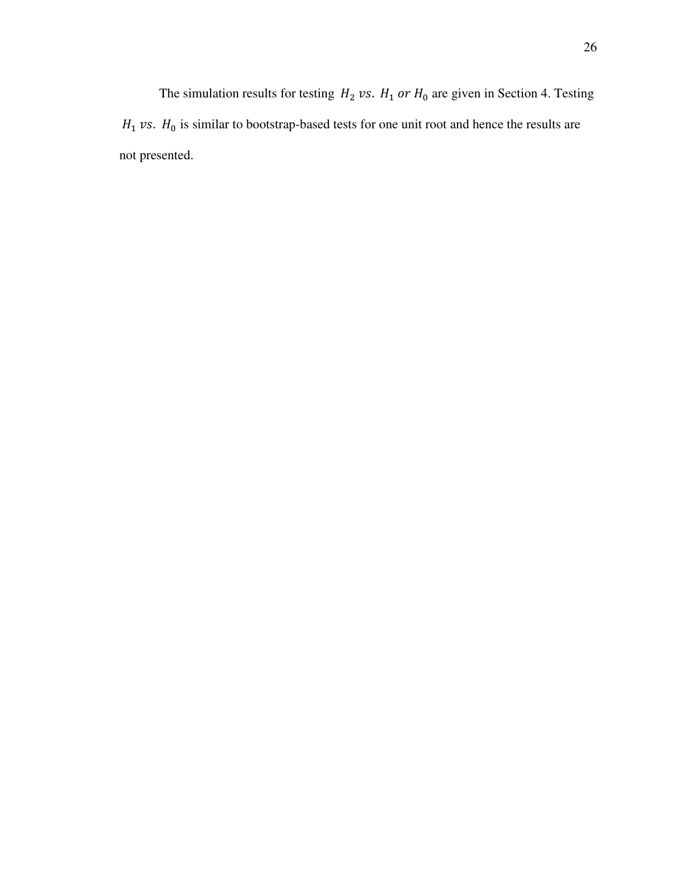The simulation results for testing  $H_2$  vs.  $H_1$  or  $H_0$  are given in Section 4. Testing  $H_1$  vs.  $H_0$  is similar to bootstrap-based tests for one unit root and hence the results are not presented.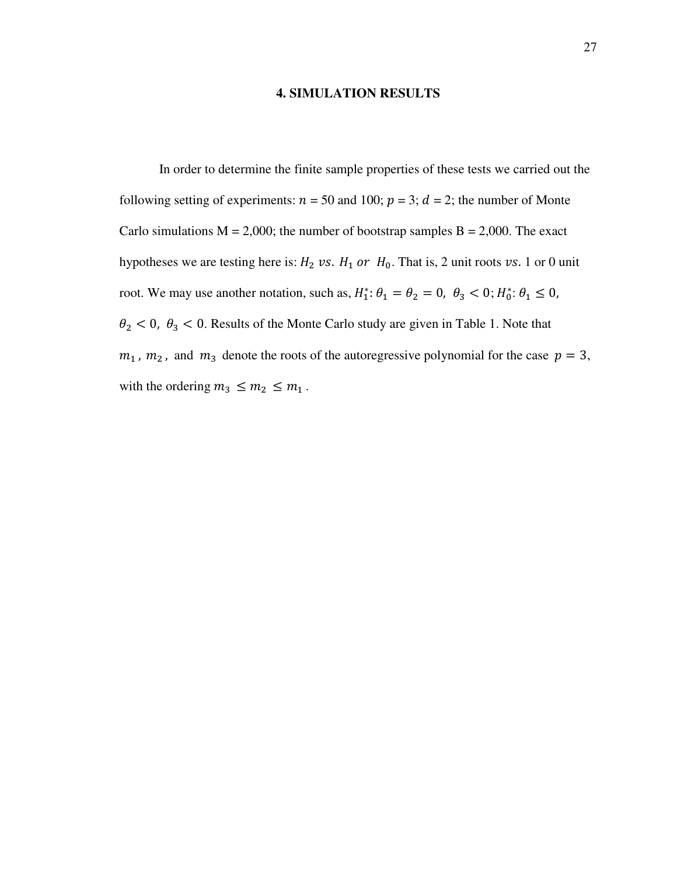## **4. SIMULATION RESULTS**

In order to determine the finite sample properties of these tests we carried out the following setting of experiments:  $n = 50$  and 100;  $p = 3$ ;  $d = 2$ ; the number of Monte Carlo simulations  $M = 2,000$ ; the number of bootstrap samples  $B = 2,000$ . The exact hypotheses we are testing here is:  $H_2$  vs.  $H_1$  or  $H_0$ . That is, 2 unit roots vs. 1 or 0 unit root. We may use another notation, such as,  $H_1^*$ :  $\theta_1 = \theta_2 = 0$ ,  $\theta_3 < 0$ ;  $H_0^*$ :  $\theta_1 \le 0$ ,  $\theta_2$  < 0,  $\theta_3$  < 0. Results of the Monte Carlo study are given in Table 1. Note that  $m_1$ ,  $m_2$ , and  $m_3$  denote the roots of the autoregressive polynomial for the case  $p = 3$ , with the ordering  $m_3 \leq m_2 \leq m_1$ .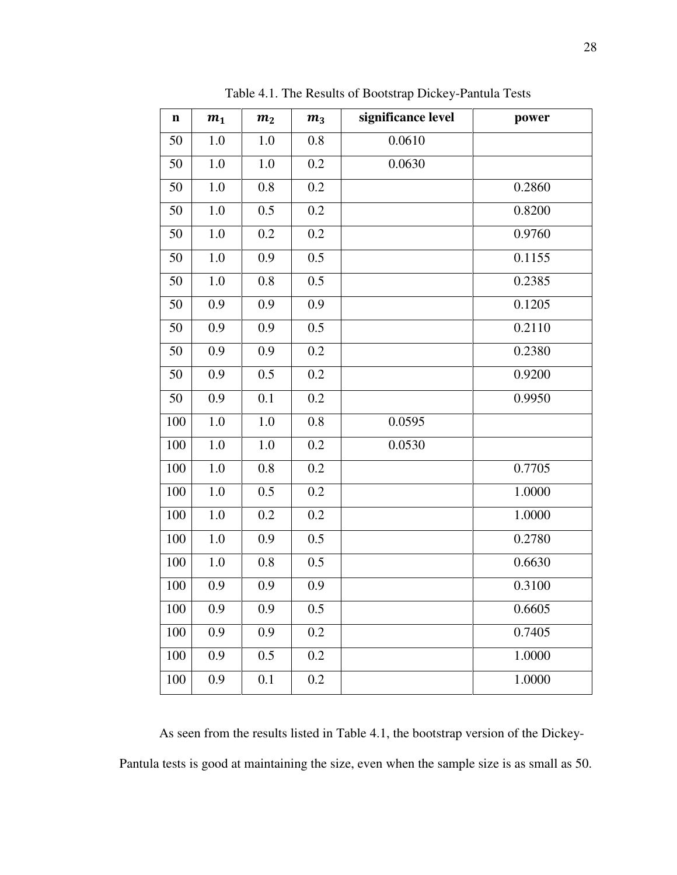| $\mathbf n$ | m <sub>1</sub> | m <sub>2</sub> | m <sub>3</sub> | significance level | power  |
|-------------|----------------|----------------|----------------|--------------------|--------|
| 50          | 1.0            | 1.0            | 0.8            | 0.0610             |        |
| 50          | 1.0            | 1.0            | 0.2            | 0.0630             |        |
| 50          | 1.0            | 0.8            | 0.2            |                    | 0.2860 |
| 50          | $1.0\,$        | 0.5            | 0.2            |                    | 0.8200 |
| 50          | $1.0\,$        | 0.2            | 0.2            |                    | 0.9760 |
| 50          | 1.0            | 0.9            | 0.5            |                    | 0.1155 |
| 50          | 1.0            | 0.8            | 0.5            |                    | 0.2385 |
| 50          | 0.9            | 0.9            | 0.9            |                    | 0.1205 |
| 50          | 0.9            | 0.9            | 0.5            |                    | 0.2110 |
| 50          | 0.9            | 0.9            | 0.2            |                    | 0.2380 |
| 50          | 0.9            | 0.5            | 0.2            |                    | 0.9200 |
| 50          | 0.9            | 0.1            | 0.2            |                    | 0.9950 |
| 100         | $1.0\,$        | $1.0\,$        | 0.8            | 0.0595             |        |
| 100         | 1.0            | 1.0            | 0.2            | 0.0530             |        |
| 100         | $1.0\,$        | 0.8            | 0.2            |                    | 0.7705 |
| 100         | 1.0            | 0.5            | 0.2            |                    | 1.0000 |
| 100         | $1.0\,$        | 0.2            | 0.2            |                    | 1.0000 |
| 100         | 1.0            | 0.9            | 0.5            |                    | 0.2780 |
| 100         | 1.0            | 0.8            | 0.5            |                    | 0.6630 |
| 100         | 0.9            | 0.9            | 0.9            |                    | 0.3100 |
| 100         | 0.9            | 0.9            | 0.5            |                    | 0.6605 |
| 100         | 0.9            | 0.9            | 0.2            |                    | 0.7405 |
| 100         | 0.9            | 0.5            | 0.2            |                    | 1.0000 |
| 100         | 0.9            | 0.1            | 0.2            |                    | 1.0000 |

Table 4.1. The Results of Bootstrap Dickey-Pantula Tests

As seen from the results listed in Table 4.1, the bootstrap version of the Dickey-Pantula tests is good at maintaining the size, even when the sample size is as small as 50.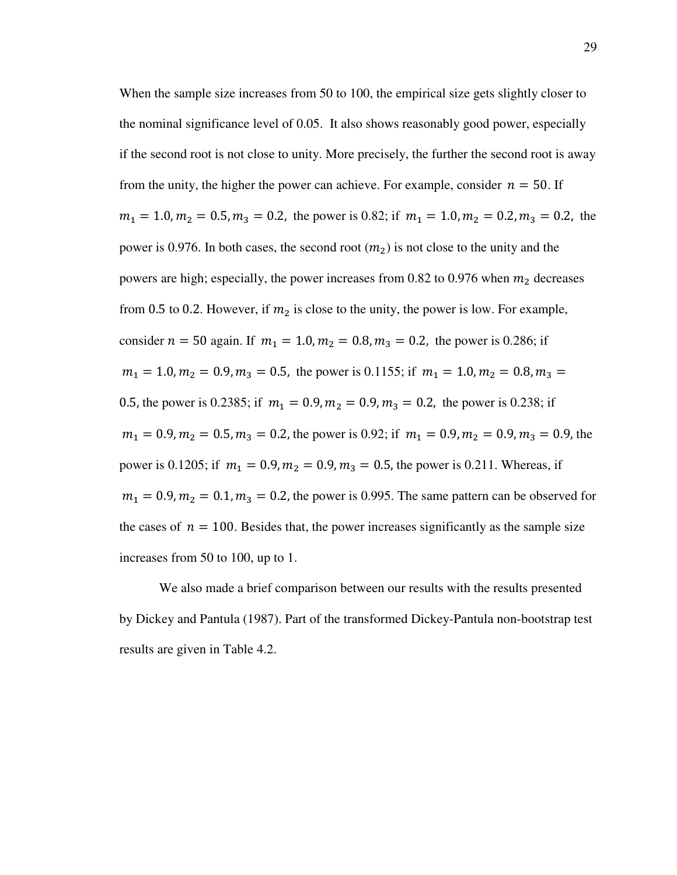When the sample size increases from 50 to 100, the empirical size gets slightly closer to the nominal significance level of 0.05. It also shows reasonably good power, especially if the second root is not close to unity. More precisely, the further the second root is away from the unity, the higher the power can achieve. For example, consider  $n = 50$ . If  $m_1 = 1.0, m_2 = 0.5, m_3 = 0.2$ , the power is 0.82; if  $m_1 = 1.0, m_2 = 0.2, m_3 = 0.2$ , the power is 0.976. In both cases, the second root  $(m_2)$  is not close to the unity and the powers are high; especially, the power increases from 0.82 to 0.976 when  $m_2$  decreases from 0.5 to 0.2. However, if  $m_2$  is close to the unity, the power is low. For example, consider  $n = 50$  again. If  $m_1 = 1.0, m_2 = 0.8, m_3 = 0.2$ , the power is 0.286; if  $m_1 = 1.0, m_2 = 0.9, m_3 = 0.5$ , the power is 0.1155; if  $m_1 = 1.0, m_2 = 0.8, m_3 = 0.5$ 0.5, the power is 0.2385; if  $m_1 = 0.9, m_2 = 0.9, m_3 = 0.2$ , the power is 0.238; if  $m_1 = 0.9, m_2 = 0.5, m_3 = 0.2$ , the power is 0.92; if  $m_1 = 0.9, m_2 = 0.9, m_3 = 0.9$ , the power is 0.1205; if  $m_1 = 0.9, m_2 = 0.9, m_3 = 0.5$ , the power is 0.211. Whereas, if  $m_1 = 0.9, m_2 = 0.1, m_3 = 0.2$ , the power is 0.995. The same pattern can be observed for the cases of  $n = 100$ . Besides that, the power increases significantly as the sample size increases from 50 to 100, up to 1.

We also made a brief comparison between our results with the results presented by Dickey and Pantula (1987). Part of the transformed Dickey-Pantula non-bootstrap test results are given in Table 4.2.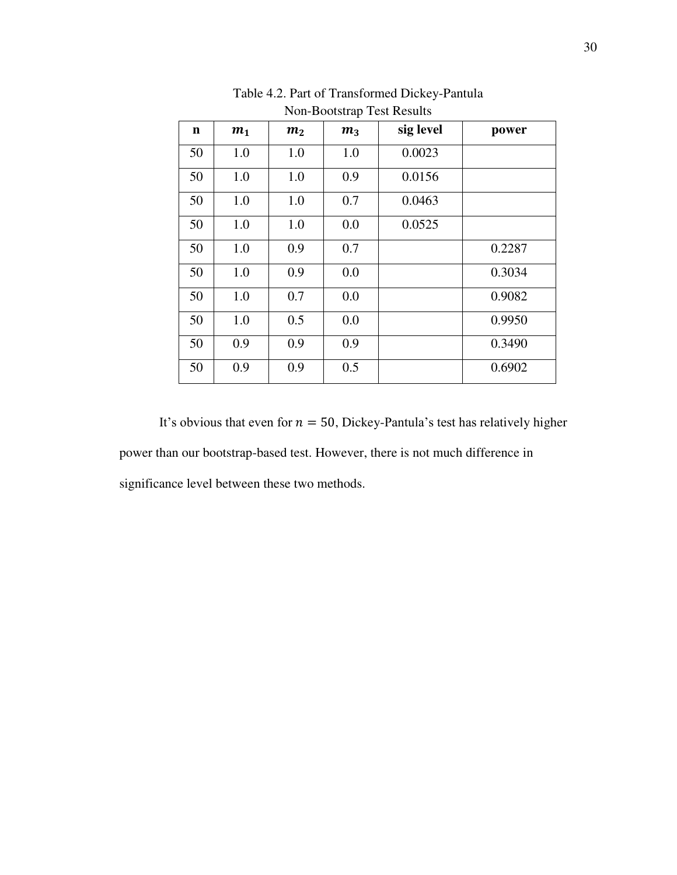| $\mathbf n$ | m <sub>1</sub> | m <sub>2</sub> | m <sub>3</sub> | sig level | power  |
|-------------|----------------|----------------|----------------|-----------|--------|
| 50          | 1.0            | 1.0            | 1.0            | 0.0023    |        |
| 50          | 1.0            | 1.0            | 0.9            | 0.0156    |        |
| 50          | 1.0            | 1.0            | 0.7            | 0.0463    |        |
| 50          | 1.0            | 1.0            | 0.0            | 0.0525    |        |
| 50          | 1.0            | 0.9            | 0.7            |           | 0.2287 |
| 50          | 1.0            | 0.9            | 0.0            |           | 0.3034 |
| 50          | 1.0            | 0.7            | 0.0            |           | 0.9082 |
| 50          | 1.0            | 0.5            | 0.0            |           | 0.9950 |
| 50          | 0.9            | 0.9            | 0.9            |           | 0.3490 |
| 50          | 0.9            | 0.9            | 0.5            |           | 0.6902 |

Table 4.2. Part of Transformed Dickey-Pantula Non-Bootstrap Test Results

It's obvious that even for  $n = 50$ , Dickey-Pantula's test has relatively higher power than our bootstrap-based test. However, there is not much difference in significance level between these two methods.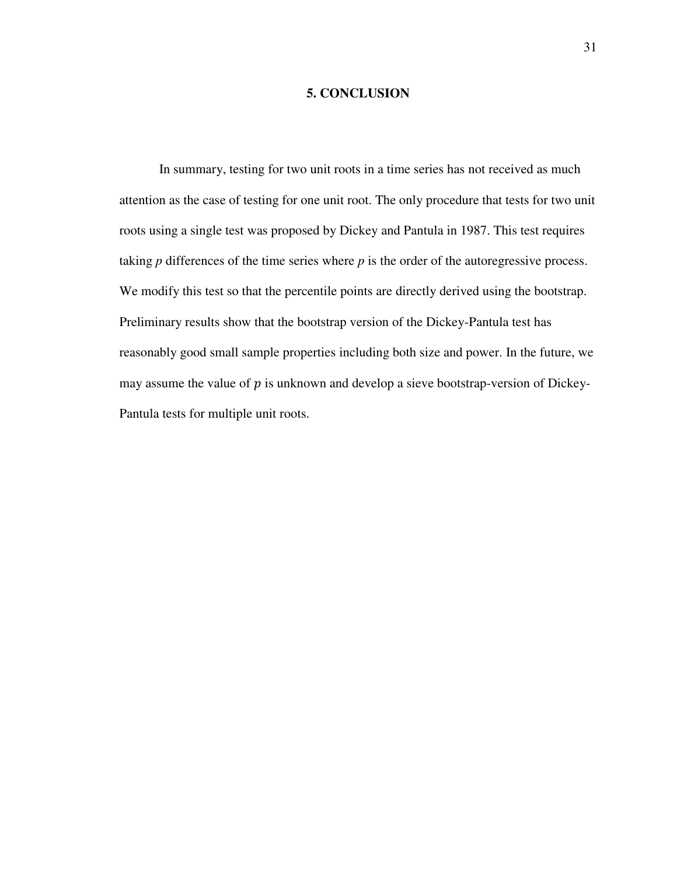## **5. CONCLUSION**

In summary, testing for two unit roots in a time series has not received as much attention as the case of testing for one unit root. The only procedure that tests for two unit roots using a single test was proposed by Dickey and Pantula in 1987. This test requires taking *p* differences of the time series where *p* is the order of the autoregressive process. We modify this test so that the percentile points are directly derived using the bootstrap. Preliminary results show that the bootstrap version of the Dickey-Pantula test has reasonably good small sample properties including both size and power. In the future, we may assume the value of  $p$  is unknown and develop a sieve bootstrap-version of Dickey-Pantula tests for multiple unit roots.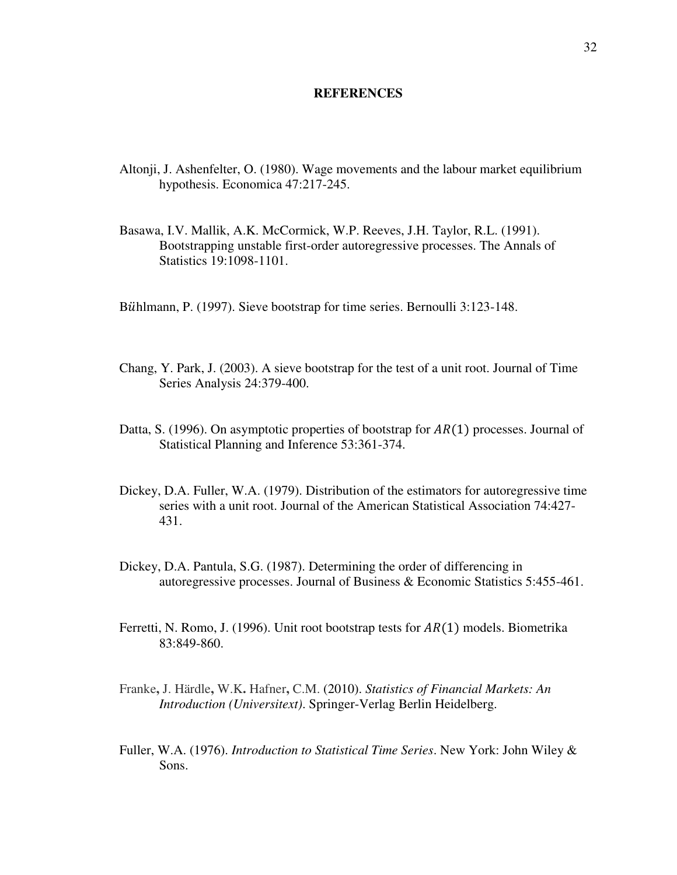#### **REFERENCES**

- Altonji, J. Ashenfelter, O. (1980). Wage movements and the labour market equilibrium hypothesis. Economica 47:217-245.
- Basawa, I.V. Mallik, A.K. McCormick, W.P. Reeves, J.H. Taylor, R.L. (1991). Bootstrapping unstable first-order autoregressive processes. The Annals of Statistics 19:1098-1101.
- Bühlmann, P. (1997). Sieve bootstrap for time series. Bernoulli 3:123-148.
- Chang, Y. Park, J. (2003). A sieve bootstrap for the test of a unit root. Journal of Time Series Analysis 24:379-400.
- Datta, S. (1996). On asymptotic properties of bootstrap for  $AR(1)$  processes. Journal of Statistical Planning and Inference 53:361-374.
- Dickey, D.A. Fuller, W.A. (1979). Distribution of the estimators for autoregressive time series with a unit root. Journal of the American Statistical Association 74:427- 431.
- Dickey, D.A. Pantula, S.G. (1987). Determining the order of differencing in autoregressive processes. Journal of Business & Economic Statistics 5:455-461.
- Ferretti, N. Romo, J. (1996). Unit root bootstrap tests for  $AR(1)$  models. Biometrika 83:849-860.
- Franke**,** J. Härdle**,** W.K**.** Hafner**,** C.M. (2010). *Statistics of Financial Markets: An Introduction (Universitext)*. Springer-Verlag Berlin Heidelberg.
- Fuller, W.A. (1976). *Introduction to Statistical Time Series*. New York: John Wiley & Sons.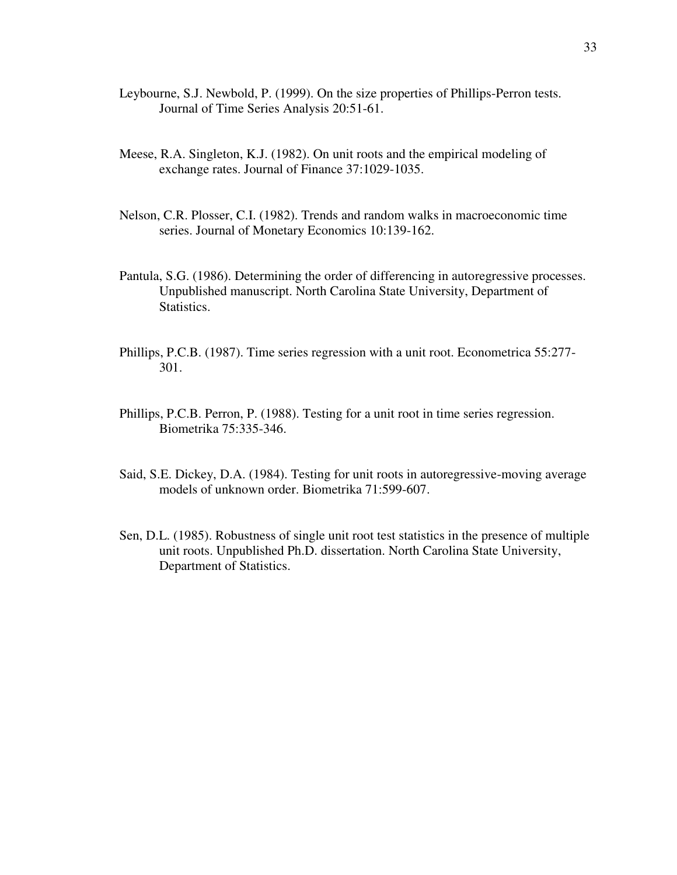- Leybourne, S.J. Newbold, P. (1999). On the size properties of Phillips-Perron tests. Journal of Time Series Analysis 20:51-61.
- Meese, R.A. Singleton, K.J. (1982). On unit roots and the empirical modeling of exchange rates. Journal of Finance 37:1029-1035.
- Nelson, C.R. Plosser, C.I. (1982). Trends and random walks in macroeconomic time series. Journal of Monetary Economics 10:139-162.
- Pantula, S.G. (1986). Determining the order of differencing in autoregressive processes. Unpublished manuscript. North Carolina State University, Department of Statistics.
- Phillips, P.C.B. (1987). Time series regression with a unit root. Econometrica 55:277- 301.
- Phillips, P.C.B. Perron, P. (1988). Testing for a unit root in time series regression. Biometrika 75:335-346.
- Said, S.E. Dickey, D.A. (1984). Testing for unit roots in autoregressive-moving average models of unknown order. Biometrika 71:599-607.
- Sen, D.L. (1985). Robustness of single unit root test statistics in the presence of multiple unit roots. Unpublished Ph.D. dissertation. North Carolina State University, Department of Statistics.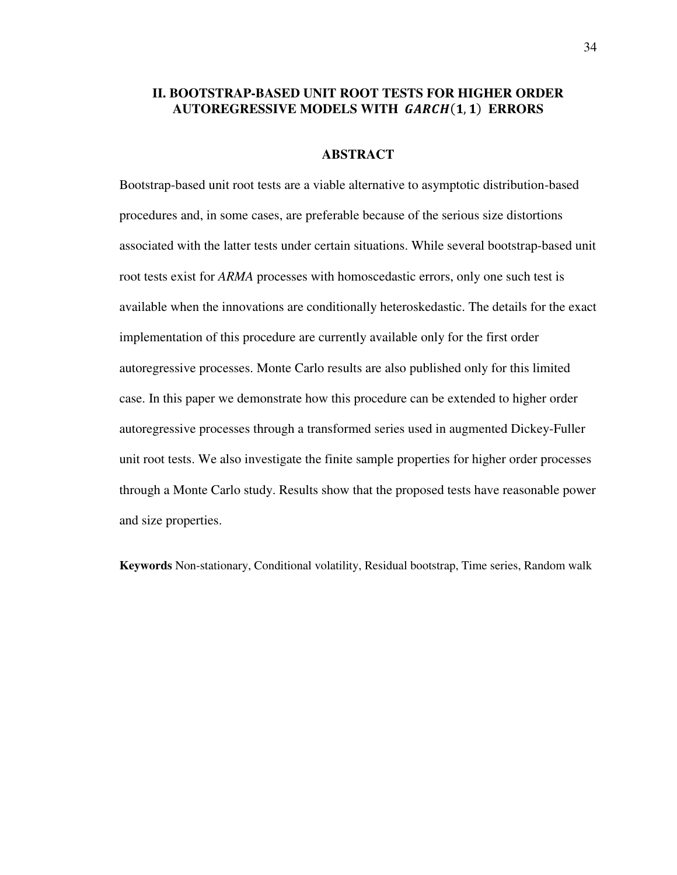# **II. BOOTSTRAP-BASED UNIT ROOT TESTS FOR HIGHER ORDER AUTOREGRESSIVE MODELS WITH GARCH(1,1) ERRORS**

## **ABSTRACT**

Bootstrap-based unit root tests are a viable alternative to asymptotic distribution-based procedures and, in some cases, are preferable because of the serious size distortions associated with the latter tests under certain situations. While several bootstrap-based unit root tests exist for *ARMA* processes with homoscedastic errors, only one such test is available when the innovations are conditionally heteroskedastic. The details for the exact implementation of this procedure are currently available only for the first order autoregressive processes. Monte Carlo results are also published only for this limited case. In this paper we demonstrate how this procedure can be extended to higher order autoregressive processes through a transformed series used in augmented Dickey-Fuller unit root tests. We also investigate the finite sample properties for higher order processes through a Monte Carlo study. Results show that the proposed tests have reasonable power and size properties.

**Keywords** Non-stationary, Conditional volatility, Residual bootstrap, Time series, Random walk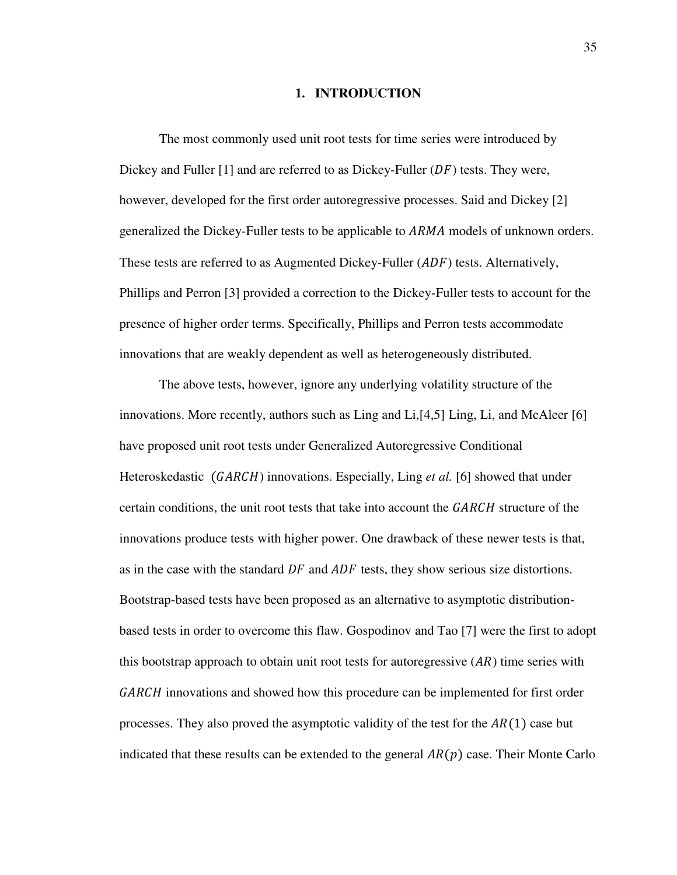## **1. INTRODUCTION**

The most commonly used unit root tests for time series were introduced by Dickey and Fuller  $[1]$  and are referred to as Dickey-Fuller  $(DF)$  tests. They were, however, developed for the first order autoregressive processes. Said and Dickey [2] generalized the Dickey-Fuller tests to be applicable to ARMA models of unknown orders. These tests are referred to as Augmented Dickey-Fuller  $(ADF)$  tests. Alternatively, Phillips and Perron [3] provided a correction to the Dickey-Fuller tests to account for the presence of higher order terms. Specifically, Phillips and Perron tests accommodate innovations that are weakly dependent as well as heterogeneously distributed.

The above tests, however, ignore any underlying volatility structure of the innovations. More recently, authors such as Ling and Li,[4,5] Ling, Li, and McAleer [6] have proposed unit root tests under Generalized Autoregressive Conditional Heteroskedastic (GARCH) innovations. Especially, Ling *et al.* [6] showed that under certain conditions, the unit root tests that take into account the  $GARCH$  structure of the innovations produce tests with higher power. One drawback of these newer tests is that, as in the case with the standard  $DF$  and  $ADF$  tests, they show serious size distortions. Bootstrap-based tests have been proposed as an alternative to asymptotic distributionbased tests in order to overcome this flaw. Gospodinov and Tao [7] were the first to adopt this bootstrap approach to obtain unit root tests for autoregressive  $(AR)$  time series with GARCH innovations and showed how this procedure can be implemented for first order processes. They also proved the asymptotic validity of the test for the  $AR(1)$  case but indicated that these results can be extended to the general  $AR(p)$  case. Their Monte Carlo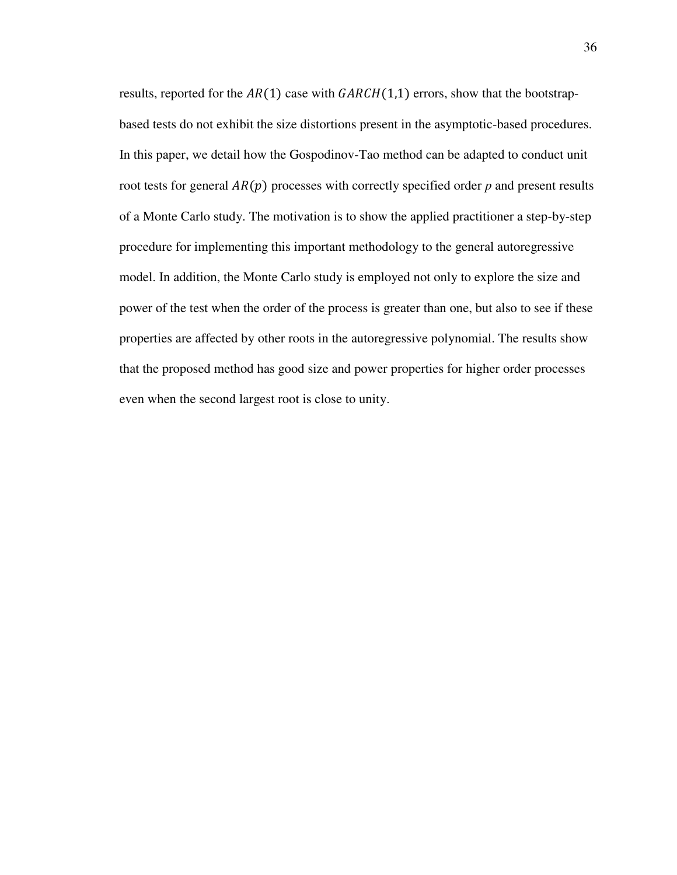results, reported for the  $AR(1)$  case with  $GARCH(1,1)$  errors, show that the bootstrapbased tests do not exhibit the size distortions present in the asymptotic-based procedures. In this paper, we detail how the Gospodinov-Tao method can be adapted to conduct unit root tests for general  $AR(p)$  processes with correctly specified order  $p$  and present results of a Monte Carlo study. The motivation is to show the applied practitioner a step-by-step procedure for implementing this important methodology to the general autoregressive model. In addition, the Monte Carlo study is employed not only to explore the size and power of the test when the order of the process is greater than one, but also to see if these properties are affected by other roots in the autoregressive polynomial. The results show that the proposed method has good size and power properties for higher order processes even when the second largest root is close to unity.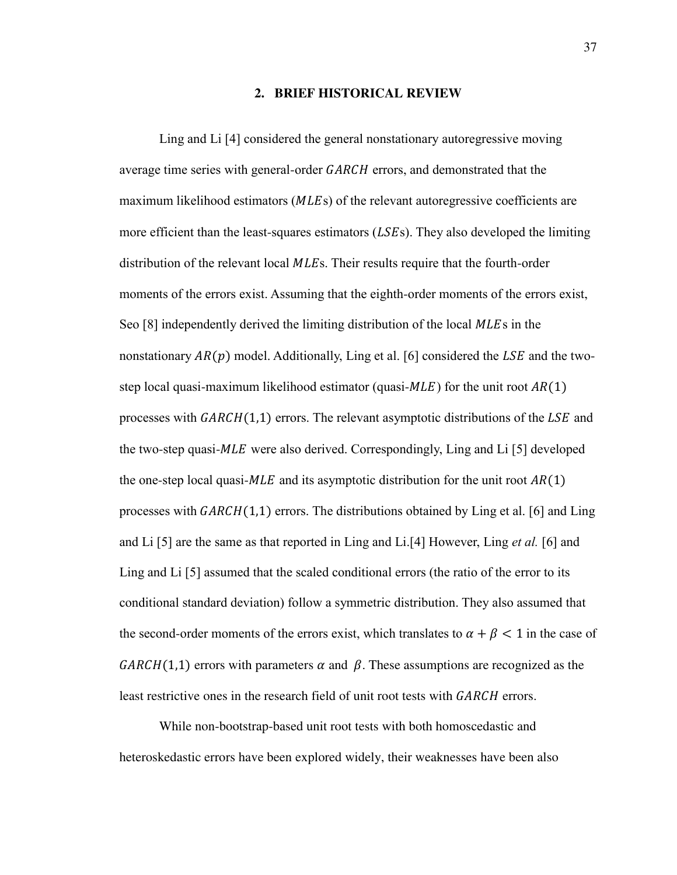## **2. BRIEF HISTORICAL REVIEW**

Ling and Li [4] considered the general nonstationary autoregressive moving average time series with general-order GARCH errors, and demonstrated that the maximum likelihood estimators  $(MLEs)$  of the relevant autoregressive coefficients are more efficient than the least-squares estimators  $(LSEs)$ . They also developed the limiting distribution of the relevant local *MLEs*. Their results require that the fourth-order moments of the errors exist. Assuming that the eighth-order moments of the errors exist, Seo [8] independently derived the limiting distribution of the local MLEs in the nonstationary  $AR(p)$  model. Additionally, Ling et al. [6] considered the LSE and the twostep local quasi-maximum likelihood estimator (quasi- $MLE$ ) for the unit root  $AR(1)$ processes with  $GARCH(1,1)$  errors. The relevant asymptotic distributions of the LSE and the two-step quasi- $MLE$  were also derived. Correspondingly, Ling and Li [5] developed the one-step local quasi- $MLE$  and its asymptotic distribution for the unit root  $AR(1)$ processes with  $GARCH(1,1)$  errors. The distributions obtained by Ling et al. [6] and Ling and Li [5] are the same as that reported in Ling and Li.[4] However, Ling *et al.* [6] and Ling and Li [5] assumed that the scaled conditional errors (the ratio of the error to its conditional standard deviation) follow a symmetric distribution. They also assumed that the second-order moments of the errors exist, which translates to  $\alpha + \beta < 1$  in the case of  $GARCH(1,1)$  errors with parameters  $\alpha$  and  $\beta$ . These assumptions are recognized as the least restrictive ones in the research field of unit root tests with GARCH errors.

While non-bootstrap-based unit root tests with both homoscedastic and heteroskedastic errors have been explored widely, their weaknesses have been also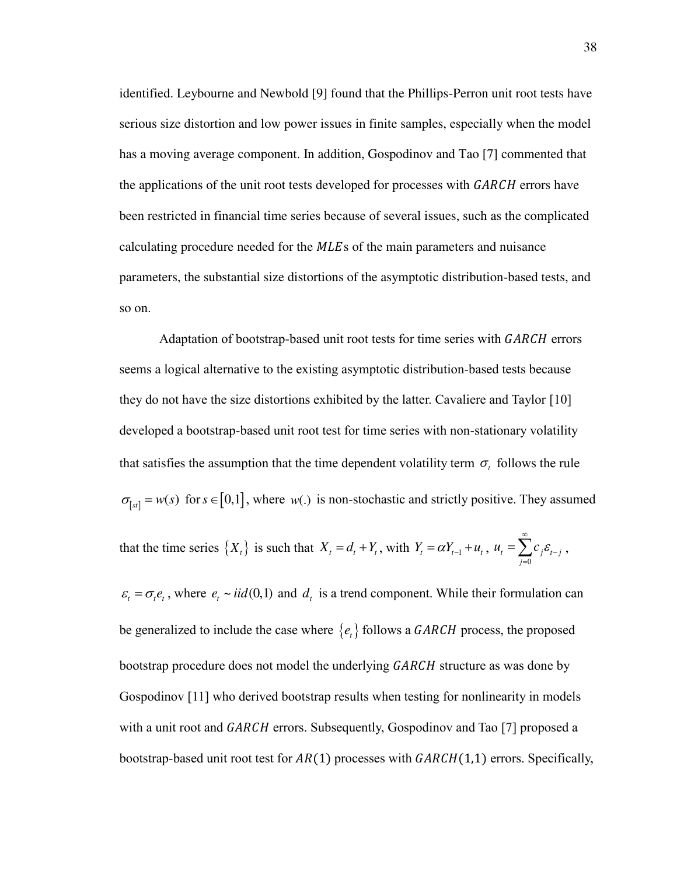identified. Leybourne and Newbold [9] found that the Phillips-Perron unit root tests have serious size distortion and low power issues in finite samples, especially when the model has a moving average component. In addition, Gospodinov and Tao [7] commented that the applications of the unit root tests developed for processes with GARCH errors have been restricted in financial time series because of several issues, such as the complicated calculating procedure needed for the MLEs of the main parameters and nuisance parameters, the substantial size distortions of the asymptotic distribution-based tests, and so on.

Adaptation of bootstrap-based unit root tests for time series with *GARCH* errors seems a logical alternative to the existing asymptotic distribution-based tests because they do not have the size distortions exhibited by the latter. Cavaliere and Taylor [10] developed a bootstrap-based unit root test for time series with non-stationary volatility that satisfies the assumption that the time dependent volatility term  $\sigma_t$  follows the rule  $\sigma_{[st]} = w(s)$  for  $s \in [0,1]$ , where  $w(.)$  is non-stochastic and strictly positive. They assumed that the time series  $\{X_t\}$  is such that  $X_t = d_t + Y_t$ , with  $Y_t = \alpha Y_{t-1} + u_t$ ,  $t - \sum_{j} c_j c_{t-j}$  $u_i = \sum c_i \varepsilon_i$ ∞ - $=\sum_{j=0}c_j\varepsilon_{t-j}$ ,

 $\varepsilon_t = \sigma_t e_t$ , where  $e_t \sim \text{i}id(0,1)$  and  $d_t$  is a trend component. While their formulation can be generalized to include the case where  $\{e_t\}$  follows a *GARCH* process, the proposed bootstrap procedure does not model the underlying GARCH structure as was done by Gospodinov [11] who derived bootstrap results when testing for nonlinearity in models with a unit root and GARCH errors. Subsequently, Gospodinov and Tao [7] proposed a bootstrap-based unit root test for  $AR(1)$  processes with  $GARCH(1,1)$  errors. Specifically,

0

*j*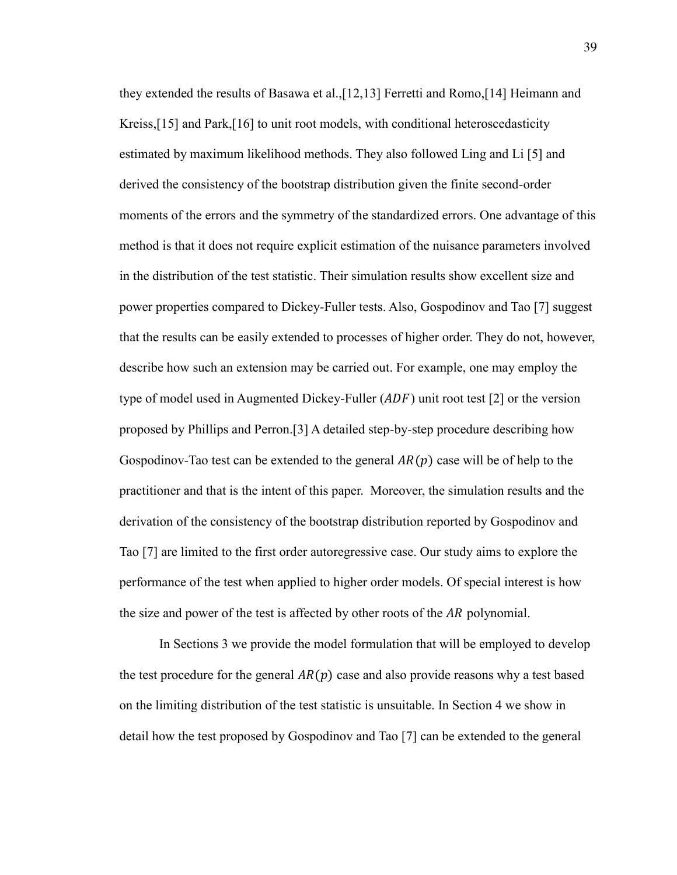they extended the results of Basawa et al.,[12,13] Ferretti and Romo,[14] Heimann and Kreiss,[15] and Park,[16] to unit root models, with conditional heteroscedasticity estimated by maximum likelihood methods. They also followed Ling and Li [5] and derived the consistency of the bootstrap distribution given the finite second-order moments of the errors and the symmetry of the standardized errors. One advantage of this method is that it does not require explicit estimation of the nuisance parameters involved in the distribution of the test statistic. Their simulation results show excellent size and power properties compared to Dickey-Fuller tests. Also, Gospodinov and Tao [7] suggest that the results can be easily extended to processes of higher order. They do not, however, describe how such an extension may be carried out. For example, one may employ the type of model used in Augmented Dickey-Fuller  $(ADF)$  unit root test [2] or the version proposed by Phillips and Perron.[3] A detailed step-by-step procedure describing how Gospodinov-Tao test can be extended to the general  $AR(p)$  case will be of help to the practitioner and that is the intent of this paper. Moreover, the simulation results and the derivation of the consistency of the bootstrap distribution reported by Gospodinov and Tao [7] are limited to the first order autoregressive case. Our study aims to explore the performance of the test when applied to higher order models. Of special interest is how the size and power of the test is affected by other roots of the AR polynomial.

In Sections 3 we provide the model formulation that will be employed to develop the test procedure for the general  $AR(p)$  case and also provide reasons why a test based on the limiting distribution of the test statistic is unsuitable. In Section 4 we show in detail how the test proposed by Gospodinov and Tao [7] can be extended to the general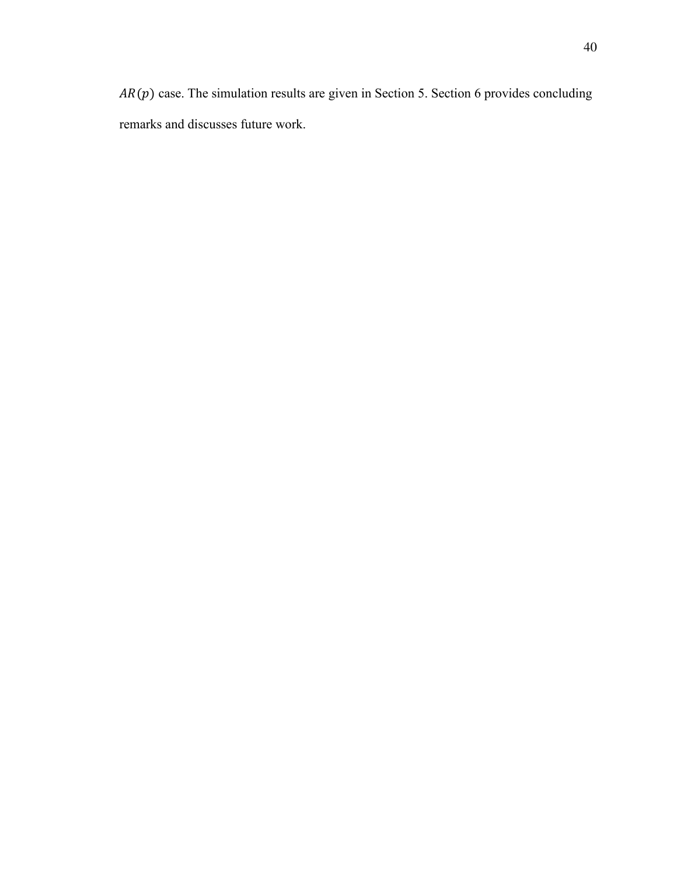$AR(p)$  case. The simulation results are given in Section 5. Section 6 provides concluding remarks and discusses future work.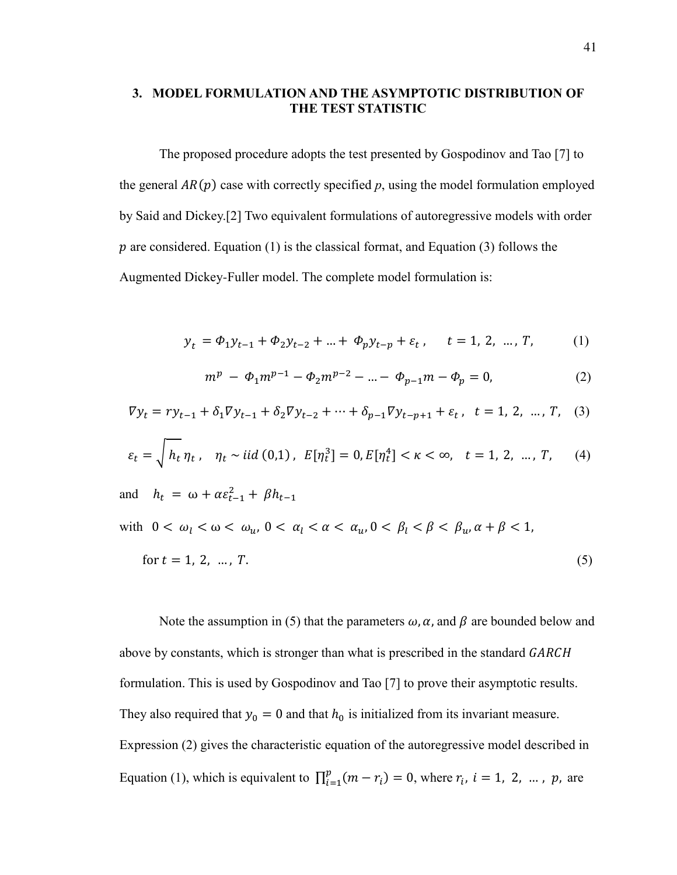# **3. MODEL FORMULATION AND THE ASYMPTOTIC DISTRIBUTION OF THE TEST STATISTIC**

The proposed procedure adopts the test presented by Gospodinov and Tao [7] to the general  $AR(p)$  case with correctly specified  $p$ , using the model formulation employed by Said and Dickey.[2] Two equivalent formulations of autoregressive models with order  $p$  are considered. Equation (1) is the classical format, and Equation (3) follows the Augmented Dickey-Fuller model. The complete model formulation is:

$$
y_t = \Phi_1 y_{t-1} + \Phi_2 y_{t-2} + \dots + \Phi_p y_{t-p} + \varepsilon_t, \quad t = 1, 2, \dots, T,
$$
 (1)

$$
m^{p} - \Phi_{1} m^{p-1} - \Phi_{2} m^{p-2} - \dots - \Phi_{p-1} m - \Phi_{p} = 0, \qquad (2)
$$

$$
\nabla y_t = r y_{t-1} + \delta_1 \nabla y_{t-1} + \delta_2 \nabla y_{t-2} + \dots + \delta_{p-1} \nabla y_{t-p+1} + \varepsilon_t, \quad t = 1, 2, \dots, T, \quad (3)
$$

$$
\varepsilon_t = \sqrt{h_t \eta_t}, \quad \eta_t \sim \text{iid } (0, 1), \ E[\eta_t^3] = 0, E[\eta_t^4] < \kappa < \infty, \quad t = 1, 2, \ \dots, T,\tag{4}
$$

and 
$$
h_t = \omega + \alpha \varepsilon_{t-1}^2 + \beta h_{t-1}
$$
  
with  $0 < \omega_l < \omega < \omega_u$ ,  $0 < \alpha_l < \alpha < \alpha_u$ ,  $0 < \beta_l < \beta < \beta_u$ ,  $\alpha + \beta < 1$ ,  
for  $t = 1, 2, ..., T$ . (5)

Note the assumption in (5) that the parameters  $\omega$ ,  $\alpha$ , and  $\beta$  are bounded below and above by constants, which is stronger than what is prescribed in the standard GARCH formulation. This is used by Gospodinov and Tao [7] to prove their asymptotic results. They also required that  $y_0 = 0$  and that  $h_0$  is initialized from its invariant measure. Expression (2) gives the characteristic equation of the autoregressive model described in Equation (1), which is equivalent to  $\prod_{i=1}^{p} (m - r_i) = 0$ , where  $r_i$ ,  $i = 1, 2, ..., p$ , are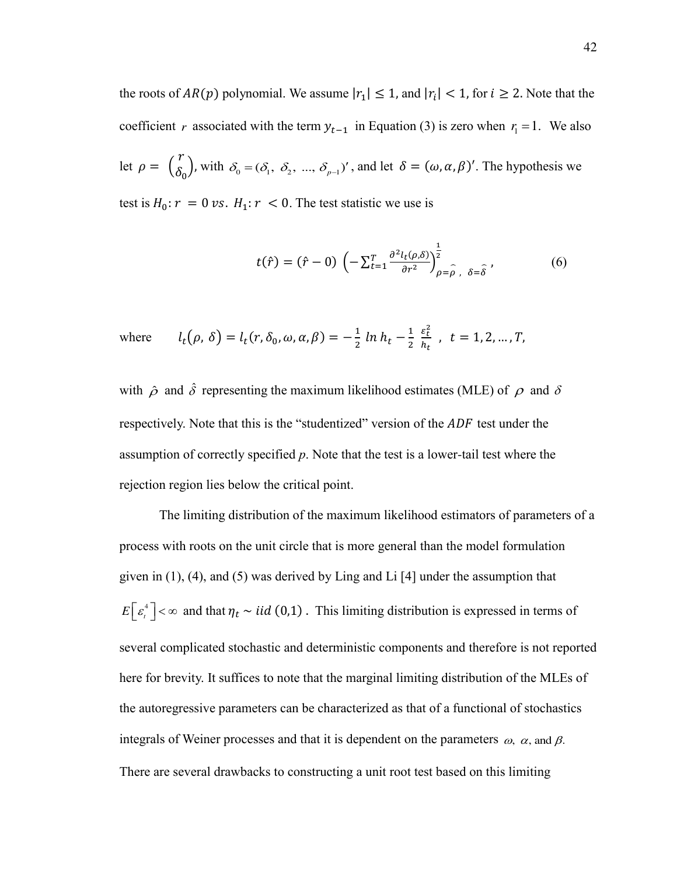the roots of  $AR(p)$  polynomial. We assume  $|r_1| \leq 1$ , and  $|r_i| < 1$ , for  $i \geq 2$ . Note that the coefficient *r* associated with the term  $y_{t-1}$  in Equation (3) is zero when  $r_1 = 1$ . We also let  $\rho = \begin{pmatrix} r \\ \delta \end{pmatrix}$  $\delta_0$ ), with  $\delta_0 = (\delta_1, \ \delta_2, \ ..., \ \delta_{p-1})'$ , and let  $\delta = (\omega, \alpha, \beta)'$ . The hypothesis we test is  $H_0: r = 0 \text{ vs. } H_1: r < 0$ . The test statistic we use is

$$
t(\hat{r}) = (\hat{r} - 0) \left( -\sum_{t=1}^{T} \frac{\partial^2 l_t(\rho, \delta)}{\partial r^2} \right)^{\frac{1}{2}}_{\rho = \hat{\rho}, \delta = \hat{\delta}}, \tag{6}
$$

where 
$$
l_t(\rho, \delta) = l_t(r, \delta_0, \omega, \alpha, \beta) = -\frac{1}{2} \ln h_t - \frac{1}{2} \frac{\varepsilon_t^2}{h_t}, t = 1, 2, ..., T,
$$

with  $\hat{\rho}$  and  $\hat{\delta}$  representing the maximum likelihood estimates (MLE) of  $\rho$  and  $\delta$ respectively. Note that this is the "studentized" version of the *ADF* test under the assumption of correctly specified *p*. Note that the test is a lower-tail test where the rejection region lies below the critical point.

The limiting distribution of the maximum likelihood estimators of parameters of a process with roots on the unit circle that is more general than the model formulation given in (1), (4), and (5) was derived by Ling and Li [4] under the assumption that  $E\left[\varepsilon_t^4\right] < \infty$  and that  $\eta_t \sim \textit{iid}(0,1)$ . This limiting distribution is expressed in terms of several complicated stochastic and deterministic components and therefore is not reported here for brevity. It suffices to note that the marginal limiting distribution of the MLEs of the autoregressive parameters can be characterized as that of a functional of stochastics integrals of Weiner processes and that it is dependent on the parameters  $\omega$ ,  $\alpha$ , and  $\beta$ . There are several drawbacks to constructing a unit root test based on this limiting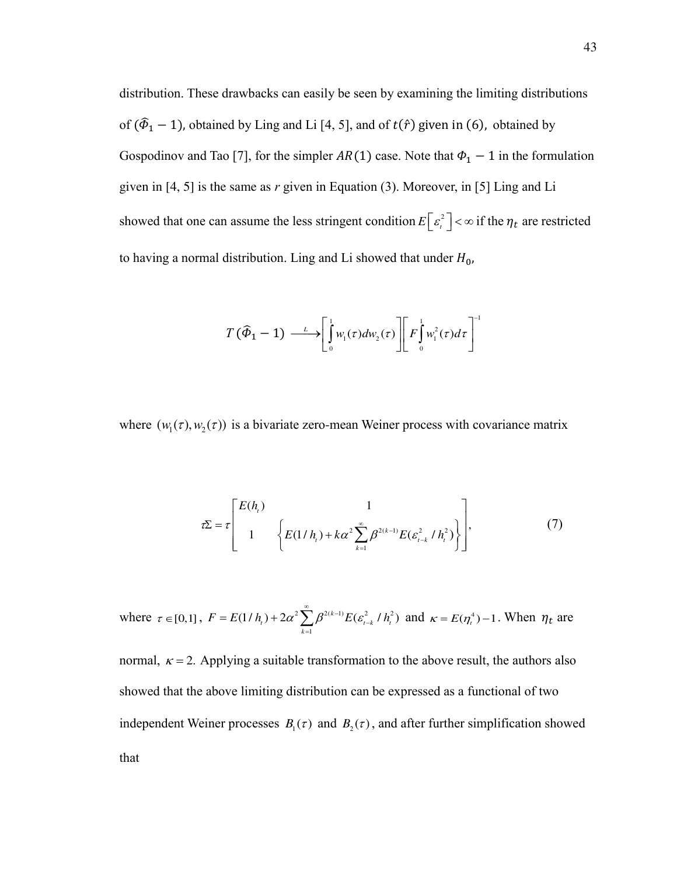distribution. These drawbacks can easily be seen by examining the limiting distributions of  $(\hat{\Phi}_1 - 1)$ , obtained by Ling and Li [4, 5], and of  $t(\hat{r})$  given in (6), obtained by Gospodinov and Tao [7], for the simpler  $AR(1)$  case. Note that  $\Phi_1 - 1$  in the formulation given in [4, 5] is the same as *r* given in Equation (3). Moreover, in [5] Ling and Li showed that one can assume the less stringent condition  $E\left[\varepsilon_t^2\right] < \infty$  if the  $\eta_t$  are restricted to having a normal distribution. Ling and Li showed that under  $H_0$ ,

$$
T(\widehat{\Phi}_1-1) \longrightarrow \left[\int_0^1 w_1(\tau) dw_2(\tau)\right] \left[F\int_0^1 w_1^2(\tau) d\tau\right]^{-1}
$$

where  $(w_1(\tau), w_2(\tau))$  is a bivariate zero-mean Weiner process with covariance matrix

$$
\tau \Sigma = \tau \left[ \begin{array}{ccc} E(h_i) & 1 \\ 1 & \left\{ E(1/h_i) + k\alpha^2 \sum_{k=1}^{\infty} \beta^{2(k-1)} E(\varepsilon_{t-k}^2/h_i^2) \right\} \end{array} \right],\tag{7}
$$

where  $\tau \in [0,1]$ ,  $F = E(1/h_t) + 2\alpha^2 \sum \beta^{2(k-1)} E(\varepsilon_{t-k}^2/h_t^2)$ 1  $(1/h_{i}) + 2\alpha^{2} \sum_{k=1}^{\infty} \beta^{2(k-1)} E(\varepsilon_{i-k}^{2} / h_{i}^{2})$  $F = E(1/h_{i}) + 2\alpha^{2} \sum_{k=1}^{\infty} \beta^{2(k-1)} E(\varepsilon_{i-k}^{2} / h_{i})$  $= E(1/h_t) + 2\alpha^2 \sum_{k=1}^{\infty} \beta^{2(k-1)} E(\varepsilon_{t-k}^2/h_t^2)$  and  $\kappa = E(\eta_t^4) - 1$ . When  $\eta_t$  are

normal,  $\kappa = 2$ . Applying a suitable transformation to the above result, the authors also showed that the above limiting distribution can be expressed as a functional of two independent Weiner processes  $B_1(\tau)$  and  $B_2(\tau)$ , and after further simplification showed that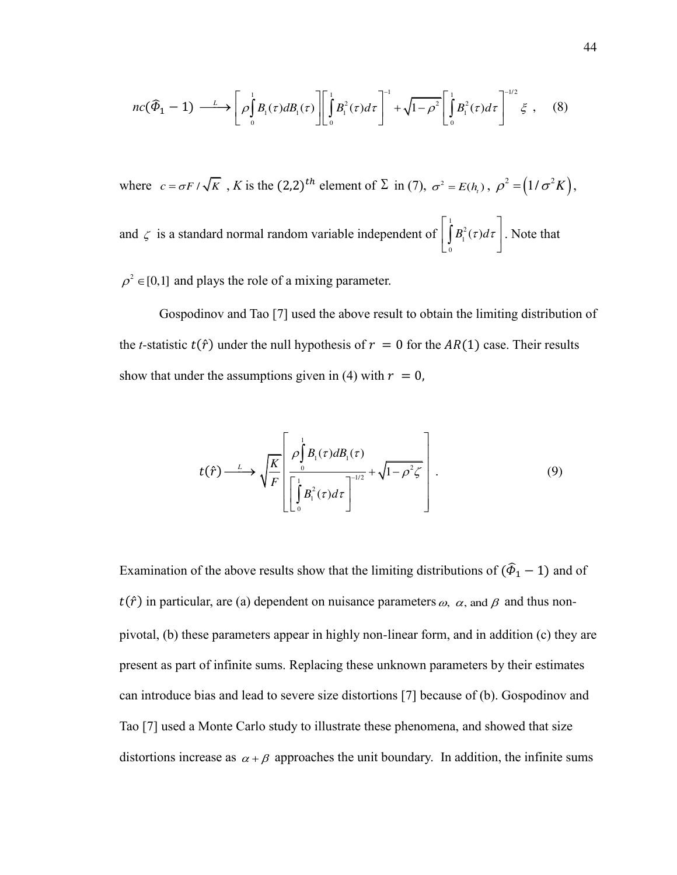$$
nc(\widehat{\Phi}_1 - 1) \xrightarrow{\iota} \left[ \rho \int_0^1 B_i(\tau) dB_i(\tau) \right] \left[ \int_0^1 B_i^2(\tau) d\tau \right]^{-1} + \sqrt{1 - \rho^2} \left[ \int_0^1 B_i^2(\tau) d\tau \right]^{-1/2} \xi , \quad (8)
$$

where  $c = \sigma F / \sqrt{K}$ , *K* is the  $(2,2)^{th}$  element of  $\Sigma$  in (7),  $\sigma^2 = E(h_i)$ ,  $\rho^2 = (1/\sigma^2 K)$ , and  $\zeta$  is a standard normal random variable independent of 1 2 1  $\boldsymbol{0}$  $B_{1}^{2}(\tau)d\tau$  $\begin{pmatrix} 1 & 1 \\ 0 & 0 & 1 \end{pmatrix}$  $\left[\int_{0} B_{1}^{2}(\tau)d\tau\right]$ . Note that

 $\rho^2 \in [0,1]$  and plays the role of a mixing parameter.

Gospodinov and Tao [7] used the above result to obtain the limiting distribution of the *t*-statistic  $t(\hat{r})$  under the null hypothesis of  $r = 0$  for the  $AR(1)$  case. Their results show that under the assumptions given in (4) with  $r = 0$ ,

$$
t(\hat{r}) \xrightarrow{L} \sqrt{\frac{K}{F}} \left[ \frac{\rho \int_{0}^{1} B_{1}(\tau) dB_{1}(\tau)}{\left[ \int_{0}^{1} B_{1}^{2}(\tau) d\tau \right]^{-1/2}} + \sqrt{1 - \rho^{2} \zeta} \right]. \tag{9}
$$

Examination of the above results show that the limiting distributions of  $(\hat{\Phi}_1 - 1)$  and of  $t(\hat{r})$  in particular, are (a) dependent on nuisance parameters  $\omega$ ,  $\alpha$ , and  $\beta$  and thus nonpivotal, (b) these parameters appear in highly non-linear form, and in addition (c) they are present as part of infinite sums. Replacing these unknown parameters by their estimates can introduce bias and lead to severe size distortions [7] because of (b). Gospodinov and Tao [7] used a Monte Carlo study to illustrate these phenomena, and showed that size distortions increase as  $\alpha + \beta$  approaches the unit boundary. In addition, the infinite sums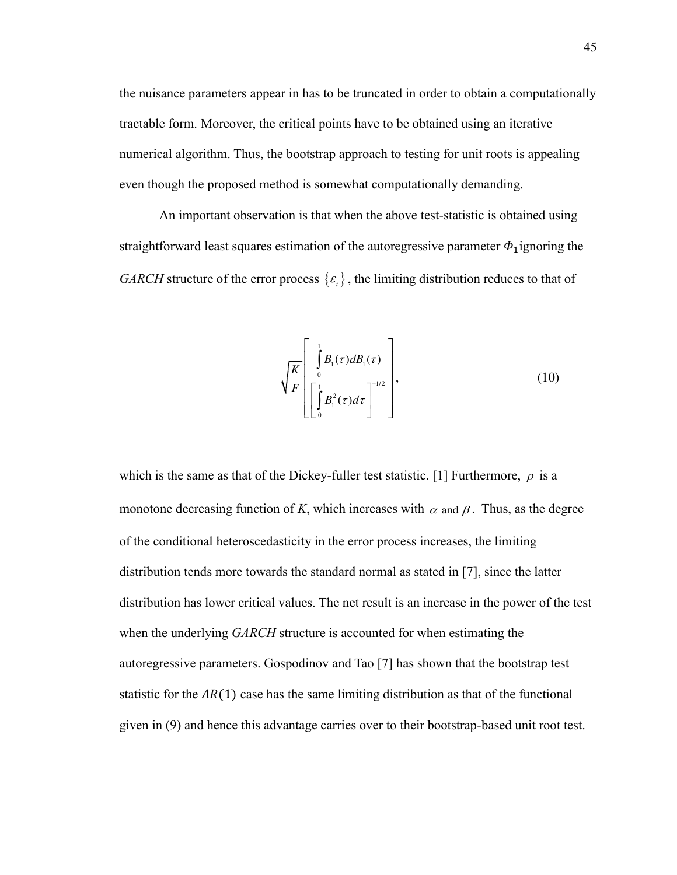the nuisance parameters appear in has to be truncated in order to obtain a computationally tractable form. Moreover, the critical points have to be obtained using an iterative numerical algorithm. Thus, the bootstrap approach to testing for unit roots is appealing even though the proposed method is somewhat computationally demanding.

An important observation is that when the above test-statistic is obtained using straightforward least squares estimation of the autoregressive parameter  $\Phi_1$ ignoring the *GARCH* structure of the error process  $\{\varepsilon_n\}$ , the limiting distribution reduces to that of

$$
\sqrt{\frac{K}{F}}\left[\frac{\int_{0}^{1}B_{1}(\tau)dB_{1}(\tau)}{\left[\int_{0}^{1}B_{1}^{2}(\tau)d\tau\right]^{-1/2}}\right],\tag{10}
$$

which is the same as that of the Dickey-fuller test statistic. [1] Furthermore,  $\rho$  is a monotone decreasing function of *K*, which increases with  $\alpha$  and  $\beta$ . Thus, as the degree of the conditional heteroscedasticity in the error process increases, the limiting distribution tends more towards the standard normal as stated in [7], since the latter distribution has lower critical values. The net result is an increase in the power of the test when the underlying *GARCH* structure is accounted for when estimating the autoregressive parameters. Gospodinov and Tao [7] has shown that the bootstrap test statistic for the  $AR(1)$  case has the same limiting distribution as that of the functional given in (9) and hence this advantage carries over to their bootstrap-based unit root test.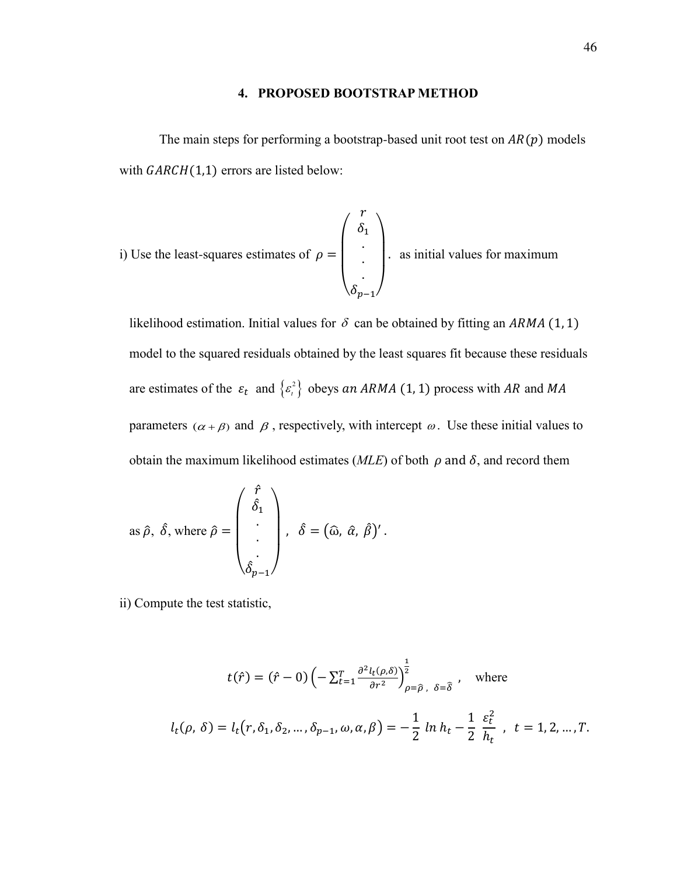## **4. PROPOSED BOOTSTRAP METHOD**

The main steps for performing a bootstrap-based unit root test on  $AR(p)$  models with  $GARCH(1,1)$  errors are listed below:

i) Use the least-squares estimates of 
$$
\rho = \begin{pmatrix} r \\ \delta_1 \\ \vdots \\ \delta_{p-1} \end{pmatrix}
$$
 as initial values for maximum

likelihood estimation. Initial values for  $\delta$  can be obtained by fitting an ARMA (1, 1) model to the squared residuals obtained by the least squares fit because these residuals are estimates of the  $\varepsilon_t$  and  $\{\varepsilon_t^2\}$  obeys an ARMA (1, 1) process with AR and MA parameters ( $\alpha + \beta$ ) and  $\beta$ , respectively, with intercept  $\omega$ . Use these initial values to obtain the maximum likelihood estimates ( $MLE$ ) of both  $\rho$  and  $\delta$ , and record them

as 
$$
\hat{\rho}
$$
,  $\hat{\delta}$ , where  $\hat{\rho} = \begin{pmatrix} \hat{f} \\ \hat{\delta}_1 \\ \cdot \\ \cdot \\ \hat{\delta}_{p-1} \end{pmatrix}$ ,  $\hat{\delta} = (\hat{\omega}, \hat{\alpha}, \hat{\beta})'$ .

ii) Compute the test statistic,

$$
t(\hat{r}) = (\hat{r} - 0) \left( -\sum_{t=1}^{T} \frac{\partial^2 l_t(\rho, \delta)}{\partial r^2} \right)^{\frac{1}{2}}_{\rho = \hat{\rho}, \delta = \hat{\delta}}, \text{ where}
$$
  

$$
l_t(\rho, \delta) = l_t(r, \delta_1, \delta_2, ..., \delta_{p-1}, \omega, \alpha, \beta) = -\frac{1}{2} \ln h_t - \frac{1}{2} \frac{\varepsilon_t^2}{h_t}, \quad t = 1, 2, ..., T.
$$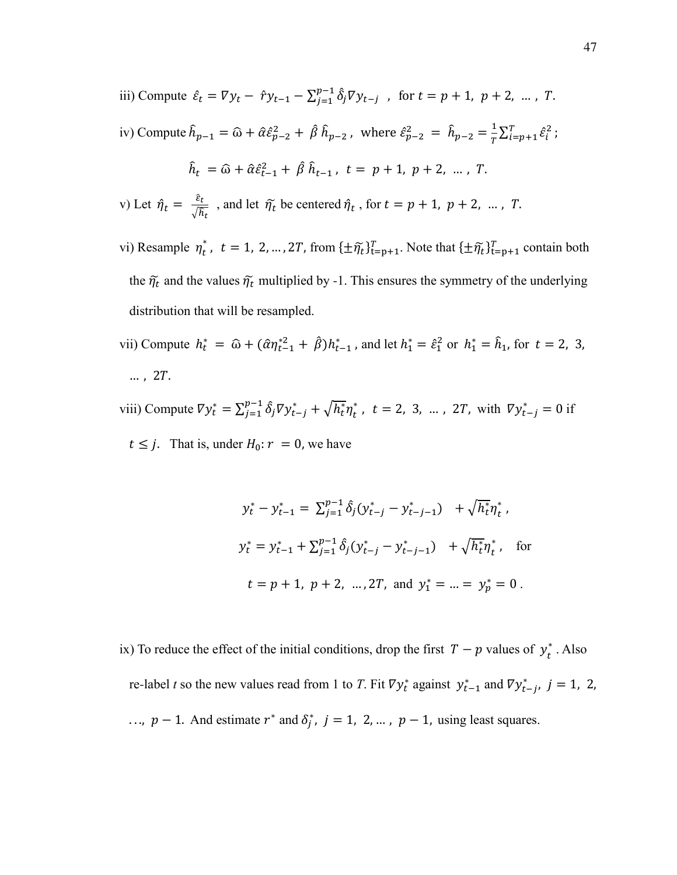- iii) Compute  $\hat{\varepsilon}_t = \nabla y_t \hat{r} y_{t-1} \sum_{j=1}^{p-1} \hat{\delta}_j \nabla y_{t-j}$ , for  $t = p + 1$ ,  $p + 2$ , ..., T. iv) Compute  $\hat{h}_{p-1} = \widehat{\omega} + \hat{\alpha}\hat{\epsilon}_{p-2}^2 + \hat{\beta}\,\hat{h}_{p-2}$  , where  $\hat{\epsilon}_{p-2}^2 = \hat{h}_{p-2} = \frac{1}{T}$  $\frac{1}{T} \sum_{i=p+1}^{T} \hat{\varepsilon}_i^2$ ;  $\hat{h}_t = \hat{\omega} + \hat{\alpha} \hat{\epsilon}_{t-1}^2 + \hat{\beta} \hat{h}_{t-1}, t = p + 1, p + 2, ..., T.$ v) Let  $\hat{\eta}_t = \frac{\varepsilon_t}{\sqrt{\hbar}}$  $\frac{\varepsilon_t}{\sqrt{\hat{h}_t}}$ , and let  $\tilde{\eta_t}$  be centered  $\hat{\eta_t}$ , for  $t = p + 1$ ,  $p + 2$ , ..., T.
- vi) Resample  $\eta_t^*$ ,  $t = 1, 2, ..., 2T$ , from  $\{\pm \tilde{\eta}_t\}_{t=p+1}^T$ . Note that  $\{\pm \tilde{\eta}_t\}_{t=p+1}^T$  contain both the  $\tilde{\eta_t}$  and the values  $\tilde{\eta_t}$  multiplied by -1. This ensures the symmetry of the underlying distribution that will be resampled.
- vii) Compute  $h_t^* = \hat{\omega} + (\hat{\alpha}\eta_{t-1}^{*2} + \hat{\beta})h_{t-1}^*$ , and let  $h_1^* = \hat{\epsilon}_1^2$  or  $h_1^* = \hat{h}_1$ , for  $t = 2, 3$ ,  $\ldots$ , 2 $T$ .
- viii) Compute  $\nabla y_t^* = \sum_{j=1}^{p-1} \hat{\delta}_j \nabla y_{t-j}^* + \sqrt{h_t^*} \eta_t^*$ ,  $t = 2, 3, ..., 2T$ , with  $\nabla y_{t-j}^* = 0$  if  $t \leq j$ . That is, under  $H_0: r = 0$ , we have

$$
y_t^* - y_{t-1}^* = \sum_{j=1}^{p-1} \hat{\delta}_j (y_{t-j}^* - y_{t-j-1}^*) + \sqrt{h_t^*} \eta_t^*,
$$
  

$$
y_t^* = y_{t-1}^* + \sum_{j=1}^{p-1} \hat{\delta}_j (y_{t-j}^* - y_{t-j-1}^*) + \sqrt{h_t^*} \eta_t^*, \text{ for}
$$
  

$$
t = p + 1, p + 2, ..., 2T, \text{ and } y_1^* = ... = y_p^* = 0.
$$

ix) To reduce the effect of the initial conditions, drop the first  $T - p$  values of  $y_t^*$ . Also re-label *t* so the new values read from 1 to *T*. Fit  $\nabla y_t^*$  against  $y_{t-1}^*$  and  $\nabla y_{t-j}^*$ ,  $j = 1, 2,$ ...,  $p-1$ . And estimate  $r^*$  and  $\delta_j^*$ ,  $j = 1, 2, ...$ ,  $p-1$ , using least squares.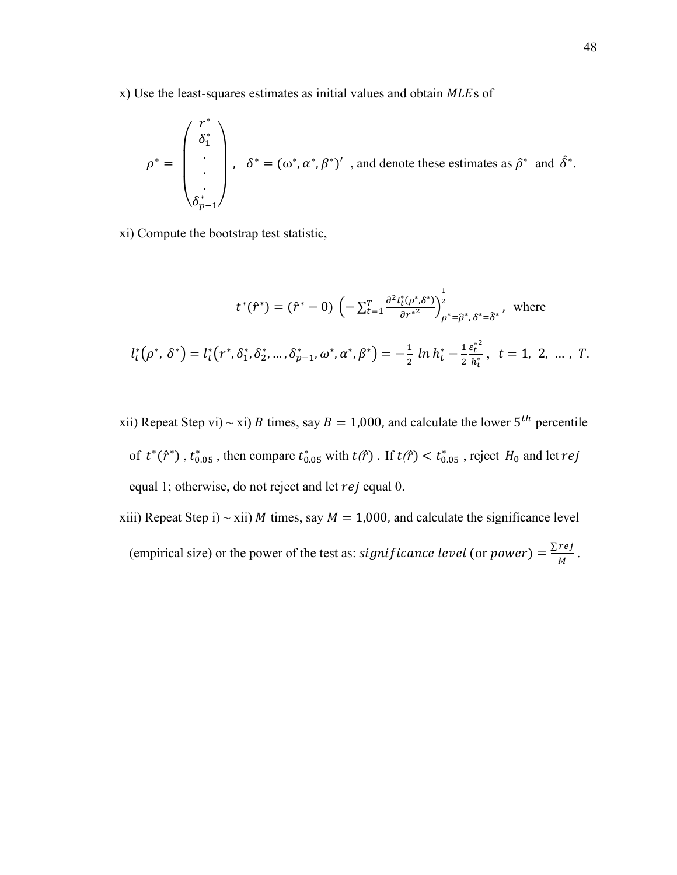$x)$  Use the least-squares estimates as initial values and obtain  $MLE$ s of

$$
\rho^* = \begin{pmatrix} r^* \\ \delta_1^* \\ \vdots \\ \delta_{p-1}^* \end{pmatrix}, \quad \delta^* = (\omega^*, \alpha^*, \beta^*)' \text{ , and denote these estimates as } \hat{\rho}^* \text{ and } \hat{\delta}^*.
$$

xi) Compute the bootstrap test statistic,

$$
t^*(\hat{r}^*) = (\hat{r}^* - 0) \left( -\sum_{t=1}^T \frac{\partial^2 l_t^*(\rho^*, \delta^*)}{\partial r^*} \right)_{\rho^* = \hat{\rho}^*, \delta^* = \hat{\delta}^*}^{\frac{1}{2}}, \text{ where}
$$

$$
l_t^*(\rho^*, \delta^*) = l_t^*(r^*, \delta_1^*, \delta_2^*, \dots, \delta_{p-1}^*, \omega^*, \alpha^*, \beta^*) = -\frac{1}{2} \ln h_t^* - \frac{1}{2} \frac{\varepsilon_t^{*2}}{h_t^*}, \quad t = 1, 2, \dots, T.
$$

- xii) Repeat Step vi) ~ xi) *B* times, say  $B = 1,000$ , and calculate the lower  $5<sup>th</sup>$  percentile of  $t^*(\hat{r}^*)$ ,  $t^*_{0.05}$ , then compare  $t^*_{0.05}$  with  $t(\hat{r})$ . If  $t(\hat{r}) < t^*_{0.05}$ , reject  $H_0$  and let  $rej$ equal 1; otherwise, do not reject and let  $rej$  equal 0.
- xiii) Repeat Step i) ~ xii) *M* times, say  $M = 1,000$ , and calculate the significance level (empirical size) or the power of the test as: *significance level* (or *power*) =  $\frac{\sum re_j}{M}$ .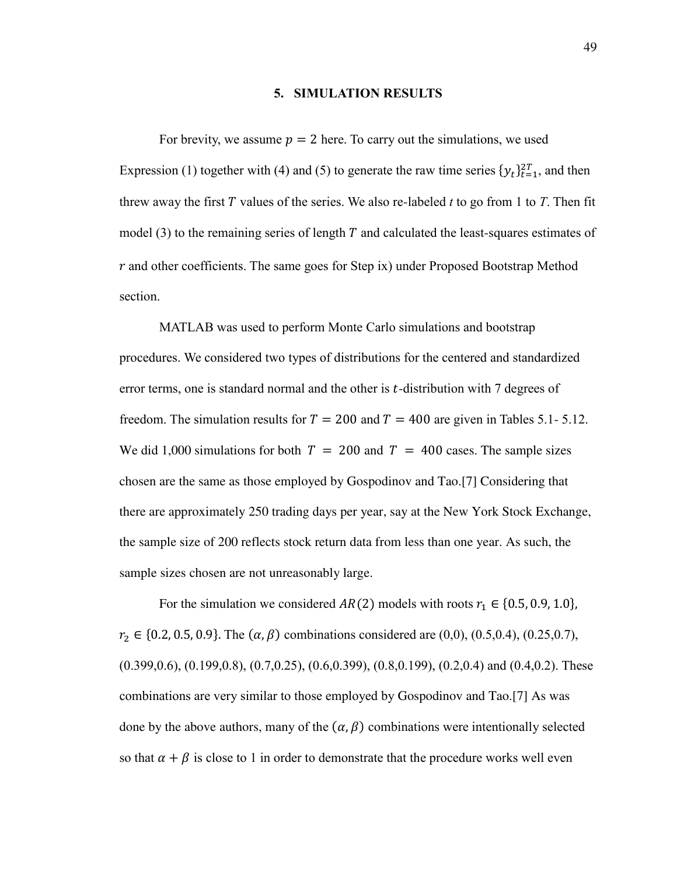## **5. SIMULATION RESULTS**

For brevity, we assume  $p = 2$  here. To carry out the simulations, we used Expression (1) together with (4) and (5) to generate the raw time series  $\{y_t\}_{t=1}^{2T}$ , and then threw away the first  $T$  values of the series. We also re-labeled  $t$  to go from 1 to  $T$ . Then fit model  $(3)$  to the remaining series of length T and calculated the least-squares estimates of  $r$  and other coefficients. The same goes for Step ix) under Proposed Bootstrap Method section.

MATLAB was used to perform Monte Carlo simulations and bootstrap procedures. We considered two types of distributions for the centered and standardized error terms, one is standard normal and the other is  $t$ -distribution with  $7$  degrees of freedom. The simulation results for  $T = 200$  and  $T = 400$  are given in Tables 5.1- 5.12. We did 1,000 simulations for both  $T = 200$  and  $T = 400$  cases. The sample sizes chosen are the same as those employed by Gospodinov and Tao.[7] Considering that there are approximately 250 trading days per year, say at the New York Stock Exchange, the sample size of 200 reflects stock return data from less than one year. As such, the sample sizes chosen are not unreasonably large.

For the simulation we considered  $AR(2)$  models with roots  $r_1 \in \{0.5, 0.9, 1.0\}$ ,  $r_2 \in \{0.2, 0.5, 0.9\}$ . The  $(\alpha, \beta)$  combinations considered are (0,0), (0.5,0.4), (0.25,0.7),  $(0.399, 0.6)$ ,  $(0.199, 0.8)$ ,  $(0.7, 0.25)$ ,  $(0.6, 0.399)$ ,  $(0.8, 0.199)$ ,  $(0.2, 0.4)$  and  $(0.4, 0.2)$ . These combinations are very similar to those employed by Gospodinov and Tao.[7] As was done by the above authors, many of the  $(\alpha, \beta)$  combinations were intentionally selected so that  $\alpha + \beta$  is close to 1 in order to demonstrate that the procedure works well even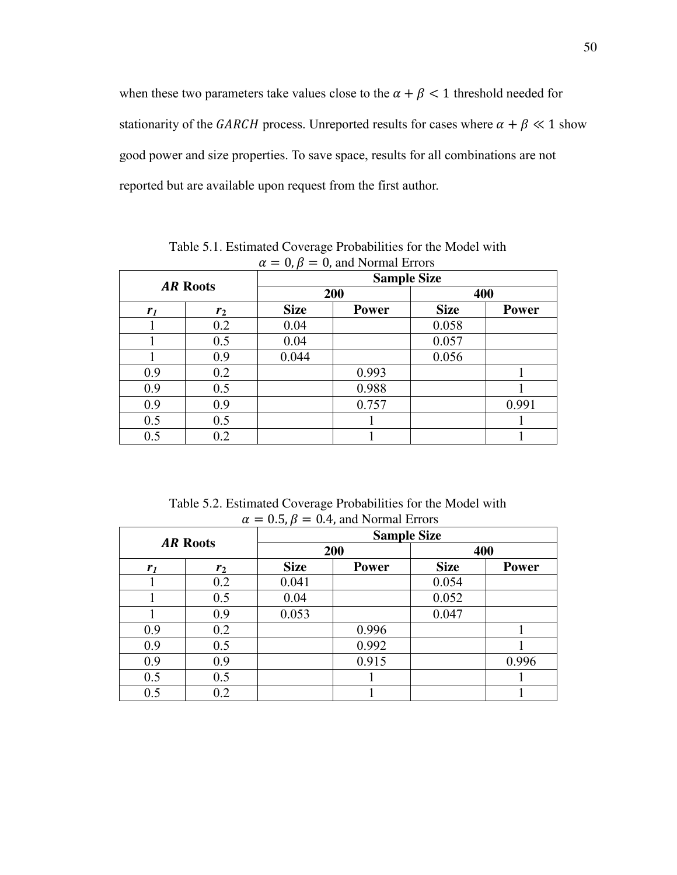when these two parameters take values close to the  $\alpha + \beta < 1$  threshold needed for stationarity of the GARCH process. Unreported results for cases where  $\alpha + \beta \ll 1$  show good power and size properties. To save space, results for all combinations are not reported but are available upon request from the first author.

| $\mathbf{r}$    |                |                    |              |             |              |  |  |
|-----------------|----------------|--------------------|--------------|-------------|--------------|--|--|
| <b>AR Roots</b> |                | <b>Sample Size</b> |              |             |              |  |  |
|                 |                |                    | 200          |             | 400          |  |  |
| r <sub>1</sub>  | r <sub>2</sub> | <b>Size</b>        | <b>Power</b> | <b>Size</b> | <b>Power</b> |  |  |
|                 | 0.2            | 0.04               |              | 0.058       |              |  |  |
|                 | 0.5            | 0.04               |              | 0.057       |              |  |  |
|                 | 0.9            | 0.044              |              | 0.056       |              |  |  |
| 0.9             | 0.2            |                    | 0.993        |             |              |  |  |
| 0.9             | 0.5            |                    | 0.988        |             |              |  |  |
| 0.9             | 0.9            |                    | 0.757        |             | 0.991        |  |  |
| 0.5             | 0.5            |                    |              |             |              |  |  |
| 0.5             | 0.2            |                    |              |             |              |  |  |

Table 5.1. Estimated Coverage Probabilities for the Model with  $\alpha = 0, \beta = 0$ , and Normal Errors

Table 5.2. Estimated Coverage Probabilities for the Model with  $\alpha = 0.5$ ,  $\beta = 0.4$ , and Normal Errors

| <b>AR Roots</b> |                | <b>Sample Size</b> |              |             |              |  |  |
|-----------------|----------------|--------------------|--------------|-------------|--------------|--|--|
|                 |                |                    | 200          | 400         |              |  |  |
| r <sub>1</sub>  | r <sub>2</sub> | <b>Size</b>        | <b>Power</b> | <b>Size</b> | <b>Power</b> |  |  |
|                 | 0.2            | 0.041              |              | 0.054       |              |  |  |
|                 | 0.5            | 0.04               |              | 0.052       |              |  |  |
|                 | 0.9            | 0.053              |              | 0.047       |              |  |  |
| 0.9             | 0.2            |                    | 0.996        |             |              |  |  |
| 0.9             | 0.5            |                    | 0.992        |             |              |  |  |
| 0.9             | 0.9            |                    | 0.915        |             | 0.996        |  |  |
| 0.5             | 0.5            |                    |              |             |              |  |  |
| 0.5             | 0.2            |                    |              |             |              |  |  |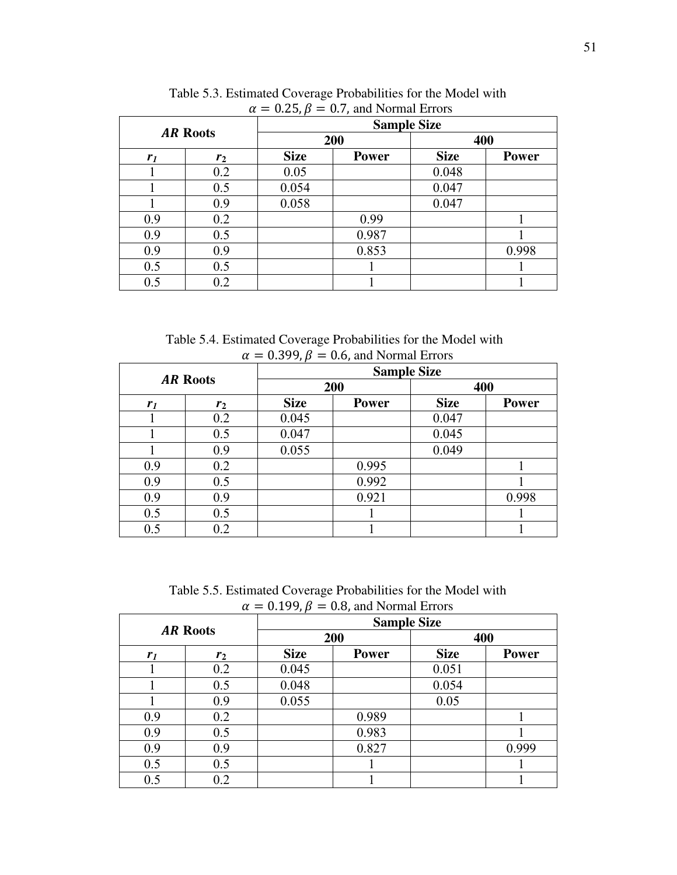|                 |       | $\mu = 0.2$ J, $\mu = 0.7$ , and inditial Errors<br><b>Sample Size</b> |              |             |              |  |  |
|-----------------|-------|------------------------------------------------------------------------|--------------|-------------|--------------|--|--|
| <b>AR Roots</b> |       |                                                                        | 200          | 400         |              |  |  |
| r <sub>1</sub>  | $r_2$ | <b>Size</b>                                                            | <b>Power</b> | <b>Size</b> | <b>Power</b> |  |  |
|                 | 0.2   | 0.05                                                                   |              | 0.048       |              |  |  |
|                 | 0.5   | 0.054                                                                  |              | 0.047       |              |  |  |
|                 | 0.9   | 0.058                                                                  |              | 0.047       |              |  |  |
| 0.9             | 0.2   |                                                                        | 0.99         |             |              |  |  |
| 0.9             | 0.5   |                                                                        | 0.987        |             |              |  |  |
| 0.9             | 0.9   |                                                                        | 0.853        |             | 0.998        |  |  |
| 0.5             | 0.5   |                                                                        |              |             |              |  |  |
| 0.5             | 0.2   |                                                                        |              |             |              |  |  |

 Table 5.3. Estimated Coverage Probabilities for the Model with  $\alpha = 0.25, \beta = 0.7$ , and Normal Errors

 Table 5.4. Estimated Coverage Probabilities for the Model with  $\alpha = 0.399$ ,  $\beta = 0.6$ , and Normal Errors

| <b>AR Roots</b> |                | . .<br><b>Sample Size</b> |              |             |              |  |  |
|-----------------|----------------|---------------------------|--------------|-------------|--------------|--|--|
|                 |                |                           | 200          | 400         |              |  |  |
| r <sub>1</sub>  | r <sub>2</sub> | <b>Size</b>               | <b>Power</b> | <b>Size</b> | <b>Power</b> |  |  |
|                 | 0.2            | 0.045                     |              | 0.047       |              |  |  |
|                 | 0.5            | 0.047                     |              | 0.045       |              |  |  |
|                 | 0.9            | 0.055                     |              | 0.049       |              |  |  |
| 0.9             | 0.2            |                           | 0.995        |             |              |  |  |
| 0.9             | 0.5            |                           | 0.992        |             |              |  |  |
| 0.9             | 0.9            |                           | 0.921        |             | 0.998        |  |  |
| 0.5             | 0.5            |                           |              |             |              |  |  |
| 0.5             | 0.2            |                           |              |             |              |  |  |

Table 5.5. Estimated Coverage Probabilities for the Model with  $\alpha = 0.199$ ,  $\beta = 0.8$ , and Normal Errors

| u<br>0.1277<br>$0.0$ , and $1$ soluted Eurols |       |                    |              |             |              |  |  |
|-----------------------------------------------|-------|--------------------|--------------|-------------|--------------|--|--|
| <b>AR Roots</b>                               |       | <b>Sample Size</b> |              |             |              |  |  |
|                                               |       |                    | 200          | 400         |              |  |  |
| r <sub>1</sub>                                | $r_2$ | <b>Size</b>        | <b>Power</b> | <b>Size</b> | <b>Power</b> |  |  |
|                                               | 0.2   | 0.045              |              | 0.051       |              |  |  |
|                                               | 0.5   | 0.048              |              | 0.054       |              |  |  |
|                                               | 0.9   | 0.055              |              | 0.05        |              |  |  |
| 0.9                                           | 0.2   |                    | 0.989        |             |              |  |  |
| 0.9                                           | 0.5   |                    | 0.983        |             |              |  |  |
| 0.9                                           | 0.9   |                    | 0.827        |             | 0.999        |  |  |
| 0.5                                           | 0.5   |                    |              |             |              |  |  |
| 0.5                                           | 0.2   |                    |              |             |              |  |  |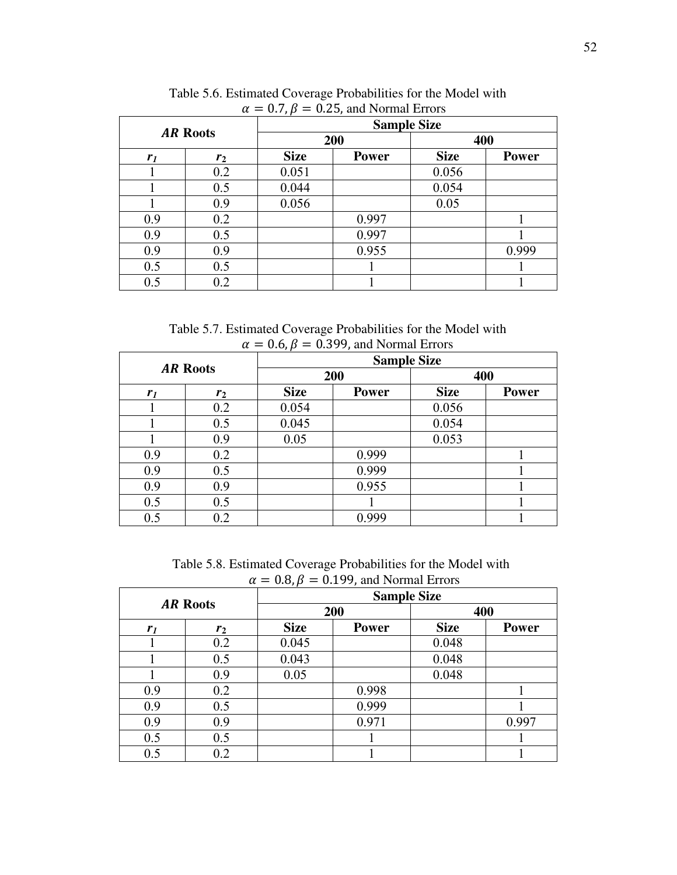|                 |       | $\mu = 0.7$ , $\mu = 0.23$ , and indifficulties<br><b>Sample Size</b> |              |             |              |  |  |
|-----------------|-------|-----------------------------------------------------------------------|--------------|-------------|--------------|--|--|
| <b>AR Roots</b> |       |                                                                       | 200          | 400         |              |  |  |
| r <sub>I</sub>  | $r_2$ | <b>Size</b>                                                           | <b>Power</b> | <b>Size</b> | <b>Power</b> |  |  |
|                 | 0.2   | 0.051                                                                 |              | 0.056       |              |  |  |
|                 | 0.5   | 0.044                                                                 |              | 0.054       |              |  |  |
|                 | 0.9   | 0.056                                                                 |              | 0.05        |              |  |  |
| 0.9             | 0.2   |                                                                       | 0.997        |             |              |  |  |
| 0.9             | 0.5   |                                                                       | 0.997        |             |              |  |  |
| 0.9             | 0.9   |                                                                       | 0.955        |             | 0.999        |  |  |
| 0.5             | 0.5   |                                                                       |              |             |              |  |  |
| 0.5             | 0.2   |                                                                       |              |             |              |  |  |

 Table 5.6. Estimated Coverage Probabilities for the Model with  $\alpha = 0.7$ ,  $\beta = 0.25$ , and Normal Errors

 Table 5.7. Estimated Coverage Probabilities for the Model with  $\alpha = 0.6$ ,  $\beta = 0.399$ , and Normal Errors

| <b>AR Roots</b> |                | <b>Sample Size</b> |              |             |              |  |  |
|-----------------|----------------|--------------------|--------------|-------------|--------------|--|--|
|                 |                |                    | 200          | 400         |              |  |  |
| r <sub>1</sub>  | r <sub>2</sub> | <b>Size</b>        | <b>Power</b> | <b>Size</b> | <b>Power</b> |  |  |
|                 | 0.2            | 0.054              |              | 0.056       |              |  |  |
|                 | 0.5            | 0.045              |              | 0.054       |              |  |  |
|                 | 0.9            | 0.05               |              | 0.053       |              |  |  |
| 0.9             | 0.2            |                    | 0.999        |             |              |  |  |
| 0.9             | 0.5            |                    | 0.999        |             |              |  |  |
| 0.9             | 0.9            |                    | 0.955        |             |              |  |  |
| 0.5             | 0.5            |                    |              |             |              |  |  |
| 0.5             | 0.2            |                    | 0.999        |             |              |  |  |

 Table 5.8. Estimated Coverage Probabilities for the Model with  $\alpha = 0.8$ ,  $\beta = 0.199$ , and Normal Errors

| <b>AR Roots</b> |       | . .<br><b>Sample Size</b> |              |             |              |  |  |
|-----------------|-------|---------------------------|--------------|-------------|--------------|--|--|
|                 |       |                           | 200          |             | 400          |  |  |
| r <sub>1</sub>  | $r_2$ | <b>Size</b>               | <b>Power</b> | <b>Size</b> | <b>Power</b> |  |  |
|                 | 0.2   | 0.045                     |              | 0.048       |              |  |  |
|                 | 0.5   | 0.043                     |              | 0.048       |              |  |  |
|                 | 0.9   | 0.05                      |              | 0.048       |              |  |  |
| 0.9             | 0.2   |                           | 0.998        |             |              |  |  |
| 0.9             | 0.5   |                           | 0.999        |             |              |  |  |
| 0.9             | 0.9   |                           | 0.971        |             | 0.997        |  |  |
| 0.5             | 0.5   |                           |              |             |              |  |  |
| 0.5             | 0.2   |                           |              |             |              |  |  |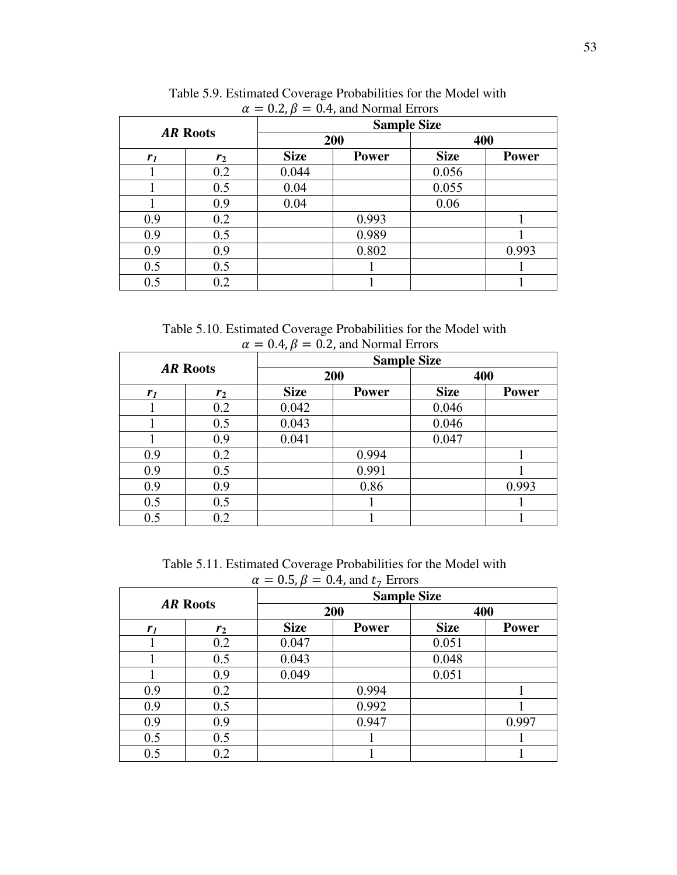| $\mu = 0.2, p = 0.7$ , and indicated Errors |                |             |                    |             |              |  |  |  |
|---------------------------------------------|----------------|-------------|--------------------|-------------|--------------|--|--|--|
|                                             |                |             | <b>Sample Size</b> |             |              |  |  |  |
| <b>AR Roots</b>                             |                |             | 200                | 400         |              |  |  |  |
| r <sub>1</sub>                              | r <sub>2</sub> | <b>Size</b> | <b>Power</b>       | <b>Size</b> | <b>Power</b> |  |  |  |
|                                             | 0.2            | 0.044       |                    | 0.056       |              |  |  |  |
|                                             | 0.5            | 0.04        |                    | 0.055       |              |  |  |  |
|                                             | 0.9            | 0.04        |                    | 0.06        |              |  |  |  |
| 0.9                                         | 0.2            |             | 0.993              |             |              |  |  |  |
| 0.9                                         | 0.5            |             | 0.989              |             |              |  |  |  |
| 0.9                                         | 0.9            |             | 0.802              |             | 0.993        |  |  |  |
| 0.5                                         | 0.5            |             |                    |             |              |  |  |  |
| 0.5                                         | 0.2            |             |                    |             |              |  |  |  |

 Table 5.9. Estimated Coverage Probabilities for the Model with  $\alpha = 0.2$ ,  $\beta = 0.4$ , and Normal Errors

Table 5.10. Estimated Coverage Probabilities for the Model with  $\alpha = 0.4$ ,  $\beta = 0.2$ , and Normal Errors

| <b>AR Roots</b> |                | . .<br><b>Sample Size</b> |              |             |              |  |  |
|-----------------|----------------|---------------------------|--------------|-------------|--------------|--|--|
|                 |                |                           | 200          | 400         |              |  |  |
| r <sub>1</sub>  | r <sub>2</sub> | <b>Size</b>               | <b>Power</b> | <b>Size</b> | <b>Power</b> |  |  |
|                 | 0.2            | 0.042                     |              | 0.046       |              |  |  |
|                 | 0.5            | 0.043                     |              | 0.046       |              |  |  |
|                 | 0.9            | 0.041                     |              | 0.047       |              |  |  |
| 0.9             | 0.2            |                           | 0.994        |             |              |  |  |
| 0.9             | 0.5            |                           | 0.991        |             |              |  |  |
| 0.9             | 0.9            |                           | 0.86         |             | 0.993        |  |  |
| 0.5             | 0.5            |                           |              |             |              |  |  |
| 0.5             | 0.2            |                           |              |             |              |  |  |

 Table 5.11. Estimated Coverage Probabilities for the Model with  $\alpha = 0.5$ ,  $\beta = 0.4$ , and  $t_7$  Errors

| <b>AR Roots</b> |                | $\cdot$ ,<br>$\cdot$<br><b>Sample Size</b> |              |             |              |  |
|-----------------|----------------|--------------------------------------------|--------------|-------------|--------------|--|
|                 |                | 200                                        |              | 400         |              |  |
| r <sub>I</sub>  | r <sub>2</sub> | <b>Size</b>                                | <b>Power</b> | <b>Size</b> | <b>Power</b> |  |
|                 | 0.2            | 0.047                                      |              | 0.051       |              |  |
|                 | 0.5            | 0.043                                      |              | 0.048       |              |  |
|                 | 0.9            | 0.049                                      |              | 0.051       |              |  |
| 0.9             | 0.2            |                                            | 0.994        |             |              |  |
| 0.9             | 0.5            |                                            | 0.992        |             |              |  |
| 0.9             | 0.9            |                                            | 0.947        |             | 0.997        |  |
| 0.5             | 0.5            |                                            |              |             |              |  |
| 0.5             | 0.2            |                                            |              |             |              |  |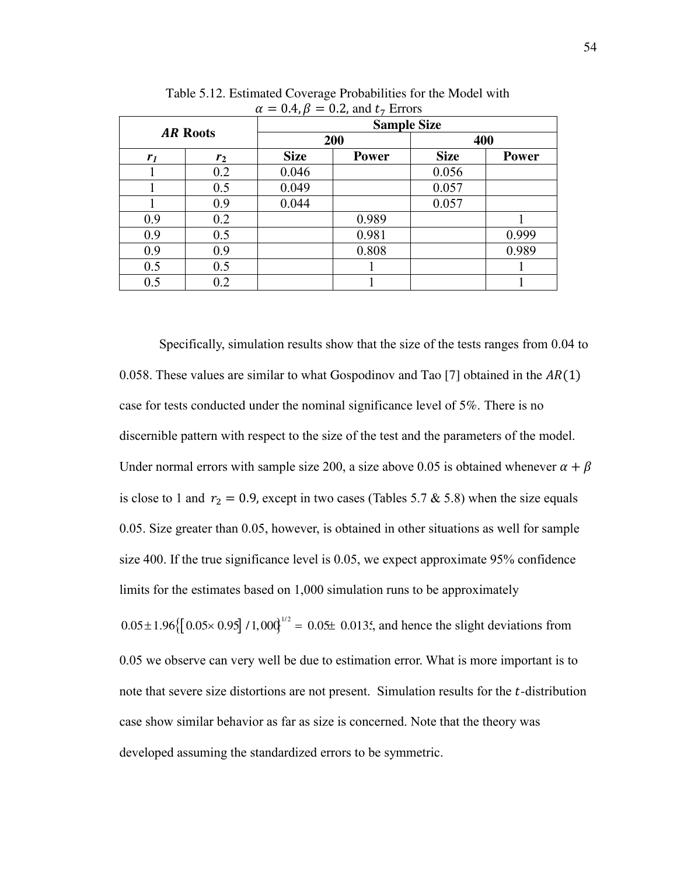| $\mu - \nu_{1}$ , $\mu - \nu_{1}$ , and $\nu_{7}$ Errors<br><b>Sample Size</b> |       |             |              |             |              |  |
|--------------------------------------------------------------------------------|-------|-------------|--------------|-------------|--------------|--|
| <b>AR Roots</b>                                                                |       | 200         |              | 400         |              |  |
| r <sub>1</sub>                                                                 | $r_2$ | <b>Size</b> | <b>Power</b> | <b>Size</b> | <b>Power</b> |  |
|                                                                                | 0.2   | 0.046       |              | 0.056       |              |  |
|                                                                                | 0.5   | 0.049       |              | 0.057       |              |  |
|                                                                                | 0.9   | 0.044       |              | 0.057       |              |  |
| 0.9                                                                            | 0.2   |             | 0.989        |             |              |  |
| 0.9                                                                            | 0.5   |             | 0.981        |             | 0.999        |  |
| 0.9                                                                            | 0.9   |             | 0.808        |             | 0.989        |  |
| 0.5                                                                            | 0.5   |             |              |             |              |  |
| 0.5                                                                            | 0.2   |             |              |             |              |  |

 Table 5.12. Estimated Coverage Probabilities for the Model with  $\alpha = 0.4$   $\beta = 0.2$  and  $t_7$  Errors

Specifically, simulation results show that the size of the tests ranges from 0.04 to 0.058. These values are similar to what Gospodinov and Tao [7] obtained in the  $AR(1)$ case for tests conducted under the nominal significance level of 5%. There is no discernible pattern with respect to the size of the test and the parameters of the model. Under normal errors with sample size 200, a size above 0.05 is obtained whenever  $\alpha + \beta$ is close to 1 and  $r_2 = 0.9$ , except in two cases (Tables 5.7 & 5.8) when the size equals 0.05. Size greater than 0.05, however, is obtained in other situations as well for sample size 400. If the true significance level is 0.05, we expect approximate 95% confidence limits for the estimates based on 1,000 simulation runs to be approximately  $0.05 \pm 1.96 \{ [ 0.05 \times 0.95] / 1,000 \}^{1/2} = 0.05 \pm 0.0135$ , and hence the slight deviations from 0.05 we observe can very well be due to estimation error. What is more important is to note that severe size distortions are not present. Simulation results for the  $t$ -distribution case show similar behavior as far as size is concerned. Note that the theory was developed assuming the standardized errors to be symmetric.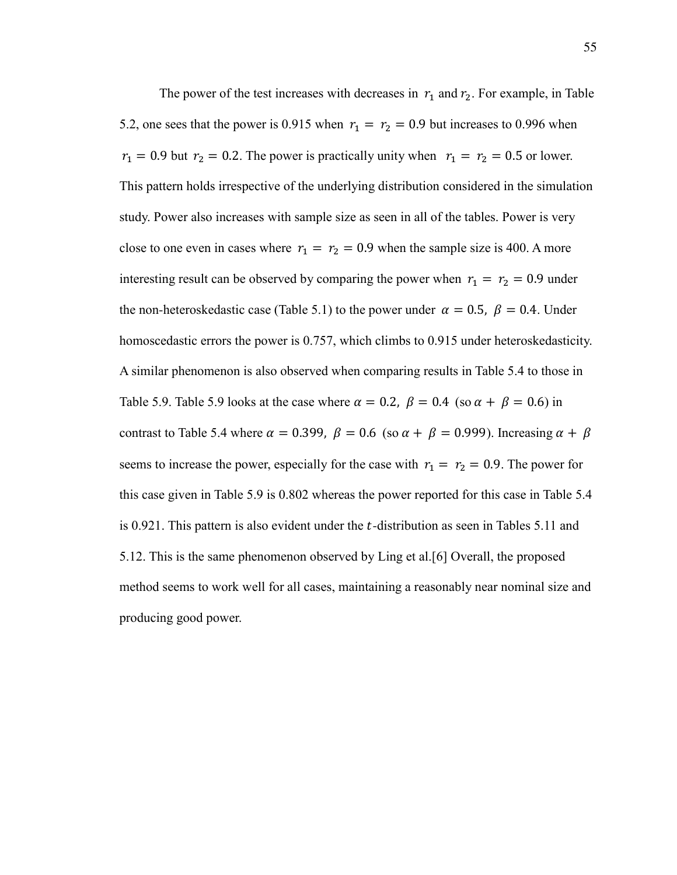The power of the test increases with decreases in  $r_1$  and  $r_2$ . For example, in Table 5.2, one sees that the power is 0.915 when  $r_1 = r_2 = 0.9$  but increases to 0.996 when  $r_1 = 0.9$  but  $r_2 = 0.2$ . The power is practically unity when  $r_1 = r_2 = 0.5$  or lower. This pattern holds irrespective of the underlying distribution considered in the simulation study. Power also increases with sample size as seen in all of the tables. Power is very close to one even in cases where  $r_1 = r_2 = 0.9$  when the sample size is 400. A more interesting result can be observed by comparing the power when  $r_1 = r_2 = 0.9$  under the non-heteroskedastic case (Table 5.1) to the power under  $\alpha = 0.5$ ,  $\beta = 0.4$ . Under homoscedastic errors the power is 0.757, which climbs to 0.915 under heteroskedasticity. A similar phenomenon is also observed when comparing results in Table 5.4 to those in Table 5.9. Table 5.9 looks at the case where  $\alpha = 0.2$ ,  $\beta = 0.4$  (so  $\alpha + \beta = 0.6$ ) in contrast to Table 5.4 where  $\alpha = 0.399$ ,  $\beta = 0.6$  (so  $\alpha + \beta = 0.999$ ). Increasing  $\alpha + \beta$ seems to increase the power, especially for the case with  $r_1 = r_2 = 0.9$ . The power for this case given in Table 5.9 is 0.802 whereas the power reported for this case in Table 5.4 is  $0.921$ . This pattern is also evident under the *t*-distribution as seen in Tables 5.11 and 5.12. This is the same phenomenon observed by Ling et al.[6] Overall, the proposed method seems to work well for all cases, maintaining a reasonably near nominal size and producing good power.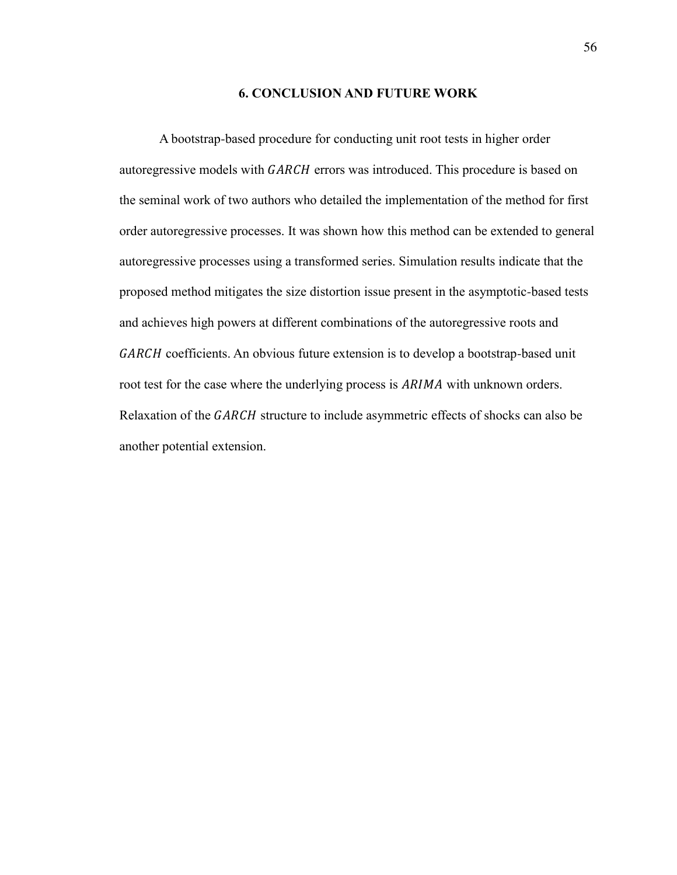## **6. CONCLUSION AND FUTURE WORK**

A bootstrap-based procedure for conducting unit root tests in higher order autoregressive models with GARCH errors was introduced. This procedure is based on the seminal work of two authors who detailed the implementation of the method for first order autoregressive processes. It was shown how this method can be extended to general autoregressive processes using a transformed series. Simulation results indicate that the proposed method mitigates the size distortion issue present in the asymptotic-based tests and achieves high powers at different combinations of the autoregressive roots and GARCH coefficients. An obvious future extension is to develop a bootstrap-based unit root test for the case where the underlying process is ARIMA with unknown orders. Relaxation of the GARCH structure to include asymmetric effects of shocks can also be another potential extension.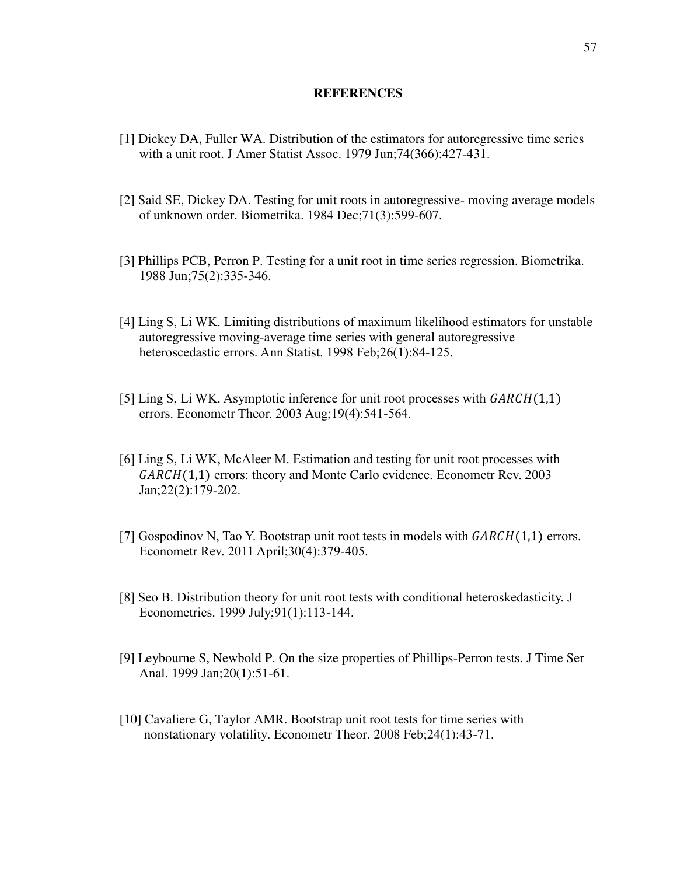#### **REFERENCES**

- [1] Dickey DA, Fuller WA. Distribution of the estimators for autoregressive time series with a unit root. J Amer Statist Assoc. 1979 Jun;74(366):427-431.
- [2] Said SE, Dickey DA. Testing for unit roots in autoregressive- moving average models of unknown order. Biometrika. 1984 Dec;71(3):599-607.
- [3] Phillips PCB, Perron P. Testing for a unit root in time series regression. Biometrika. 1988 Jun;75(2):335-346.
- [4] Ling S, Li WK. Limiting distributions of maximum likelihood estimators for unstable autoregressive moving-average time series with general autoregressive heteroscedastic errors. Ann Statist. 1998 Feb;26(1):84-125.
- [5] Ling S, Li WK. Asymptotic inference for unit root processes with  $GARCH(1,1)$ errors. Econometr Theor. 2003 Aug;19(4):541-564.
- [6] Ling S, Li WK, McAleer M. Estimation and testing for unit root processes with  $GARCH(1,1)$  errors: theory and Monte Carlo evidence. Econometr Rev. 2003 Jan;22(2):179-202.
- [7] Gospodinov N, Tao Y. Bootstrap unit root tests in models with  $GARCH(1,1)$  errors. Econometr Rev. 2011 April;30(4):379-405.
- [8] Seo B. Distribution theory for unit root tests with conditional heteroskedasticity. J Econometrics. 1999 July;91(1):113-144.
- [9] Leybourne S, Newbold P. On the size properties of Phillips-Perron tests. J Time Ser Anal. 1999 Jan;20(1):51-61.
- [10] Cavaliere G, Taylor AMR. Bootstrap unit root tests for time series with nonstationary volatility. Econometr Theor. 2008 Feb;24(1):43-71.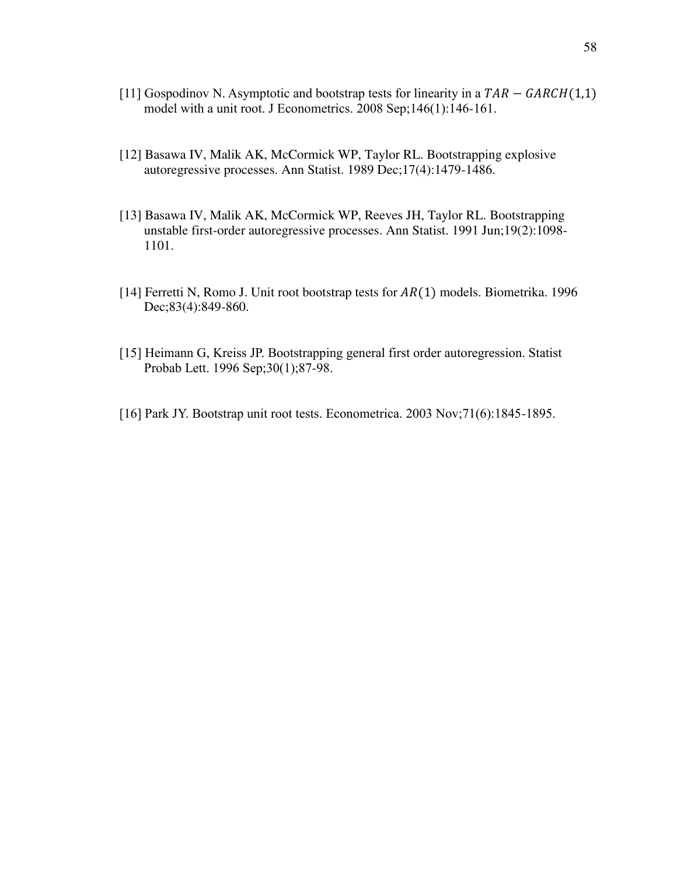- [11] Gospodinov N. Asymptotic and bootstrap tests for linearity in a  $TAR GARCH(1,1)$ model with a unit root. J Econometrics. 2008 Sep;146(1):146-161.
- [12] Basawa IV, Malik AK, McCormick WP, Taylor RL. Bootstrapping explosive autoregressive processes. Ann Statist. 1989 Dec;17(4):1479-1486.
- [13] Basawa IV, Malik AK, McCormick WP, Reeves JH, Taylor RL. Bootstrapping unstable first-order autoregressive processes. Ann Statist. 1991 Jun;19(2):1098- 1101.
- [14] Ferretti N, Romo J. Unit root bootstrap tests for  $AR(1)$  models. Biometrika. 1996 Dec;83(4):849-860.
- [15] Heimann G, Kreiss JP. Bootstrapping general first order autoregression. Statist Probab Lett. 1996 Sep;30(1);87-98.
- [16] Park JY. Bootstrap unit root tests. Econometrica. 2003 Nov;71(6):1845-1895.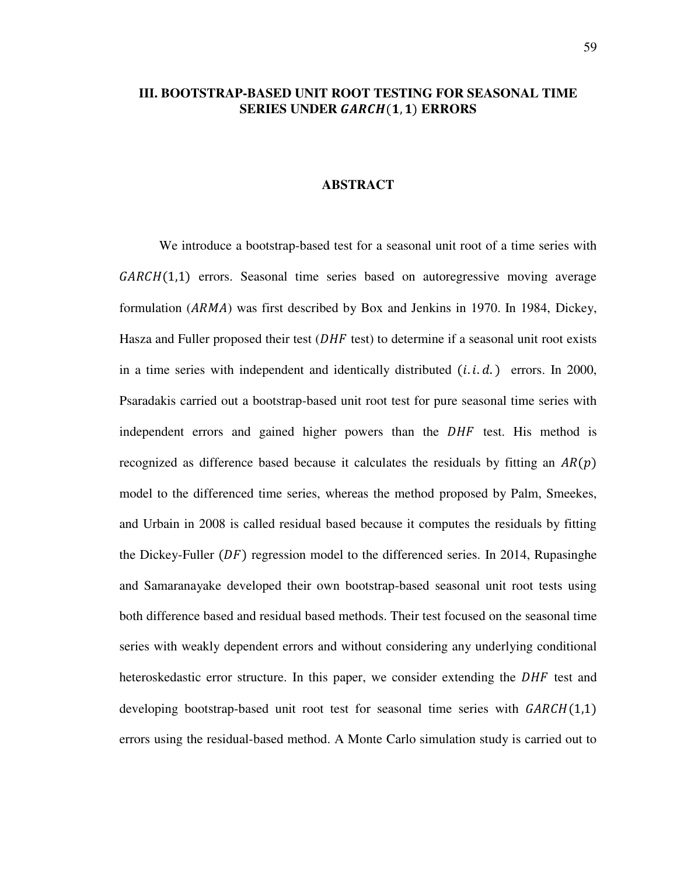# **III. BOOTSTRAP-BASED UNIT ROOT TESTING FOR SEASONAL TIME SERIES UNDER GARCH(1,1) ERRORS**

## **ABSTRACT**

We introduce a bootstrap-based test for a seasonal unit root of a time series with  $GARCH(1,1)$  errors. Seasonal time series based on autoregressive moving average formulation (ARMA) was first described by Box and Jenkins in 1970. In 1984, Dickey, Hasza and Fuller proposed their test  $(DHF \text{ test})$  to determine if a seasonal unit root exists in a time series with independent and identically distributed  $(i.i.d.)$  errors. In 2000, Psaradakis carried out a bootstrap-based unit root test for pure seasonal time series with independent errors and gained higher powers than the DHF test. His method is recognized as difference based because it calculates the residuals by fitting an  $AR(p)$ model to the differenced time series, whereas the method proposed by Palm, Smeekes, and Urbain in 2008 is called residual based because it computes the residuals by fitting the Dickey-Fuller  $(DF)$  regression model to the differenced series. In 2014, Rupasinghe and Samaranayake developed their own bootstrap-based seasonal unit root tests using both difference based and residual based methods. Their test focused on the seasonal time series with weakly dependent errors and without considering any underlying conditional heteroskedastic error structure. In this paper, we consider extending the DHF test and developing bootstrap-based unit root test for seasonal time series with  $GARCH(1,1)$ errors using the residual-based method. A Monte Carlo simulation study is carried out to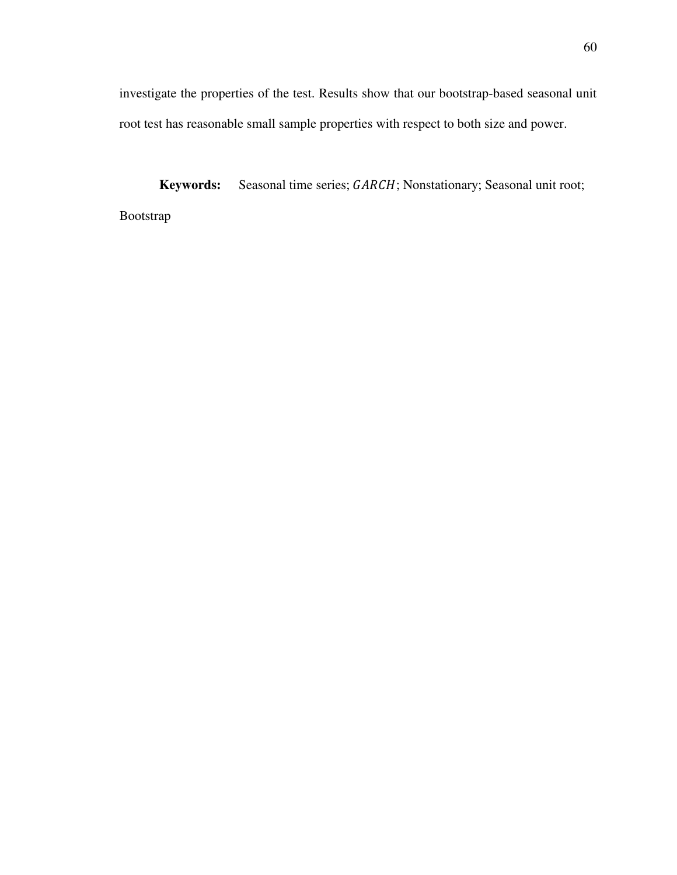investigate the properties of the test. Results show that our bootstrap-based seasonal unit root test has reasonable small sample properties with respect to both size and power.

**Keywords:** Seasonal time series; GARCH; Nonstationary; Seasonal unit root; Bootstrap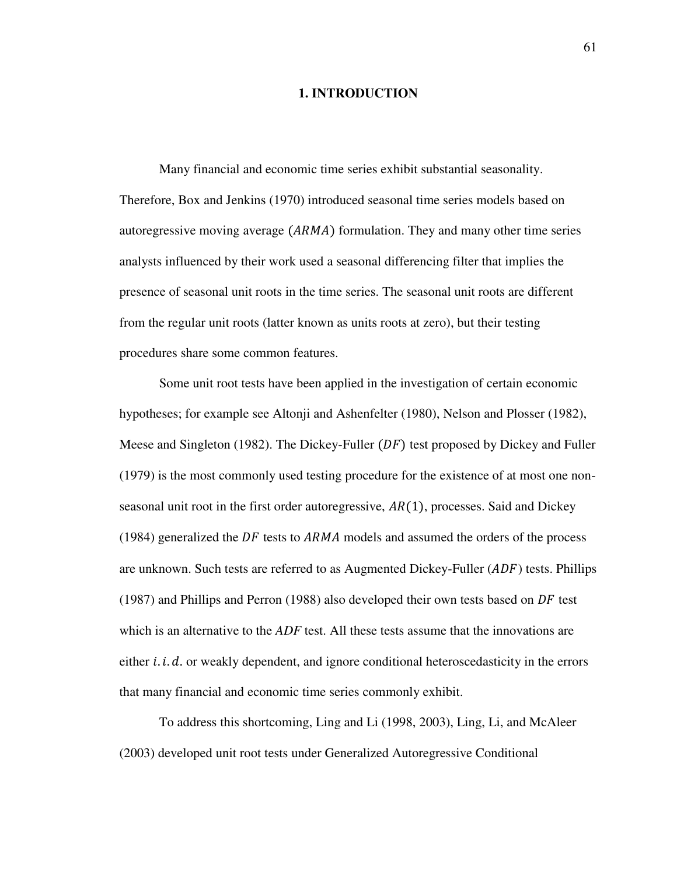## **1. INTRODUCTION**

Many financial and economic time series exhibit substantial seasonality. Therefore, Box and Jenkins (1970) introduced seasonal time series models based on autoregressive moving average  $(ARMA)$  formulation. They and many other time series analysts influenced by their work used a seasonal differencing filter that implies the presence of seasonal unit roots in the time series. The seasonal unit roots are different from the regular unit roots (latter known as units roots at zero), but their testing procedures share some common features.

 Some unit root tests have been applied in the investigation of certain economic hypotheses; for example see Altonji and Ashenfelter (1980), Nelson and Plosser (1982), Meese and Singleton (1982). The Dickey-Fuller  $(DF)$  test proposed by Dickey and Fuller (1979) is the most commonly used testing procedure for the existence of at most one nonseasonal unit root in the first order autoregressive,  $AR(1)$ , processes. Said and Dickey (1984) generalized the  $DF$  tests to  $ARMA$  models and assumed the orders of the process are unknown. Such tests are referred to as Augmented Dickey-Fuller  $(ADF)$  tests. Phillips (1987) and Phillips and Perron (1988) also developed their own tests based on  $DF$  test which is an alternative to the *ADF* test. All these tests assume that the innovations are either  $i$ .  $i$ .  $d$ . or weakly dependent, and ignore conditional heteroscedasticity in the errors that many financial and economic time series commonly exhibit.

 To address this shortcoming, Ling and Li (1998, 2003), Ling, Li, and McAleer (2003) developed unit root tests under Generalized Autoregressive Conditional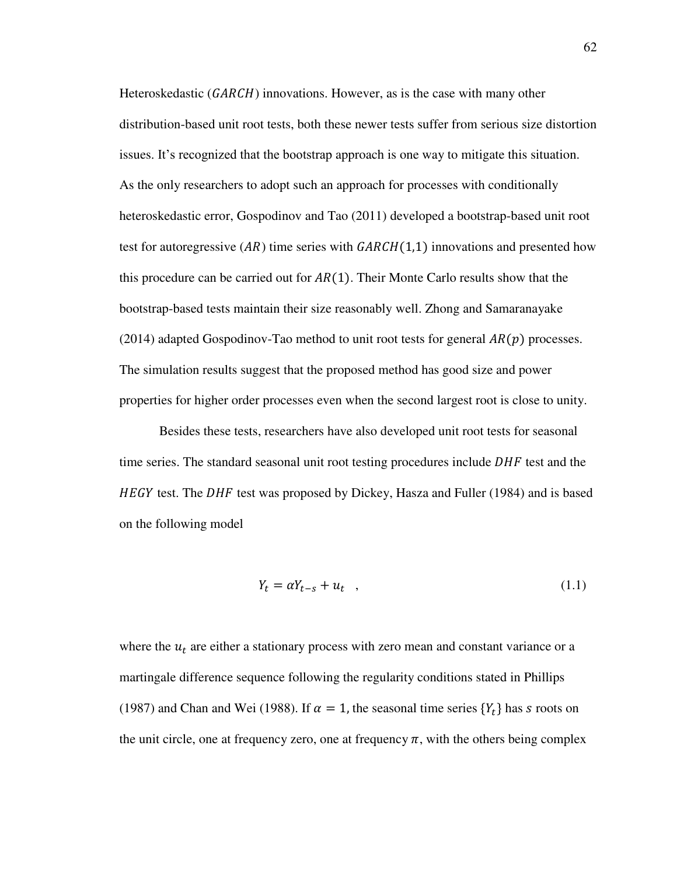Heteroskedastic ( $GARCH$ ) innovations. However, as is the case with many other distribution-based unit root tests, both these newer tests suffer from serious size distortion issues. It's recognized that the bootstrap approach is one way to mitigate this situation. As the only researchers to adopt such an approach for processes with conditionally heteroskedastic error, Gospodinov and Tao (2011) developed a bootstrap-based unit root test for autoregressive  $(AR)$  time series with  $GARCH(1,1)$  innovations and presented how this procedure can be carried out for  $AR(1)$ . Their Monte Carlo results show that the bootstrap-based tests maintain their size reasonably well. Zhong and Samaranayake (2014) adapted Gospodinov-Tao method to unit root tests for general  $AR(p)$  processes. The simulation results suggest that the proposed method has good size and power properties for higher order processes even when the second largest root is close to unity.

Besides these tests, researchers have also developed unit root tests for seasonal time series. The standard seasonal unit root testing procedures include  $DHF$  test and the *HEGY* test. The *DHF* test was proposed by Dickey, Hasza and Fuller (1984) and is based on the following model

$$
Y_t = \alpha Y_{t-s} + u_t \quad , \tag{1.1}
$$

where the  $u_t$  are either a stationary process with zero mean and constant variance or a martingale difference sequence following the regularity conditions stated in Phillips (1987) and Chan and Wei (1988). If  $\alpha = 1$ , the seasonal time series  $\{Y_t\}$  has s roots on the unit circle, one at frequency zero, one at frequency  $\pi$ , with the others being complex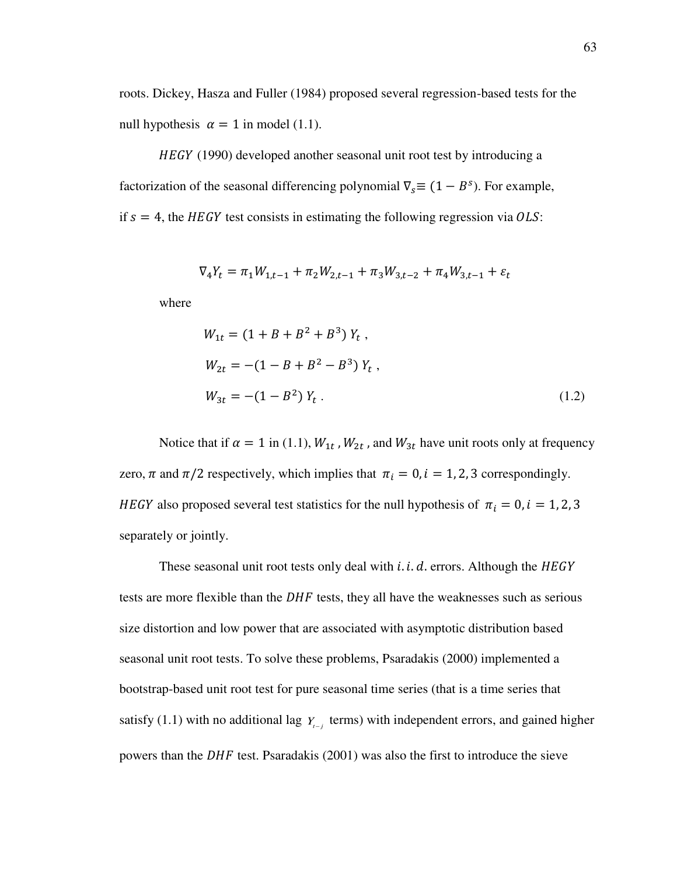roots. Dickey, Hasza and Fuller (1984) proposed several regression-based tests for the null hypothesis  $\alpha = 1$  in model (1.1).

HEGY (1990) developed another seasonal unit root test by introducing a factorization of the seasonal differencing polynomial  $\nabla_s \equiv (1 - B^s)$ . For example, if  $s = 4$ , the HEGY test consists in estimating the following regression via OLS:

$$
\nabla_4 Y_t = \pi_1 W_{1,t-1} + \pi_2 W_{2,t-1} + \pi_3 W_{3,t-2} + \pi_4 W_{3,t-1} + \varepsilon_t
$$

where

$$
W_{1t} = (1 + B + B^2 + B^3) Y_t,
$$
  
\n
$$
W_{2t} = -(1 - B + B^2 - B^3) Y_t,
$$
  
\n
$$
W_{3t} = -(1 - B^2) Y_t.
$$
\n(1.2)

Notice that if  $\alpha = 1$  in (1.1),  $W_{1t}$ ,  $W_{2t}$ , and  $W_{3t}$  have unit roots only at frequency zero,  $\pi$  and  $\pi/2$  respectively, which implies that  $\pi_i = 0$ ,  $i = 1, 2, 3$  correspondingly. HEGY also proposed several test statistics for the null hypothesis of  $\pi_i = 0$ ,  $i = 1, 2, 3$ separately or jointly.

These seasonal unit root tests only deal with *i. i. d.* errors. Although the  $HEGY$ tests are more flexible than the  $DHF$  tests, they all have the weaknesses such as serious size distortion and low power that are associated with asymptotic distribution based seasonal unit root tests. To solve these problems, Psaradakis (2000) implemented a bootstrap-based unit root test for pure seasonal time series (that is a time series that satisfy (1.1) with no additional lag  $Y_{t-j}$  terms) with independent errors, and gained higher powers than the  $DHF$  test. Psaradakis (2001) was also the first to introduce the sieve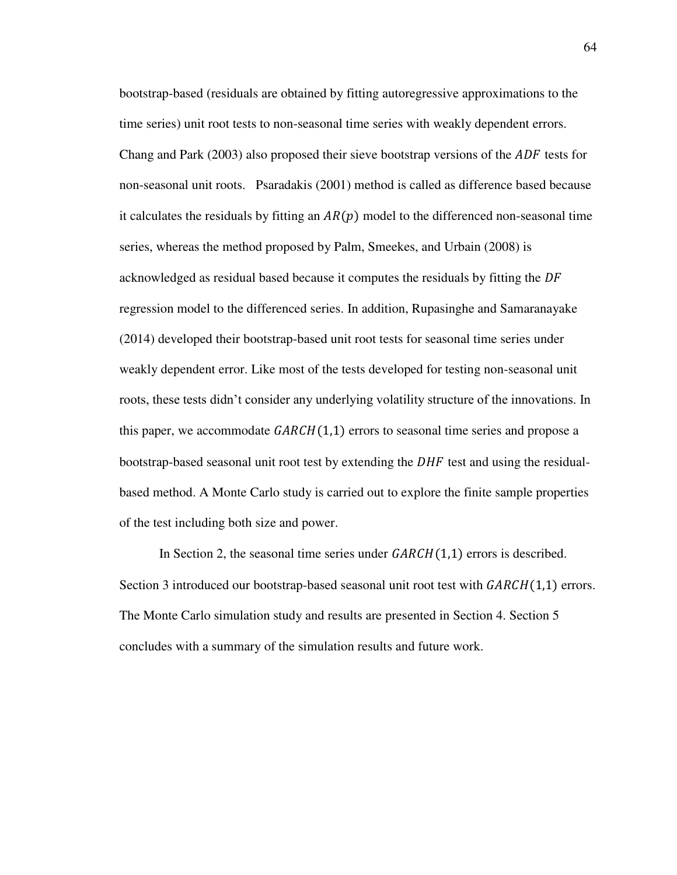bootstrap-based (residuals are obtained by fitting autoregressive approximations to the time series) unit root tests to non-seasonal time series with weakly dependent errors. Chang and Park (2003) also proposed their sieve bootstrap versions of the  $ADF$  tests for non-seasonal unit roots. Psaradakis (2001) method is called as difference based because it calculates the residuals by fitting an  $AR(p)$  model to the differenced non-seasonal time series, whereas the method proposed by Palm, Smeekes, and Urbain (2008) is acknowledged as residual based because it computes the residuals by fitting the DF regression model to the differenced series. In addition, Rupasinghe and Samaranayake (2014) developed their bootstrap-based unit root tests for seasonal time series under weakly dependent error. Like most of the tests developed for testing non-seasonal unit roots, these tests didn't consider any underlying volatility structure of the innovations. In this paper, we accommodate  $GARCH(1,1)$  errors to seasonal time series and propose a bootstrap-based seasonal unit root test by extending the  $DHF$  test and using the residualbased method. A Monte Carlo study is carried out to explore the finite sample properties of the test including both size and power.

In Section 2, the seasonal time series under  $GARCH(1,1)$  errors is described. Section 3 introduced our bootstrap-based seasonal unit root test with  $GARCH(1,1)$  errors. The Monte Carlo simulation study and results are presented in Section 4. Section 5 concludes with a summary of the simulation results and future work.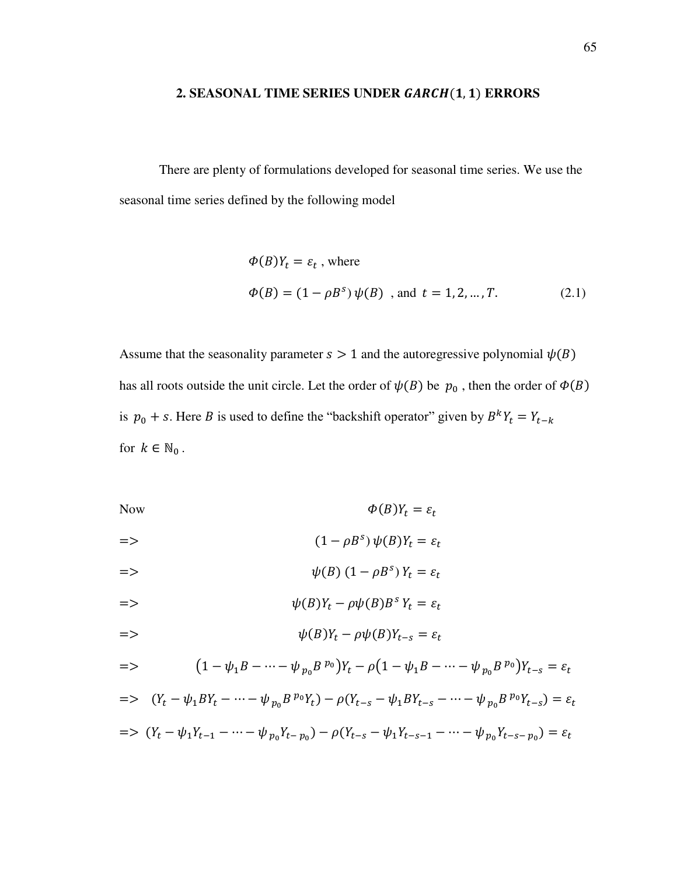## 2. SEASONAL TIME SERIES UNDER *GARCH*(1, 1) ERRORS

There are plenty of formulations developed for seasonal time series. We use the seasonal time series defined by the following model

$$
\Phi(B)Y_t = \varepsilon_t \text{ , where}
$$
  
\n
$$
\Phi(B) = (1 - \rho B^s) \psi(B) \text{ , and } t = 1, 2, ..., T. \tag{2.1}
$$

Assume that the seasonality parameter  $s > 1$  and the autoregressive polynomial  $\psi(B)$ has all roots outside the unit circle. Let the order of  $\psi(B)$  be  $p_0$ , then the order of  $\Phi(B)$ is  $p_0 + s$ . Here *B* is used to define the "backshift operator" given by  $B^k Y_t = Y_{t-k}$ for  $k \in \mathbb{N}_0$ .

Now  $\Phi(B)Y_t = \varepsilon_t$ 

$$
= \qquad \qquad (1 - \rho B^s) \psi(B) Y_t = \varepsilon_t
$$

$$
\psi(B) (1 - \rho B^s) Y_t = \varepsilon_t
$$

$$
= \qquad \qquad \psi(B)Y_t - \rho \psi(B)B^s Y_t = \varepsilon_t
$$

$$
= \qquad \qquad \psi(B)Y_t - \rho \psi(B)Y_{t-s} = \varepsilon_t
$$

$$
= \sum (1 - \psi_1 B - \dots - \psi_{p_0} B^{p_0}) Y_t - \rho (1 - \psi_1 B - \dots - \psi_{p_0} B^{p_0}) Y_{t-s} = \varepsilon_t
$$

$$
= \langle (Y_t - \psi_1 BY_t - \dots - \psi_{p_0} B^{p_0} Y_t) - \rho (Y_{t-s} - \psi_1 BY_{t-s} - \dots - \psi_{p_0} B^{p_0} Y_{t-s}) = \varepsilon_t
$$
  

$$
= \langle (Y_t - \psi_1 Y_{t-1} - \dots - \psi_{p_0} Y_{t-p_0}) - \rho (Y_{t-s} - \psi_1 Y_{t-s-1} - \dots - \psi_{p_0} Y_{t-s-p_0}) = \varepsilon_t
$$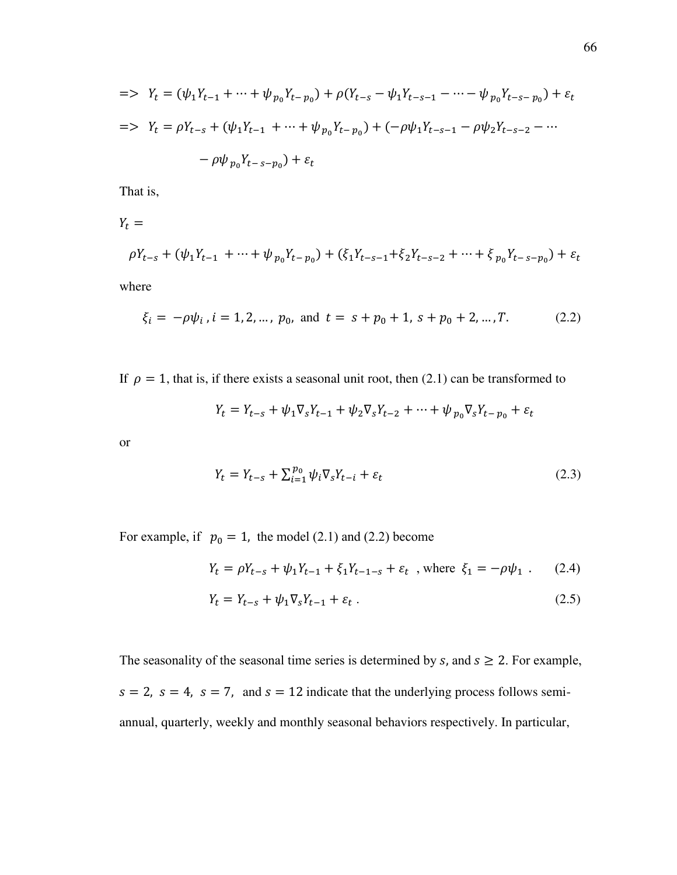$$
= \sum Y_t = (\psi_1 Y_{t-1} + \dots + \psi_{p_0} Y_{t-p_0}) + \rho (Y_{t-s} - \psi_1 Y_{t-s-1} - \dots - \psi_{p_0} Y_{t-s-p_0}) + \varepsilon_t
$$
  
\n
$$
= \sum Y_t = \rho Y_{t-s} + (\psi_1 Y_{t-1} + \dots + \psi_{p_0} Y_{t-p_0}) + (-\rho \psi_1 Y_{t-s-1} - \rho \psi_2 Y_{t-s-2} - \dots - \rho \psi_{p_0} Y_{t-s-p_0}) + \varepsilon_t
$$

That is,

 $Y_t =$  $\rho Y_{t-s} + (\psi_1 Y_{t-1} + \dots + \psi_{p_0} Y_{t-p_0}) + (\xi_1 Y_{t-s-1} + \xi_2 Y_{t-s-2} + \dots + \xi_{p_0} Y_{t-s-p_0}) + \varepsilon_t$ 

where

$$
\xi_i = -\rho \psi_i, i = 1, 2, ..., p_0, \text{ and } t = s + p_0 + 1, s + p_0 + 2, ..., T. \tag{2.2}
$$

If  $\rho = 1$ , that is, if there exists a seasonal unit root, then (2.1) can be transformed to

$$
Y_t = Y_{t-s} + \psi_1 \nabla_s Y_{t-1} + \psi_2 \nabla_s Y_{t-2} + \dots + \psi_{p_0} \nabla_s Y_{t-p_0} + \varepsilon_t
$$

or

$$
Y_t = Y_{t-s} + \sum_{i=1}^{p_0} \psi_i \nabla_s Y_{t-i} + \varepsilon_t \tag{2.3}
$$

For example, if  $p_0 = 1$ , the model (2.1) and (2.2) become

$$
Y_t = \rho Y_{t-s} + \psi_1 Y_{t-1} + \xi_1 Y_{t-1-s} + \varepsilon_t \text{ , where } \xi_1 = -\rho \psi_1 \text{ . } (2.4)
$$

$$
Y_t = Y_{t-s} + \psi_1 \nabla_s Y_{t-1} + \varepsilon_t \,. \tag{2.5}
$$

The seasonality of the seasonal time series is determined by  $s$ , and  $s \geq 2$ . For example,  $s = 2$ ,  $s = 4$ ,  $s = 7$ , and  $s = 12$  indicate that the underlying process follows semiannual, quarterly, weekly and monthly seasonal behaviors respectively. In particular,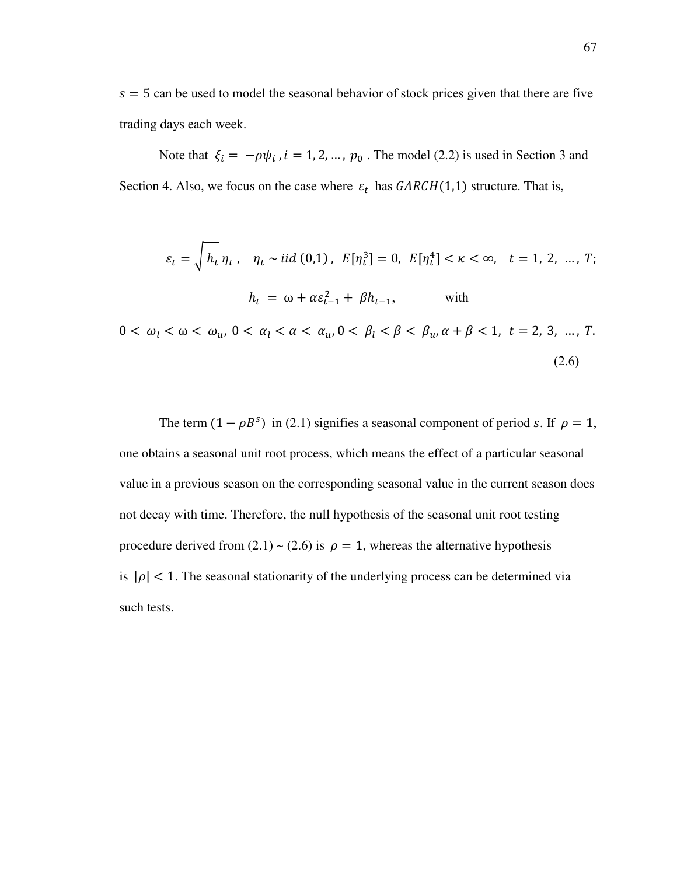$s = 5$  can be used to model the seasonal behavior of stock prices given that there are five trading days each week.

Note that  $\xi_i = -\rho \psi_i$ ,  $i = 1, 2, ..., p_0$ . The model (2.2) is used in Section 3 and Section 4. Also, we focus on the case where  $\varepsilon_t$  has  $GARCH(1,1)$  structure. That is,

$$
\varepsilon_{t} = \sqrt{h_{t}} \eta_{t}, \quad \eta_{t} \sim \text{iid}(0,1), \ E[\eta_{t}^{3}] = 0, \ E[\eta_{t}^{4}] < \kappa < \infty, \ t = 1, 2, \dots, T;
$$
\n
$$
h_{t} = \omega + \alpha \varepsilon_{t-1}^{2} + \beta h_{t-1}, \qquad \text{with}
$$

 $0 < \omega_l < \omega < \omega_u, 0 < \alpha_l < \alpha < \alpha_u, 0 < \beta_l < \beta < \beta_u, \alpha + \beta < 1, t = 2, 3, ..., T.$  $(2.6)$ 

The term  $(1 - \rho B^s)$  in (2.1) signifies a seasonal component of period *s*. If  $\rho = 1$ , one obtains a seasonal unit root process, which means the effect of a particular seasonal value in a previous season on the corresponding seasonal value in the current season does not decay with time. Therefore, the null hypothesis of the seasonal unit root testing procedure derived from  $(2.1) \sim (2.6)$  is  $\rho = 1$ , whereas the alternative hypothesis is  $|\rho|$  < 1. The seasonal stationarity of the underlying process can be determined via such tests.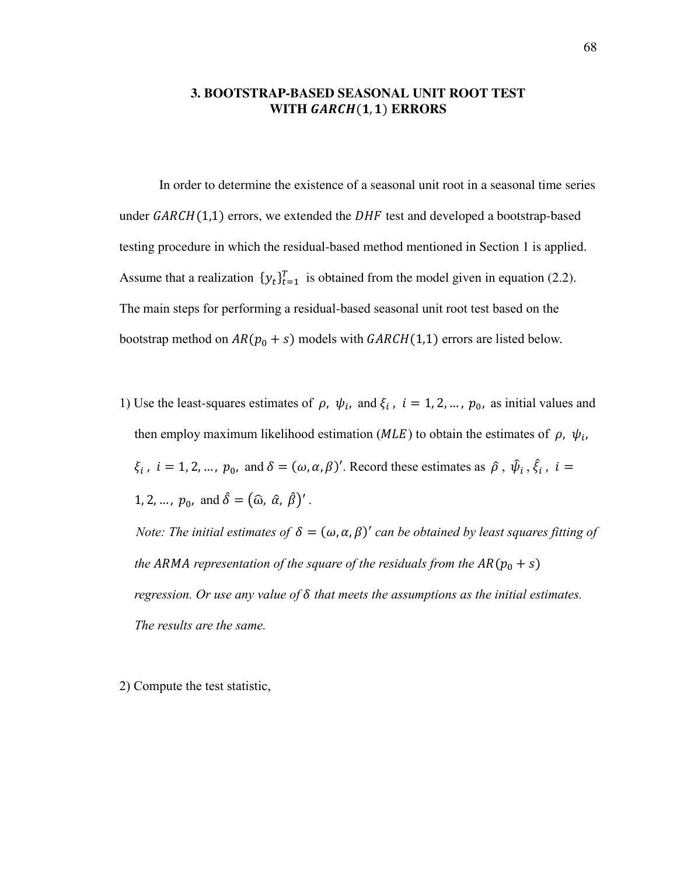## **3. BOOTSTRAP-BASED SEASONAL UNIT ROOT TEST WITH GARCH(1,1) ERRORS**

In order to determine the existence of a seasonal unit root in a seasonal time series under  $GARCH(1,1)$  errors, we extended the  $DHF$  test and developed a bootstrap-based testing procedure in which the residual-based method mentioned in Section 1 is applied. Assume that a realization  $\{y_t\}_{t=1}^T$  is obtained from the model given in equation (2.2). The main steps for performing a residual-based seasonal unit root test based on the bootstrap method on  $AR(p_0 + s)$  models with  $GARCH(1,1)$  errors are listed below.

1) Use the least-squares estimates of  $\rho$ ,  $\psi_i$ , and  $\xi_i$ ,  $i = 1, 2, ..., p_0$ , as initial values and then employ maximum likelihood estimation ( $MLE$ ) to obtain the estimates of  $\rho$ ,  $\psi_i$ ,  $\xi_i$ ,  $i = 1, 2, ..., p_0$ , and  $\delta = (\omega, \alpha, \beta)'$ . Record these estimates as  $\hat{\rho}$ ,  $\hat{\psi}_i$ ,  $\hat{\xi}_i$ ,  $i =$ 1, 2, ...,  $p_0$ , and  $\hat{\delta} = (\hat{\omega}, \hat{\alpha}, \hat{\beta})'$ .

*Note: The initial estimates of*  $\delta = (\omega, \alpha, \beta)'$  *can be obtained by least squares fitting of the ARMA representation of the square of the residuals from the*  $AR(p_0 + s)$ *regression. Or use any value of δ that meets the assumptions as the initial estimates. The results are the same.*

2) Compute the test statistic,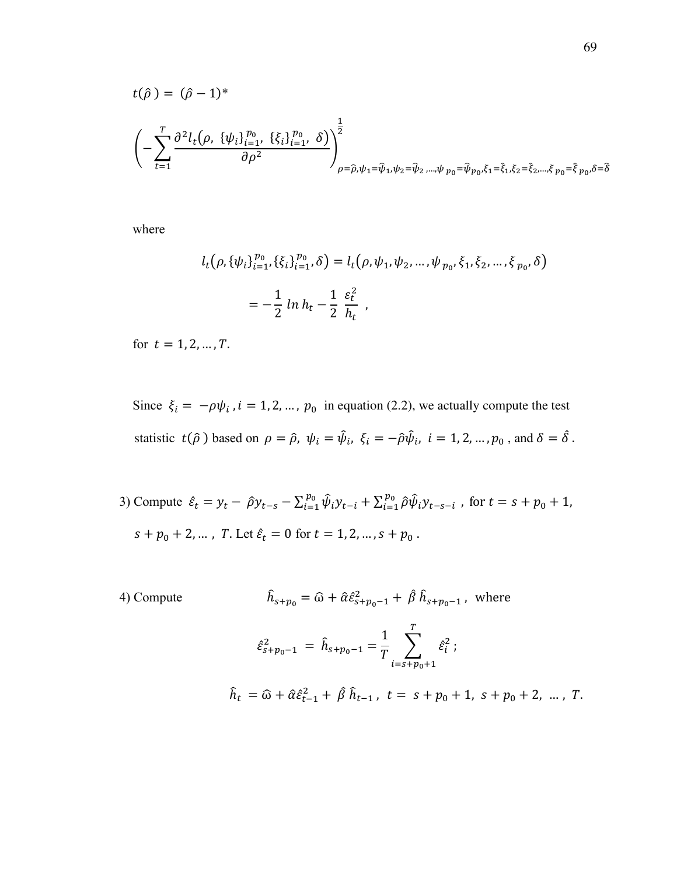$$
t(\hat{\rho}) = (\hat{\rho} - 1)^{*}
$$
  

$$
\left( -\sum_{t=1}^{T} \frac{\partial^{2} l_{t}(\rho, \{\psi_{i}\}_{i=1}^{p_{0}}, \{\xi_{i}\}_{i=1}^{p_{0}}, \delta)}{\partial \rho^{2}} \right)_{\rho=\hat{\rho}, \psi_{1}=\hat{\psi}_{1}, \psi_{2}=\hat{\psi}_{2}, \dots, \psi_{p_{0}}=\hat{\psi}_{p_{0}}, \xi_{1}=\hat{\xi}_{1}, \xi_{2}=\hat{\xi}_{2}, \dots, \xi_{p_{0}}=\hat{\xi}_{p_{0}}, \delta=\hat{\delta}_{p_{0}}, \delta=\hat{\delta}_{p_{0}}, \delta=\hat{\delta}_{p_{0}}, \delta=\hat{\delta}_{p_{0}}, \delta=\hat{\delta}_{p_{0}}, \delta=\hat{\delta}_{p_{0}}, \delta=\hat{\delta}_{p_{0}}, \delta=\hat{\delta}_{p_{0}}, \delta=\hat{\delta}_{p_{0}}, \delta=\hat{\delta}_{p_{0}}, \delta=\hat{\delta}_{p_{0}}, \delta=\hat{\delta}_{p_{0}}, \delta=\hat{\delta}_{p_{0}}, \delta=\hat{\delta}_{p_{0}}, \delta=\hat{\delta}_{p_{0}}, \delta=\hat{\delta}_{p_{0}}, \delta=\hat{\delta}_{p_{0}}, \delta=\hat{\delta}_{p_{0}}, \delta=\hat{\delta}_{p_{0}}, \delta=\hat{\delta}_{p_{0}}, \delta=\hat{\delta}_{p_{0}}, \delta=\hat{\delta}_{p_{0}}, \delta=\hat{\delta}_{p_{0}}, \delta=\hat{\delta}_{p_{0}}, \delta=\hat{\delta}_{p_{0}}, \delta=\hat{\delta}_{p_{0}}, \delta=\hat{\delta}_{p_{0}}, \delta=\hat{\delta}_{p_{0}}, \delta=\hat{\delta}_{p_{0}}, \delta=\hat{\delta}_{p_{0}}, \delta=\hat{\delta}_{p_{0}}, \delta=\hat{\delta}_{p_{0}}, \delta=\hat{\delta}_{p_{0}}, \delta=\hat{\delta}_{p_{0}}, \delta=\hat{\delta}_{p_{0}}, \delta=\hat{\delta}_{p_{0}}, \delta=\hat{\delta}_{p_{0}}, \delta=\hat{\delta}_{p_{0}}, \delta=\hat{\delta}_{p_{0}}, \delta=\hat{\delta}_{p_{0}}, \delta=\hat{\delta}_{p_{0}}, \delta=\hat{\delta}_{p_{0}}, \delta=\hat{\delta}_{p_{0}}, \delta=\hat{\delta}_{p_{0}}, \delta=\hat{\delta}_{p_{0}}, \delta=\hat{\delta}_{p_{0}}, \delta=\hat{\delta}_{p_{0}}, \delta=\hat{\delta}_{p_{0}}, \delta=\hat{\delta}_{p_{0}}, \delta=\hat{\delta}_{p_{0}}, \delta=\hat{\delta}_{p_{0}}, \delta=\hat{\
$$

where

$$
l_t(\rho, \{\psi_i\}_{i=1}^{p_0}, \{\xi_i\}_{i=1}^{p_0}, \delta) = l_t(\rho, \psi_1, \psi_2, ..., \psi_{p_0}, \xi_1, \xi_2, ..., \xi_{p_0}, \delta)
$$
  
= 
$$
-\frac{1}{2} \ln h_t - \frac{1}{2} \frac{\varepsilon_t^2}{h_t},
$$

for  $t = 1, 2, ..., T$ .

Since  $\xi_i = -\rho \psi_i$ ,  $i = 1, 2, ..., p_0$  in equation (2.2), we actually compute the test statistic  $t(\hat{\rho})$  based on  $\rho = \hat{\rho}$ ,  $\psi_i = \hat{\psi}_i$ ,  $\xi_i = -\hat{\rho}\hat{\psi}_i$ ,  $i = 1, 2, ..., p_0$ , and  $\delta = \delta$ .

3) Compute  $\hat{\varepsilon}_t = y_t - \hat{\rho} y_{t-s} - \sum_{i=1}^{p_0} \hat{\psi}_i y_{t-i} + \sum_{i=1}^{p_0} \hat{\rho} \hat{\psi}_i y_{t-s-i}$ , for  $t = s + p_0 + 1$ ,  $s+p_0+2,\ldots$  ,  $T.$  Let  $\hat{\varepsilon}_t=0$  for  $t=1,2,\ldots,s+p_0$  .

4) Compute 
$$
\hat{h}_{s+p_0} = \hat{\omega} + \hat{\alpha} \hat{\epsilon}_{s+p_0-1}^2 + \hat{\beta} \hat{h}_{s+p_0-1}, \text{ where}
$$

$$
\hat{\epsilon}_{s+p_0-1}^2 = \hat{h}_{s+p_0-1} = \frac{1}{T} \sum_{i=s+p_0+1}^T \hat{\epsilon}_i^2 ;
$$

$$
\hat{h}_t = \hat{\omega} + \hat{\alpha} \hat{\epsilon}_{t-1}^2 + \hat{\beta} \hat{h}_{t-1}, \ t = s+p_0+1, \ s+p_0+2, \dots, T.
$$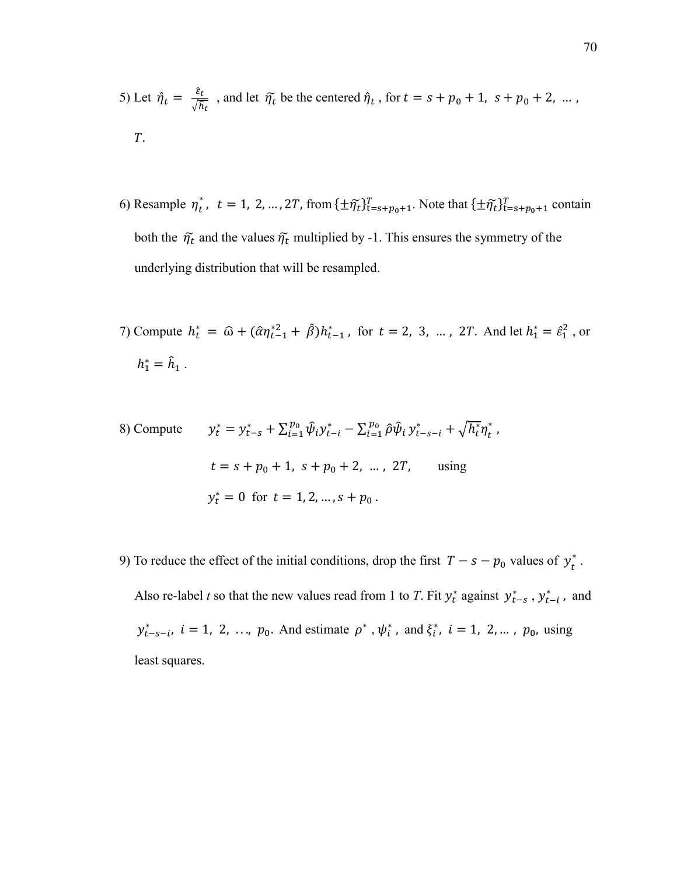5) Let  $\hat{\eta}_t = \frac{\varepsilon_t}{\sqrt{\hbar}}$  $\frac{\varepsilon_t}{\sqrt{\hat{h}_t}}$ , and let  $\tilde{\eta_t}$  be the centered  $\hat{\eta_t}$ , for  $t = s + p_0 + 1$ ,  $s + p_0 + 2$ , ...,  $T$ .

- 6) Resample  $\eta_t^*$ ,  $t = 1, 2, ..., 2T$ , from  $\{\pm \tilde{\eta}_t\}_{t=s+p_0+1}^T$ . Note that  $\{\pm \tilde{\eta}_t\}_{t=s+p_0+1}^T$  contain both the  $\tilde{\eta_t}$  and the values  $\tilde{\eta_t}$  multiplied by -1. This ensures the symmetry of the underlying distribution that will be resampled.
- 7) Compute  $h_t^* = \hat{\omega} + (\hat{\alpha}\eta_{t-1}^{*2} + \hat{\beta})h_{t-1}^*$ , for  $t = 2, 3, ..., 2T$ . And let  $h_1^* = \hat{\epsilon}_1^2$ , or  $h_1^* = \hat{h}_1$ .

,

8) Compute 
$$
y_t^* = y_{t-s}^* + \sum_{i=1}^{p_0} \hat{\psi}_i y_{t-i}^* - \sum_{i=1}^{p_0} \hat{\rho} \hat{\psi}_i y_{t-s-i}^* + \sqrt{h_t^*} \eta_t^*
$$
  
\n $t = s + p_0 + 1, s + p_0 + 2, ..., 2T,$  using  
\n $y_t^* = 0$  for  $t = 1, 2, ..., s + p_0$ .

9) To reduce the effect of the initial conditions, drop the first  $T - s - p_0$  values of  $y_t^*$ .

Also re-label *t* so that the new values read from 1 to *T*. Fit  $y_t^*$  against  $y_{t-s}^*$ ,  $y_{t-i}^*$ , and  $y_{t-s-i}^*$ ,  $i = 1, 2, ..., p_0$ . And estimate  $\rho^*$ ,  $\psi_i^*$ , and  $\xi_i^*$ ,  $i = 1, 2, ..., p_0$ , using least squares.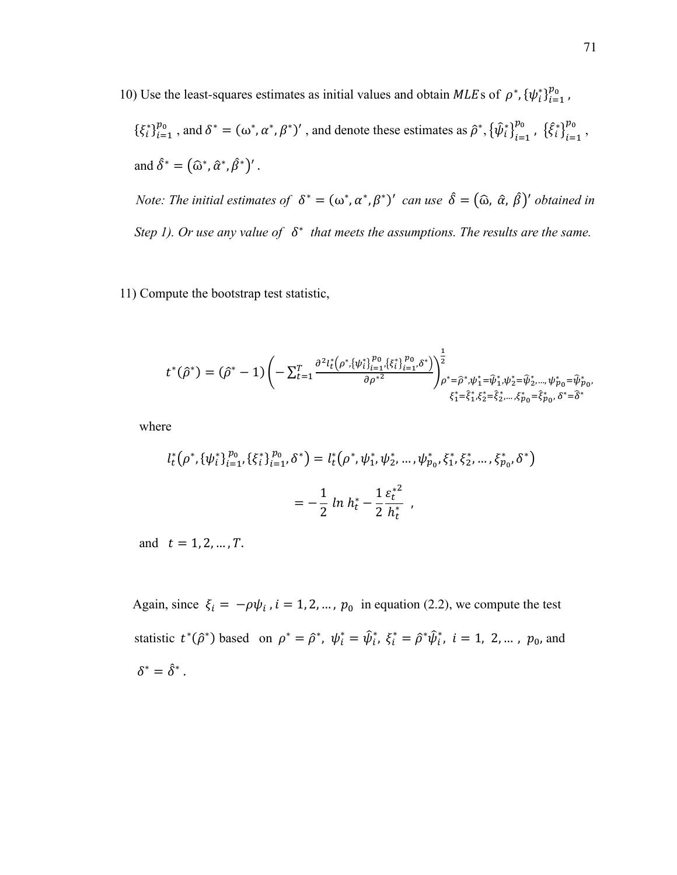10) Use the least-squares estimates as initial values and obtain MLEs of  $\rho^*$ ,  ${\lbrace \psi_i^* \rbrace}_{i=1}^{p_0}$  $_{i=1}^{p}$  ,

 $\{\xi_i^*\}_{i=1}^{p_0}$  ${}_{i=1}^{p_0}$ , and  $\delta^* = (\omega^*, \alpha^*, \beta^*)'$ , and denote these estimates as  $\hat{\rho}^*, {\{\hat{\psi}_i^*\}}_{i=1}^{p_0}$  $_{i=1}^{p_0}$ ,  $\{\hat{\xi}_i^*\}_{i=1}^{p_0}$ బ , and  $\hat{\delta}^* = (\hat{\omega}^*, \hat{\alpha}^*, \hat{\beta}^*)'$ .

*Note: The initial estimates of*  $\delta^* = (\omega^*, \alpha^*, \beta^*)'$  can use  $\delta = (\hat{\omega}, \hat{\alpha}, \hat{\beta})'$  obtained in *Step 1). Or use any value of*  $\delta^*$  that meets the assumptions. The results are the same.

11) Compute the bootstrap test statistic,

$$
t^{*}(\hat{\rho}^{*}) = (\hat{\rho}^{*} - 1) \left( -\sum_{t=1}^{T} \frac{\partial^{2} l_{t}^{*}(\rho^{*}, \{\psi_{t}^{*}\}_{i=1}^{p_{0}} , \{\xi_{t}^{*}\}_{i=1}^{p_{0}} , \delta^{*}\})}{\partial \rho^{*2}} \right)_{\rho^{*} = \hat{\rho}^{*}, \psi_{1}^{*} = \hat{\psi}_{1}^{*}, \psi_{2}^{*} = \hat{\psi}_{2}^{*}, \dots, \psi_{p_{0}}^{*} = \hat{\psi}_{p_{0}}^{*}, \delta^{*} = \hat{\delta}_{p_{0}}^{*}, \delta^{*} = \hat{\delta}_{p_{0}}^{*}}.
$$

where

$$
l_t^*(\rho^*, {\{\psi_i^*}\}_{i=1}^{p_0}, {\{\xi_i^*}\}_{i=1}^{p_0}, \delta^*) = l_t^*(\rho^*, \psi_1^*, \psi_2^*, \dots, \psi_{p_0}^*, {\xi_1^*}, {\xi_2^*}, \dots, {\xi_{p_0}^*}, \delta^*)
$$
  
= 
$$
-\frac{1}{2} \ln h_t^* - \frac{1}{2} \frac{\varepsilon_t^{*2}}{h_t^*} ,
$$

and  $t = 1, 2, ..., T$ .

Again, since  $\xi_i = -\rho \psi_i$ ,  $i = 1, 2, ..., p_0$  in equation (2.2), we compute the test statistic  $t^*(\hat{\rho}^*)$  based on  $\rho^* = \hat{\rho}^*, \psi_i^* = \hat{\psi}_i^*, \xi_i^* = \hat{\rho}^*\hat{\psi}_i^*, i = 1, 2, ..., p_0$ , and  $\delta^*=\hat{\delta}^*$  .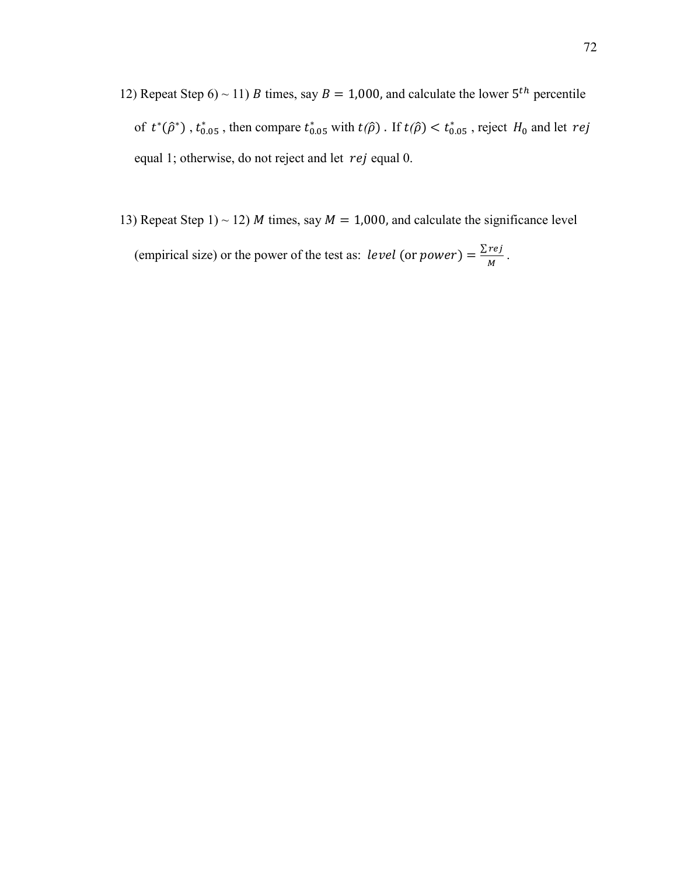- 12) Repeat Step  $6$  ~ 11) *B* times, say  $B = 1,000$ , and calculate the lower  $5<sup>th</sup>$  percentile of  $t^*(\hat{\rho}^*)$ ,  $t^*_{0.05}$ , then compare  $t^*_{0.05}$  with  $t(\hat{\rho})$ . If  $t(\hat{\rho}) < t^*_{0.05}$ , reject  $H_0$  and let  $rej$ equal 1; otherwise, do not reject and let  $rej$  equal 0.
- 13) Repeat Step 1) ~ 12) *M* times, say  $M = 1,000$ , and calculate the significance level (empirical size) or the power of the test as: *level* (or *power*) =  $\frac{\sum r e_j}{M}$ .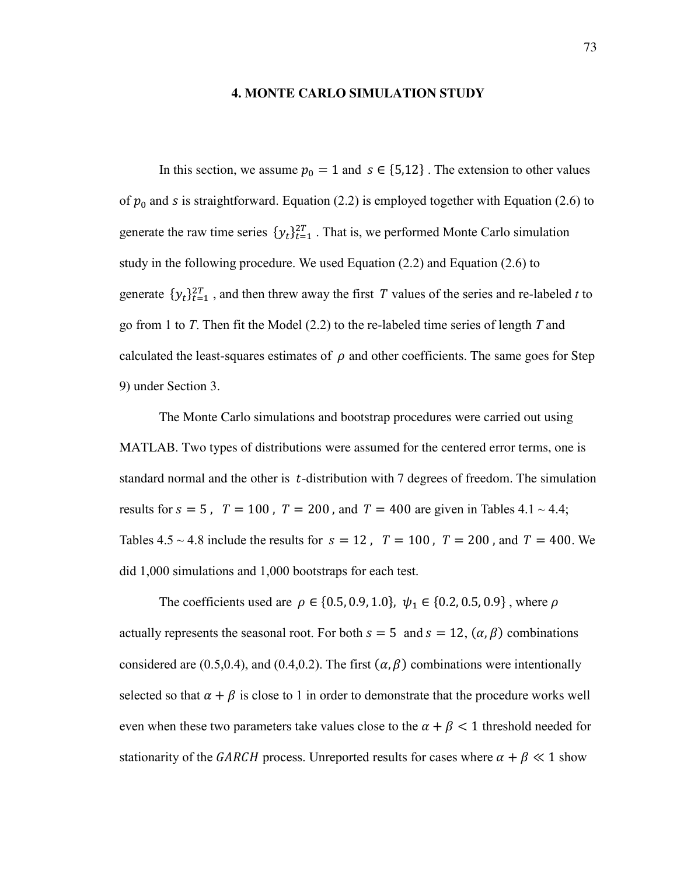#### **4. MONTE CARLO SIMULATION STUDY**

In this section, we assume  $p_0 = 1$  and  $s \in \{5, 12\}$ . The extension to other values of  $p_0$  and s is straightforward. Equation (2.2) is employed together with Equation (2.6) to generate the raw time series  $\{y_t\}_{t=1}^{2T}$ . That is, we performed Monte Carlo simulation study in the following procedure. We used Equation (2.2) and Equation (2.6) to generate  $\{y_t\}_{t=1}^{2T}$ , and then threw away the first T values of the series and re-labeled t to go from 1 to *T*. Then fit the Model (2.2) to the re-labeled time series of length *T* and calculated the least-squares estimates of  $\rho$  and other coefficients. The same goes for Step 9) under Section 3.

The Monte Carlo simulations and bootstrap procedures were carried out using MATLAB. Two types of distributions were assumed for the centered error terms, one is standard normal and the other is  $t$ -distribution with 7 degrees of freedom. The simulation results for  $s = 5$ ,  $T = 100$ ,  $T = 200$ , and  $T = 400$  are given in Tables 4.1 ~ 4.4; Tables  $4.5 \sim 4.8$  include the results for  $s = 12$ ,  $T = 100$ ,  $T = 200$ , and  $T = 400$ . We did 1,000 simulations and 1,000 bootstraps for each test.

The coefficients used are  $\rho \in \{0.5, 0.9, 1.0\}$ ,  $\psi_1 \in \{0.2, 0.5, 0.9\}$ , where  $\rho$ actually represents the seasonal root. For both  $s = 5$  and  $s = 12$ ,  $(\alpha, \beta)$  combinations considered are (0.5,0.4), and (0.4,0.2). The first  $(\alpha, \beta)$  combinations were intentionally selected so that  $\alpha + \beta$  is close to 1 in order to demonstrate that the procedure works well even when these two parameters take values close to the  $\alpha + \beta < 1$  threshold needed for stationarity of the GARCH process. Unreported results for cases where  $\alpha + \beta \ll 1$  show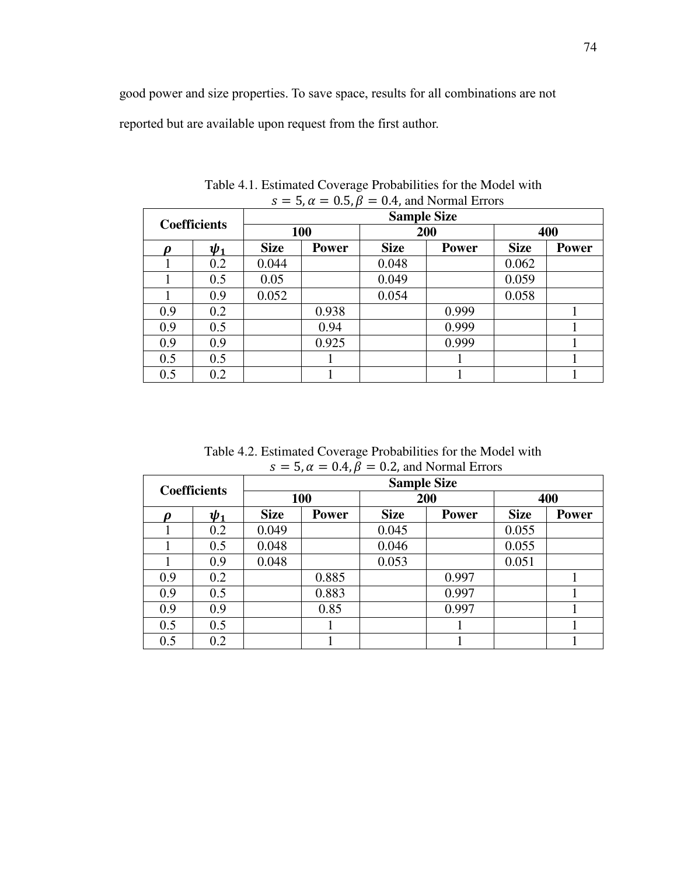good power and size properties. To save space, results for all combinations are not reported but are available upon request from the first author.

|                     |          |                    | $-1$         |             |              |             |              |  |  |
|---------------------|----------|--------------------|--------------|-------------|--------------|-------------|--------------|--|--|
| <b>Coefficients</b> |          | <b>Sample Size</b> |              |             |              |             |              |  |  |
|                     |          | <b>100</b>         |              | 200         |              | 400         |              |  |  |
| D                   | $\psi_1$ | <b>Size</b>        | <b>Power</b> | <b>Size</b> | <b>Power</b> | <b>Size</b> | <b>Power</b> |  |  |
|                     | 0.2      | 0.044              |              | 0.048       |              | 0.062       |              |  |  |
|                     | 0.5      | 0.05               |              | 0.049       |              | 0.059       |              |  |  |
|                     | 0.9      | 0.052              |              | 0.054       |              | 0.058       |              |  |  |
| 0.9                 | 0.2      |                    | 0.938        |             | 0.999        |             |              |  |  |
| 0.9                 | 0.5      |                    | 0.94         |             | 0.999        |             |              |  |  |
| 0.9                 | 0.9      |                    | 0.925        |             | 0.999        |             |              |  |  |
| 0.5                 | 0.5      |                    |              |             |              |             |              |  |  |
| 0.5                 | 0.2      |                    |              |             |              |             |              |  |  |

Table 4.1. Estimated Coverage Probabilities for the Model with  $s = 5, \alpha = 0.5, \beta = 0.4$ , and Normal Errors

Table 4.2. Estimated Coverage Probabilities for the Model with  $s = 5, \alpha = 0.4, \beta = 0.2$ , and Normal Errors

| <b>Coefficients</b> |          | <b>Sample Size</b> |              |             |              |             |              |  |  |
|---------------------|----------|--------------------|--------------|-------------|--------------|-------------|--------------|--|--|
|                     |          | 100                |              |             | 200          |             | 400          |  |  |
| D                   | $\psi_1$ | <b>Size</b>        | <b>Power</b> | <b>Size</b> | <b>Power</b> | <b>Size</b> | <b>Power</b> |  |  |
|                     | 0.2      | 0.049              |              | 0.045       |              | 0.055       |              |  |  |
|                     | 0.5      | 0.048              |              | 0.046       |              | 0.055       |              |  |  |
|                     | 0.9      | 0.048              |              | 0.053       |              | 0.051       |              |  |  |
| 0.9                 | 0.2      |                    | 0.885        |             | 0.997        |             |              |  |  |
| 0.9                 | 0.5      |                    | 0.883        |             | 0.997        |             |              |  |  |
| 0.9                 | 0.9      |                    | 0.85         |             | 0.997        |             |              |  |  |
| 0.5                 | 0.5      |                    |              |             |              |             |              |  |  |
| 0.5                 | 0.2      |                    |              |             |              |             |              |  |  |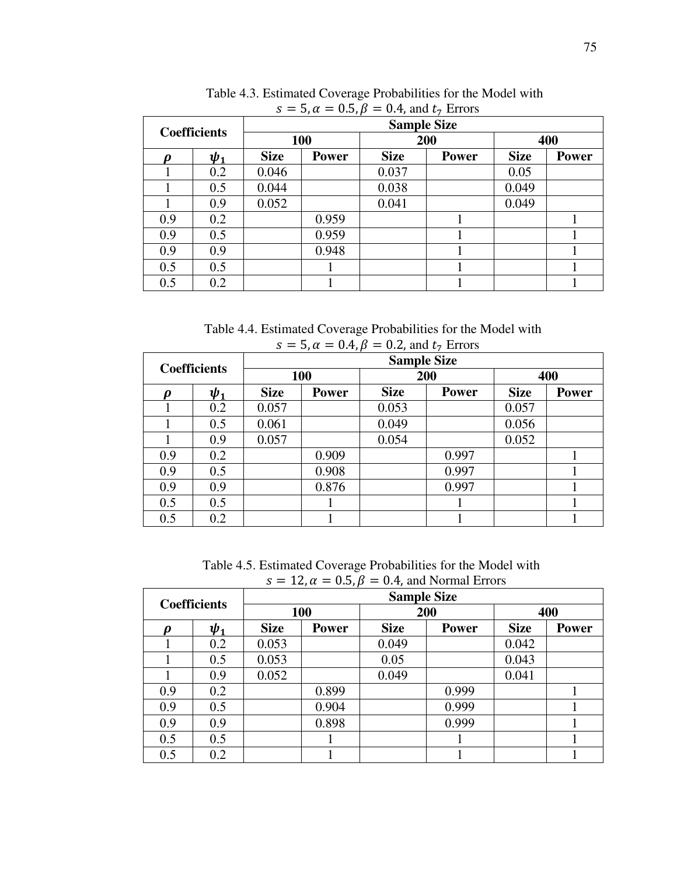| <b>Coefficients</b> |                                      | $3 - 3$ , $\alpha - 0.3$ , $p - 0.4$ , and $\epsilon_7$ Errors<br><b>Sample Size</b> |              |             |              |             |              |  |  |
|---------------------|--------------------------------------|--------------------------------------------------------------------------------------|--------------|-------------|--------------|-------------|--------------|--|--|
|                     |                                      | 100                                                                                  |              | 200         |              | 400         |              |  |  |
| Ω                   | <b>Size</b><br>$\boldsymbol{\psi}_1$ |                                                                                      | <b>Power</b> | <b>Size</b> | <b>Power</b> | <b>Size</b> | <b>Power</b> |  |  |
|                     | 0.2                                  | 0.046                                                                                |              | 0.037       |              | 0.05        |              |  |  |
|                     | 0.5                                  | 0.044                                                                                |              | 0.038       |              | 0.049       |              |  |  |
|                     | 0.9                                  | 0.052                                                                                |              | 0.041       |              | 0.049       |              |  |  |
| 0.9                 | 0.2                                  |                                                                                      | 0.959        |             |              |             |              |  |  |
| 0.9                 | 0.5                                  |                                                                                      | 0.959        |             |              |             |              |  |  |
| 0.9                 | 0.9                                  |                                                                                      | 0.948        |             |              |             |              |  |  |
| 0.5                 | 0.5                                  |                                                                                      |              |             |              |             |              |  |  |
| 0.5                 | 0.2                                  |                                                                                      |              |             |              |             |              |  |  |

 Table 4.3. Estimated Coverage Probabilities for the Model with  $s = 5, \alpha = 0.5, \beta = 0.4, \text{ and } t_7 \text{ Errors}$ 

 Table 4.4. Estimated Coverage Probabilities for the Model with  $s = 5, \alpha = 0.4, \beta = 0.2, \text{ and } t_{\tau}$  Errors

|                     |                       |             | $\sim$ , $\sim$<br>$\mathbf{v}$ . $\mathbf{v}$ |             | $\frac{1}{2}$ and $\frac{1}{2}$ $\frac{1}{2}$ |             |              |  |  |  |  |
|---------------------|-----------------------|-------------|------------------------------------------------|-------------|-----------------------------------------------|-------------|--------------|--|--|--|--|
|                     |                       |             | <b>Sample Size</b>                             |             |                                               |             |              |  |  |  |  |
| <b>Coefficients</b> |                       | <b>100</b>  |                                                | 200         |                                               | 400         |              |  |  |  |  |
| n                   | $\boldsymbol{\psi}_1$ | <b>Size</b> | <b>Power</b>                                   | <b>Size</b> | <b>Power</b>                                  | <b>Size</b> | <b>Power</b> |  |  |  |  |
|                     | 0.2                   | 0.057       |                                                | 0.053       |                                               | 0.057       |              |  |  |  |  |
|                     | 0.5                   | 0.061       |                                                | 0.049       |                                               | 0.056       |              |  |  |  |  |
|                     | 0.9                   | 0.057       |                                                | 0.054       |                                               | 0.052       |              |  |  |  |  |
| 0.9                 | 0.2                   |             | 0.909                                          |             | 0.997                                         |             |              |  |  |  |  |
| 0.9                 | 0.5                   |             | 0.908                                          |             | 0.997                                         |             |              |  |  |  |  |
| 0.9                 | 0.9                   |             | 0.876                                          |             | 0.997                                         |             |              |  |  |  |  |
| 0.5                 | 0.5                   |             |                                                |             |                                               |             |              |  |  |  |  |
| 0.5                 | 0.2                   |             |                                                |             |                                               |             |              |  |  |  |  |

 Table 4.5. Estimated Coverage Probabilities for the Model with  $s = 12$ ,  $\alpha = 0.5$ ,  $\beta = 0.4$ , and Normal Errors

| <b>Coefficients</b> |                       | $ \rightarrow$ $\rightarrow$<br><b>Sample Size</b> |              |             |              |             |              |  |  |
|---------------------|-----------------------|----------------------------------------------------|--------------|-------------|--------------|-------------|--------------|--|--|
|                     |                       | 100                                                |              | 200         |              | 400         |              |  |  |
| D                   | $\boldsymbol{\psi}_1$ | <b>Size</b>                                        | <b>Power</b> | <b>Size</b> | <b>Power</b> | <b>Size</b> | <b>Power</b> |  |  |
|                     | 0.2                   | 0.053                                              |              | 0.049       |              | 0.042       |              |  |  |
|                     | 0.5                   | 0.053                                              |              | 0.05        |              | 0.043       |              |  |  |
|                     | 0.9                   | 0.052                                              |              | 0.049       |              | 0.041       |              |  |  |
| 0.9                 | 0.2                   |                                                    | 0.899        |             | 0.999        |             |              |  |  |
| 0.9                 | 0.5                   |                                                    | 0.904        |             | 0.999        |             |              |  |  |
| 0.9                 | 0.9                   |                                                    | 0.898        |             | 0.999        |             |              |  |  |
| 0.5                 | 0.5                   |                                                    |              |             |              |             |              |  |  |
| 0.5                 | 0.2                   |                                                    |              |             |              |             |              |  |  |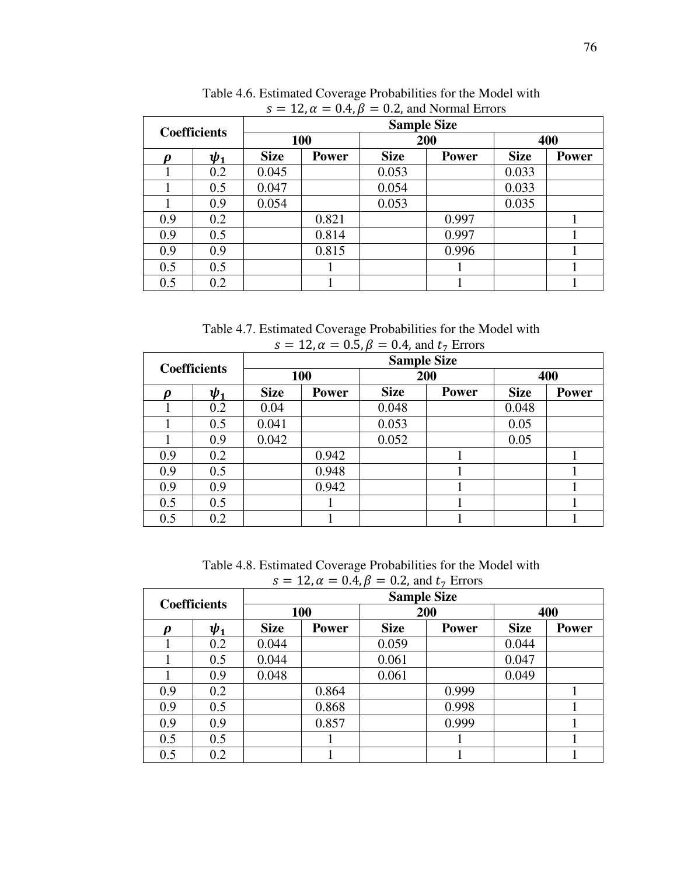| <b>Coefficients</b> |          | $\prime$ $\prime$<br><b>Sample Size</b> |              |             |              |             |              |  |  |
|---------------------|----------|-----------------------------------------|--------------|-------------|--------------|-------------|--------------|--|--|
|                     |          | 100                                     |              | 200         |              | 400         |              |  |  |
| D                   | $\psi_1$ | <b>Size</b>                             | <b>Power</b> | <b>Size</b> | <b>Power</b> | <b>Size</b> | <b>Power</b> |  |  |
|                     | 0.2      | 0.045                                   |              | 0.053       |              | 0.033       |              |  |  |
|                     | 0.5      | 0.047                                   |              | 0.054       |              | 0.033       |              |  |  |
|                     | 0.9      | 0.054                                   |              | 0.053       |              | 0.035       |              |  |  |
| 0.9                 | 0.2      |                                         | 0.821        |             | 0.997        |             |              |  |  |
| 0.9                 | 0.5      |                                         | 0.814        |             | 0.997        |             |              |  |  |
| 0.9                 | 0.9      |                                         | 0.815        |             | 0.996        |             |              |  |  |
| 0.5                 | 0.5      |                                         |              |             |              |             |              |  |  |
| 0.5                 | 0.2      |                                         |              |             |              |             |              |  |  |

 Table 4.6. Estimated Coverage Probabilities for the Model with  $s = 12$ ,  $\alpha = 0.4$ ,  $\beta = 0.2$ , and Normal Errors

 Table 4.7. Estimated Coverage Probabilities for the Model with  $s = 12$ ,  $\alpha = 0.5$ ,  $\beta = 0.4$ , and  $t_7$  Errors

| $J = 12, u = 0.0, p$<br>$v_1$ , and $v_7$ Little |                       |                    |              |             |              |             |              |  |  |  |
|--------------------------------------------------|-----------------------|--------------------|--------------|-------------|--------------|-------------|--------------|--|--|--|
| <b>Coefficients</b>                              |                       | <b>Sample Size</b> |              |             |              |             |              |  |  |  |
|                                                  |                       | 100                |              | 200         |              | 400         |              |  |  |  |
| N                                                | $\boldsymbol{\psi}_1$ | <b>Size</b>        | <b>Power</b> | <b>Size</b> | <b>Power</b> | <b>Size</b> | <b>Power</b> |  |  |  |
|                                                  | 0.2                   | 0.04               |              | 0.048       |              | 0.048       |              |  |  |  |
|                                                  | 0.5                   | 0.041              |              | 0.053       |              | 0.05        |              |  |  |  |
|                                                  | 0.9                   | 0.042              |              | 0.052       |              | 0.05        |              |  |  |  |
| 0.9                                              | 0.2                   |                    | 0.942        |             |              |             |              |  |  |  |
| 0.9                                              | 0.5                   |                    | 0.948        |             |              |             |              |  |  |  |
| 0.9                                              | 0.9                   |                    | 0.942        |             |              |             |              |  |  |  |
| 0.5                                              | 0.5                   |                    |              |             |              |             |              |  |  |  |
| 0.5                                              | 0.2                   |                    |              |             |              |             |              |  |  |  |

 Table 4.8. Estimated Coverage Probabilities for the Model with  $s = 12$ ,  $\alpha = 0.4$ ,  $\beta = 0.2$ , and  $t_7$  Errors

| <b>Coefficients</b> |          | $\prime$ $\prime$<br><b>Sample Size</b> |              |             |              |             |              |  |  |
|---------------------|----------|-----------------------------------------|--------------|-------------|--------------|-------------|--------------|--|--|
|                     |          | 100                                     |              | 200         |              | 400         |              |  |  |
| D                   | $\psi_1$ | <b>Size</b>                             | <b>Power</b> | <b>Size</b> | <b>Power</b> | <b>Size</b> | <b>Power</b> |  |  |
|                     | 0.2      | 0.044                                   |              | 0.059       |              | 0.044       |              |  |  |
|                     | 0.5      | 0.044                                   |              | 0.061       |              | 0.047       |              |  |  |
|                     | 0.9      | 0.048                                   |              | 0.061       |              | 0.049       |              |  |  |
| 0.9                 | 0.2      |                                         | 0.864        |             | 0.999        |             |              |  |  |
| 0.9                 | 0.5      |                                         | 0.868        |             | 0.998        |             |              |  |  |
| 0.9                 | 0.9      |                                         | 0.857        |             | 0.999        |             |              |  |  |
| 0.5                 | 0.5      |                                         |              |             |              |             |              |  |  |
| 0.5                 | 0.2      |                                         |              |             |              |             |              |  |  |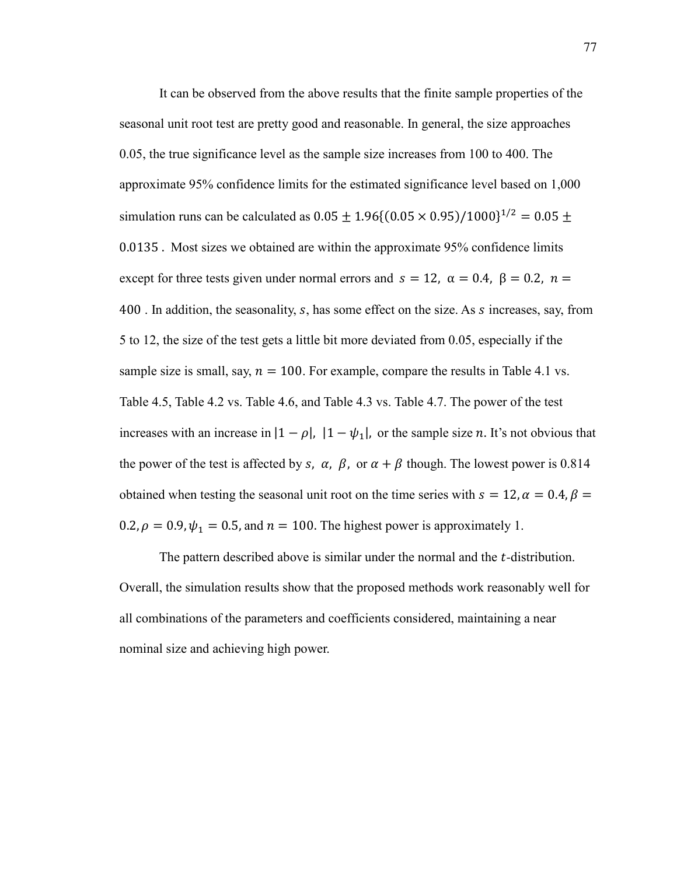It can be observed from the above results that the finite sample properties of the seasonal unit root test are pretty good and reasonable. In general, the size approaches 0.05, the true significance level as the sample size increases from 100 to 400. The approximate 95% confidence limits for the estimated significance level based on 1,000 simulation runs can be calculated as  $0.05 \pm 1.96 \{(0.05 \times 0.95)/1000\}^{1/2} = 0.05 \pm 1.96$  $0.0135$ . Most sizes we obtained are within the approximate 95% confidence limits except for three tests given under normal errors and  $s = 12$ ,  $\alpha = 0.4$ ,  $\beta = 0.2$ ,  $n =$ A00. In addition, the seasonality, *s*, has some effect on the size. As *s* increases, say, from 5 to 12, the size of the test gets a little bit more deviated from 0.05, especially if the sample size is small, say,  $n = 100$ . For example, compare the results in Table 4.1 vs. Table 4.5, Table 4.2 vs. Table 4.6, and Table 4.3 vs. Table 4.7. The power of the test increases with an increase in  $|1 - \rho|$ ,  $|1 - \psi_1|$ , or the sample size *n*. It's not obvious that the power of the test is affected by s,  $\alpha$ ,  $\beta$ , or  $\alpha + \beta$  though. The lowest power is 0.814 obtained when testing the seasonal unit root on the time series with  $s = 12$ ,  $\alpha = 0.4$ ,  $\beta =$ 0.2,  $\rho = 0.9$ ,  $\psi_1 = 0.5$ , and  $n = 100$ . The highest power is approximately 1.

The pattern described above is similar under the normal and the  $t$ -distribution. Overall, the simulation results show that the proposed methods work reasonably well for all combinations of the parameters and coefficients considered, maintaining a near nominal size and achieving high power.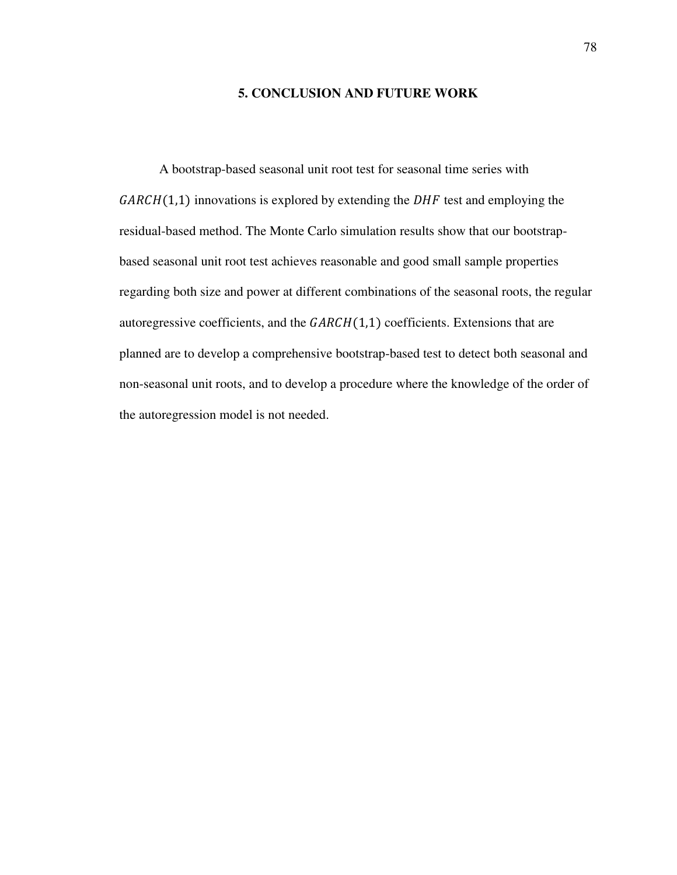## **5. CONCLUSION AND FUTURE WORK**

A bootstrap-based seasonal unit root test for seasonal time series with  $GARCH(1,1)$  innovations is explored by extending the DHF test and employing the residual-based method. The Monte Carlo simulation results show that our bootstrapbased seasonal unit root test achieves reasonable and good small sample properties regarding both size and power at different combinations of the seasonal roots, the regular autoregressive coefficients, and the  $GARCH(1,1)$  coefficients. Extensions that are planned are to develop a comprehensive bootstrap-based test to detect both seasonal and non-seasonal unit roots, and to develop a procedure where the knowledge of the order of the autoregression model is not needed.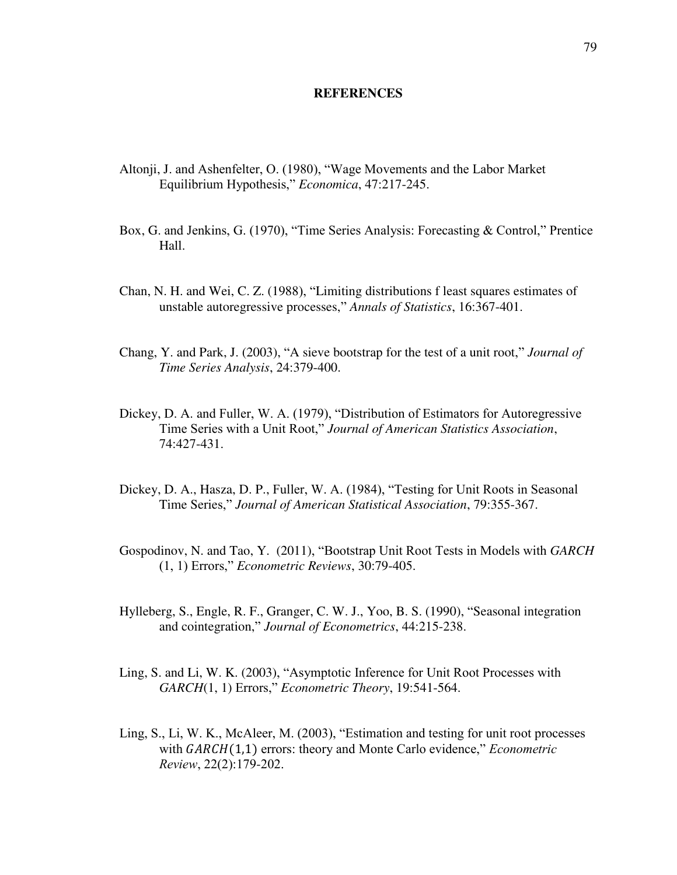#### **REFERENCES**

- Altonji, J. and Ashenfelter, O. (1980), "Wage Movements and the Labor Market Equilibrium Hypothesis," *Economica*, 47:217-245.
- Box, G. and Jenkins, G. (1970), "Time Series Analysis: Forecasting & Control," Prentice Hall.
- Chan, N. H. and Wei, C. Z. (1988), "Limiting distributions f least squares estimates of unstable autoregressive processes," *Annals of Statistics*, 16:367-401.
- Chang, Y. and Park, J. (2003), "A sieve bootstrap for the test of a unit root," *Journal of Time Series Analysis*, 24:379-400.
- Dickey, D. A. and Fuller, W. A. (1979), "Distribution of Estimators for Autoregressive Time Series with a Unit Root," *Journal of American Statistics Association*, 74:427-431.
- Dickey, D. A., Hasza, D. P., Fuller, W. A. (1984), "Testing for Unit Roots in Seasonal Time Series," *Journal of American Statistical Association*, 79:355-367.
- Gospodinov, N. and Tao, Y. (2011), "Bootstrap Unit Root Tests in Models with *GARCH* (1, 1) Errors," *Econometric Reviews*, 30:79-405.
- Hylleberg, S., Engle, R. F., Granger, C. W. J., Yoo, B. S. (1990), "Seasonal integration and cointegration," *Journal of Econometrics*, 44:215-238.
- Ling, S. and Li, W. K. (2003), "Asymptotic Inference for Unit Root Processes with *GARCH*(1, 1) Errors," *Econometric Theory*, 19:541-564.
- Ling, S., Li, W. K., McAleer, M. (2003), "Estimation and testing for unit root processes with  $GARCH(1,1)$  errors: theory and Monte Carlo evidence," *Econometric Review*, 22(2):179-202.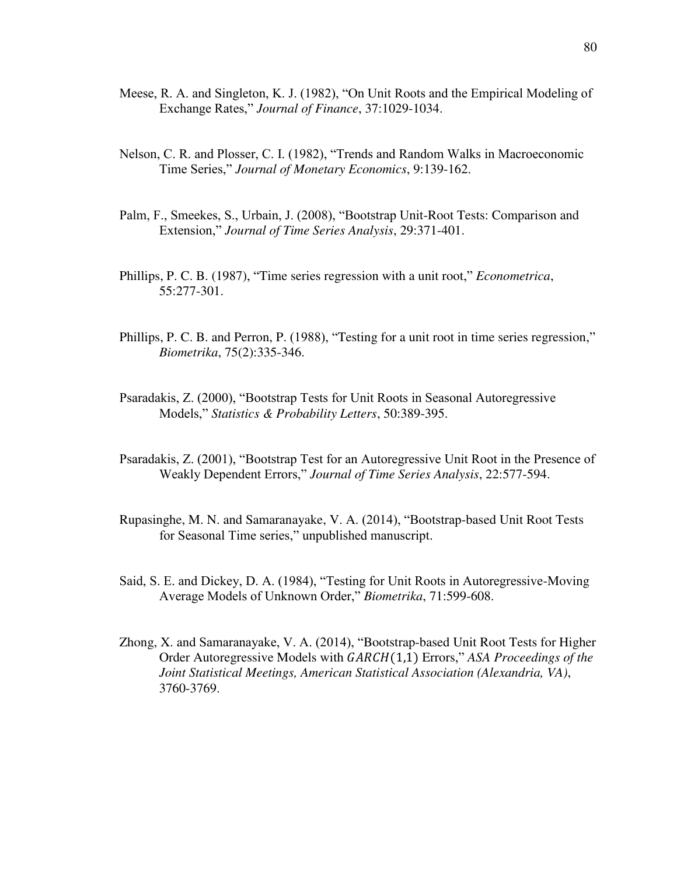- Meese, R. A. and Singleton, K. J. (1982), "On Unit Roots and the Empirical Modeling of Exchange Rates," *Journal of Finance*, 37:1029-1034.
- Nelson, C. R. and Plosser, C. I. (1982), "Trends and Random Walks in Macroeconomic Time Series," *Journal of Monetary Economics*, 9:139-162.
- Palm, F., Smeekes, S., Urbain, J. (2008), "Bootstrap Unit-Root Tests: Comparison and Extension," *Journal of Time Series Analysis*, 29:371-401.
- Phillips, P. C. B. (1987), "Time series regression with a unit root," *Econometrica*, 55:277-301.
- Phillips, P. C. B. and Perron, P. (1988), "Testing for a unit root in time series regression," *Biometrika*, 75(2):335-346.
- Psaradakis, Z. (2000), "Bootstrap Tests for Unit Roots in Seasonal Autoregressive Models," *Statistics & Probability Letters*, 50:389-395.
- Psaradakis, Z. (2001), "Bootstrap Test for an Autoregressive Unit Root in the Presence of Weakly Dependent Errors," *Journal of Time Series Analysis*, 22:577-594.
- Rupasinghe, M. N. and Samaranayake, V. A. (2014), "Bootstrap-based Unit Root Tests for Seasonal Time series," unpublished manuscript.
- Said, S. E. and Dickey, D. A. (1984), "Testing for Unit Roots in Autoregressive-Moving Average Models of Unknown Order," *Biometrika*, 71:599-608.
- Zhong, X. and Samaranayake, V. A. (2014), "Bootstrap-based Unit Root Tests for Higher Order Autoregressive Models with *GARCH*(1,1) Errors," *ASA Proceedings of the Joint Statistical Meetings, American Statistical Association (Alexandria, VA)*, 3760-3769.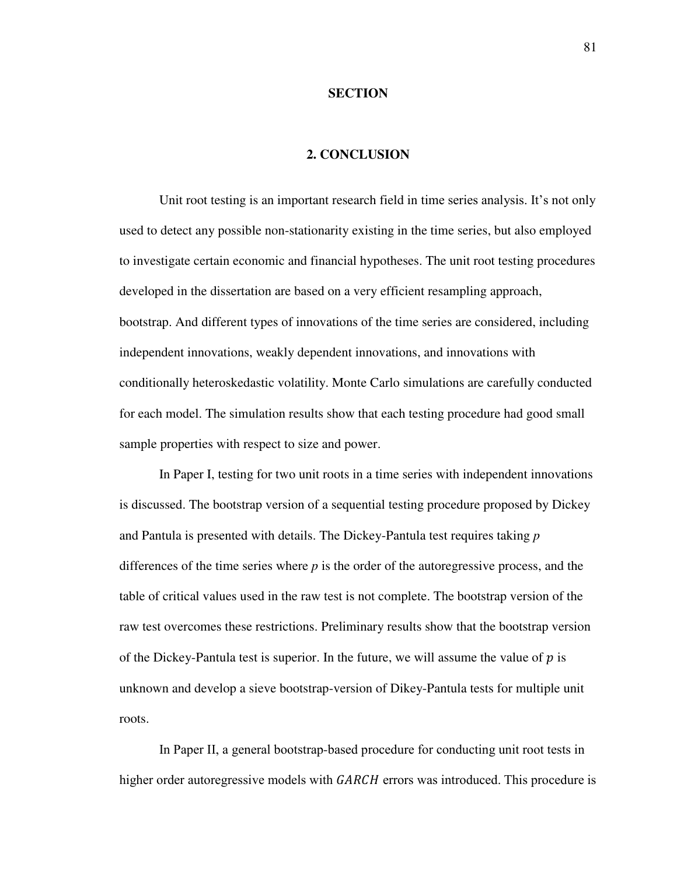#### **SECTION**

### **2. CONCLUSION**

 Unit root testing is an important research field in time series analysis. It's not only used to detect any possible non-stationarity existing in the time series, but also employed to investigate certain economic and financial hypotheses. The unit root testing procedures developed in the dissertation are based on a very efficient resampling approach, bootstrap. And different types of innovations of the time series are considered, including independent innovations, weakly dependent innovations, and innovations with conditionally heteroskedastic volatility. Monte Carlo simulations are carefully conducted for each model. The simulation results show that each testing procedure had good small sample properties with respect to size and power.

In Paper I, testing for two unit roots in a time series with independent innovations is discussed. The bootstrap version of a sequential testing procedure proposed by Dickey and Pantula is presented with details. The Dickey-Pantula test requires taking *p*  differences of the time series where *p* is the order of the autoregressive process, and the table of critical values used in the raw test is not complete. The bootstrap version of the raw test overcomes these restrictions. Preliminary results show that the bootstrap version of the Dickey-Pantula test is superior. In the future, we will assume the value of  $p$  is unknown and develop a sieve bootstrap-version of Dikey-Pantula tests for multiple unit roots.

In Paper II, a general bootstrap-based procedure for conducting unit root tests in higher order autoregressive models with GARCH errors was introduced. This procedure is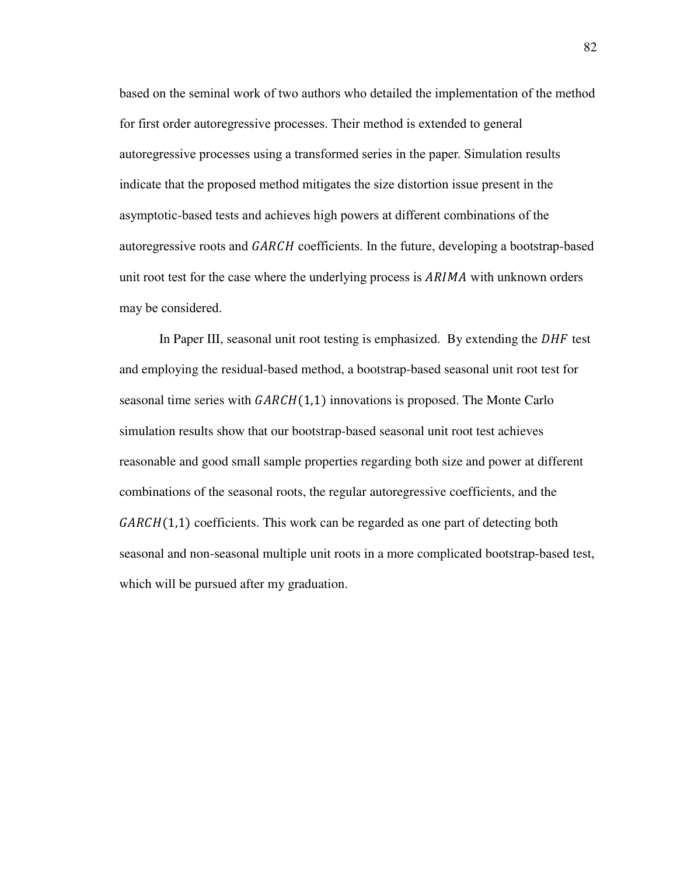based on the seminal work of two authors who detailed the implementation of the method for first order autoregressive processes. Their method is extended to general autoregressive processes using a transformed series in the paper. Simulation results indicate that the proposed method mitigates the size distortion issue present in the asymptotic-based tests and achieves high powers at different combinations of the autoregressive roots and GARCH coefficients. In the future, developing a bootstrap-based unit root test for the case where the underlying process is  $ARIMA$  with unknown orders may be considered.

In Paper III, seasonal unit root testing is emphasized. By extending the  $DHF$  test and employing the residual-based method, a bootstrap-based seasonal unit root test for seasonal time series with  $GARCH(1,1)$  innovations is proposed. The Monte Carlo simulation results show that our bootstrap-based seasonal unit root test achieves reasonable and good small sample properties regarding both size and power at different combinations of the seasonal roots, the regular autoregressive coefficients, and the  $GARCH(1,1)$  coefficients. This work can be regarded as one part of detecting both seasonal and non-seasonal multiple unit roots in a more complicated bootstrap-based test, which will be pursued after my graduation.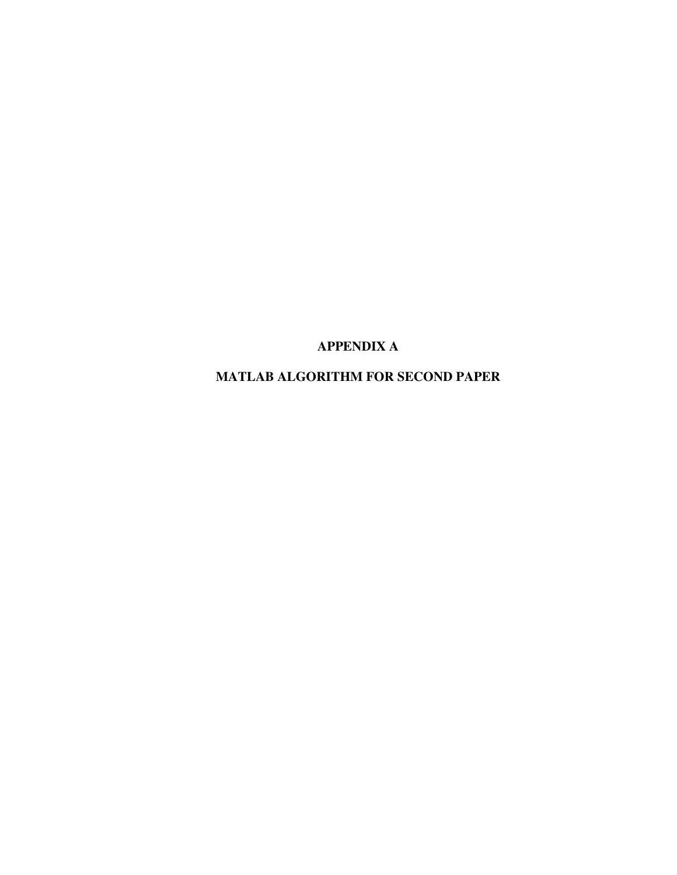**APPENDIX A** 

**MATLAB ALGORITHM FOR SECOND PAPER**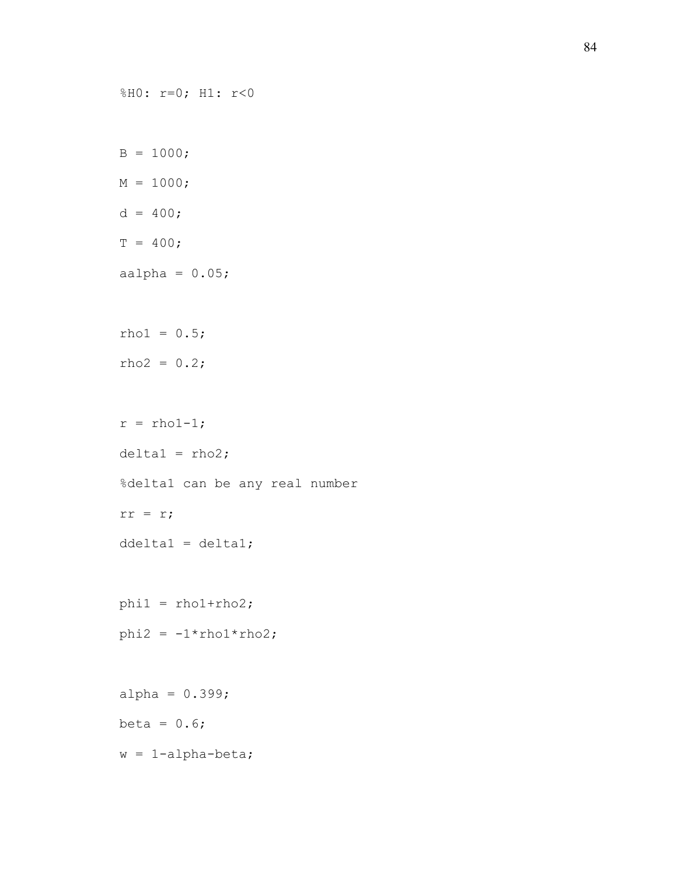```
%H0: r=0; H1: r<0 
B = 1000;M = 1000;d = 400;T = 400;aalpha = 0.05;
rho1 = 0.5;
rho2 = 0.2;r = \text{rho1-1};delta1 = rho2;%delta1 can be any real number 
rr = r; 
ddelta1 = delta1; 
phi1 = rho1 + rho2;phi2 = -1*rho1*rho2;alpha = 0.399;
beta = 0.6;
w = 1-alpha-beta;
```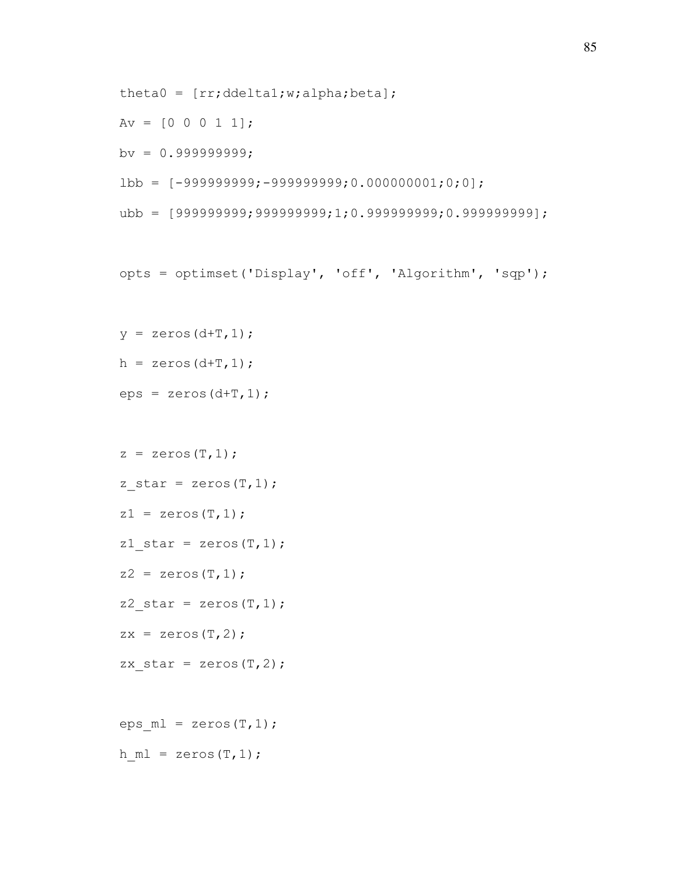```
theta0 = [rr;ddeltal;w;alpha]pha;beta];
```
 $Av = [0 0 0 1 1];$ 

 $bv = 0.999999999;$ 

```
lbb = [-999999999; -9999999999; 0.000000001; 0; 0];
```
ubb = [999999999;999999999;1;0.999999999;0.999999999];

```
opts = optimset('Display', 'off', 'Algorithm', 'sqp');
```

```
y = zeros (d+T, 1);
h = zeros(d+T, 1);
```
 $eps = zeros(d+T, 1);$ 

```
z = zeros(T, 1);z star = zeros(T,1);z1 = zeros(T, 1);z1 star = zeros(T,1);z2 = zeros(T, 1);z2 star = zeros(T,1);zx = zeros(T, 2);
zx star = zeros(T, 2);
eps ml = zeros(T,1);
```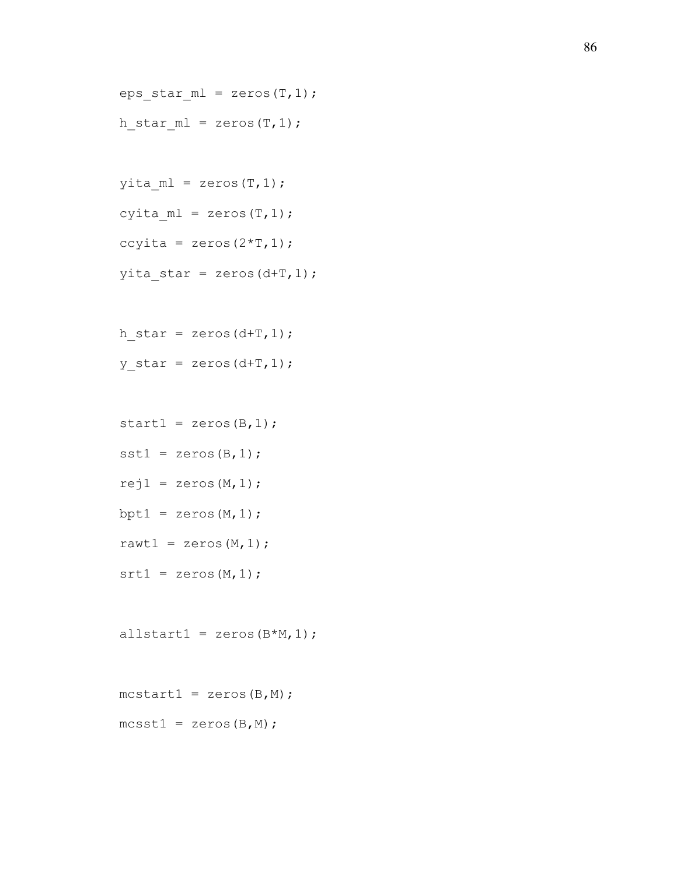```
eps\_star\_ml = zeros(T, 1);h star ml = zeros(T,1);
```

```
yita ml = zeros(T,1);
cyita ml = zeros(T,1);ccyita = zeros(2 \star T, 1);
yita star = zeros(d+T,1);
```
h star = zeros(d+T,1); y star = zeros(d+T,1);

```
start1 = zeros (B, 1);
```
 $sst1 = zeros(B,1);$ 

- $rej1 = zeros(M,1);$
- bpt1 =  $zeros(M, 1)$ ;
- rawt $1 =$  zeros  $(M, 1)$ ;
- $srt1 = zeros(M,1);$

```
allstart1 = zeros(B*M,1);
```

```
mcstart1 = zeros(B,M);
```
 $mcsst1 = zeros(B,M);$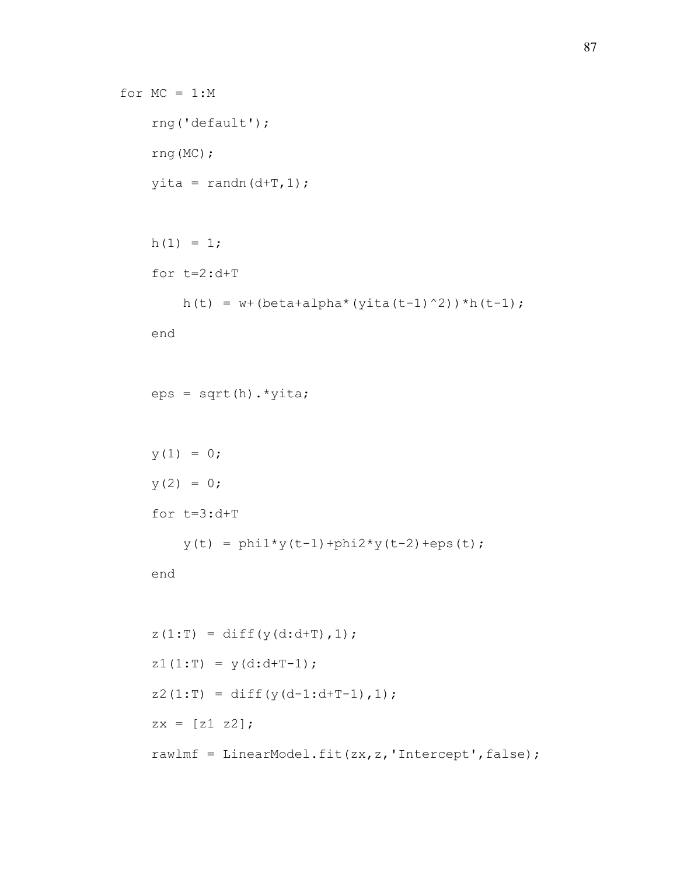```
for MC = 1:M rng('default'); 
     rng(MC); 
    yita = randn(d+T,1);
    h(1) = 1; for t=2:d+T 
        h(t) = w + (beta + alpha * (yita(t-1)^2)) *h(t-1); end 
    eps = sqrt(h) . *yita;y(1) = 0;y(2) = 0; for t=3:d+T 
         y(t) = \text{phi1*}y(t-1) + \text{phi2*}y(t-2) + \text{eps}(t); end 
    z(1:T) = diff(y(d:d+T), 1);z1(1:T) = y(d:d+T-1);
    z2(1:T) = diff(y(d-1:d+T-1), 1);zx = [z1 z2]; rawlmf = LinearModel.fit(zx,z,'Intercept',false);
```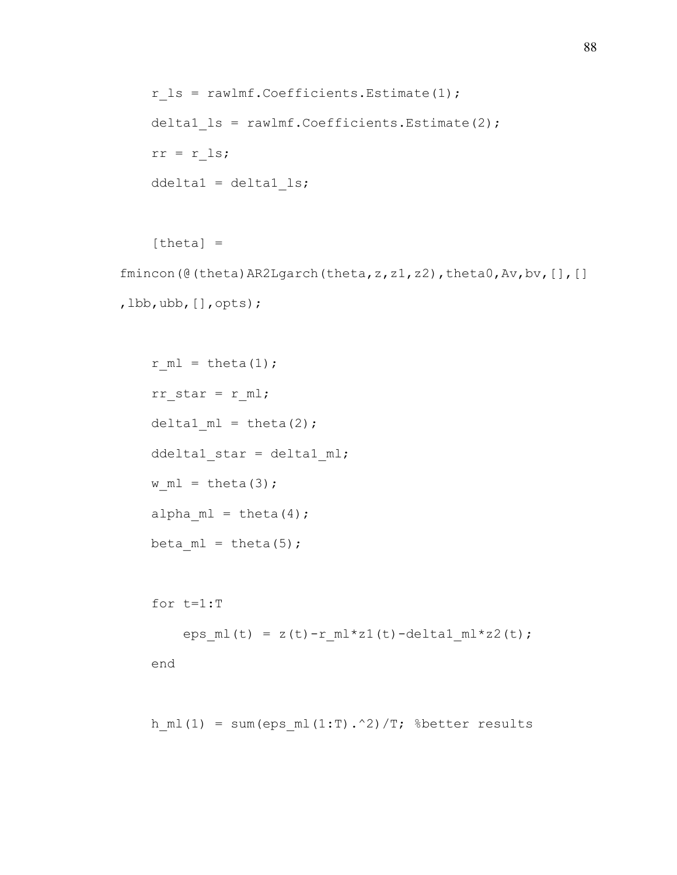```
r ls = rawlmf.Coefficients.Estimate(1);
delta1 ls = rawlmf.Coefficients.Estimate(2);
rr = r ls;
 ddelta1 = delta1_ls;
```
 $[theta] =$ 

```
fmincon(@(theta)AR2Lgarch(theta,z,z1,z2),theta0,Av,bv, [], []
,lbb,ubb,[],opts);
```

```
r ml = theta(1);rr\_star = r\_ml;delta1 ml = theta(2); ddelta1_star = delta1_ml; 
w ml = theta(3);alpha ml = theta(4);beta ml = theta(5);
```
for t=1:T

eps\_ml(t) =  $z(t)-r_m1*z1(t)$ -delta1\_ml\*z2(t);

end

h ml(1) = sum(eps ml(1:T).^2)/T; %better results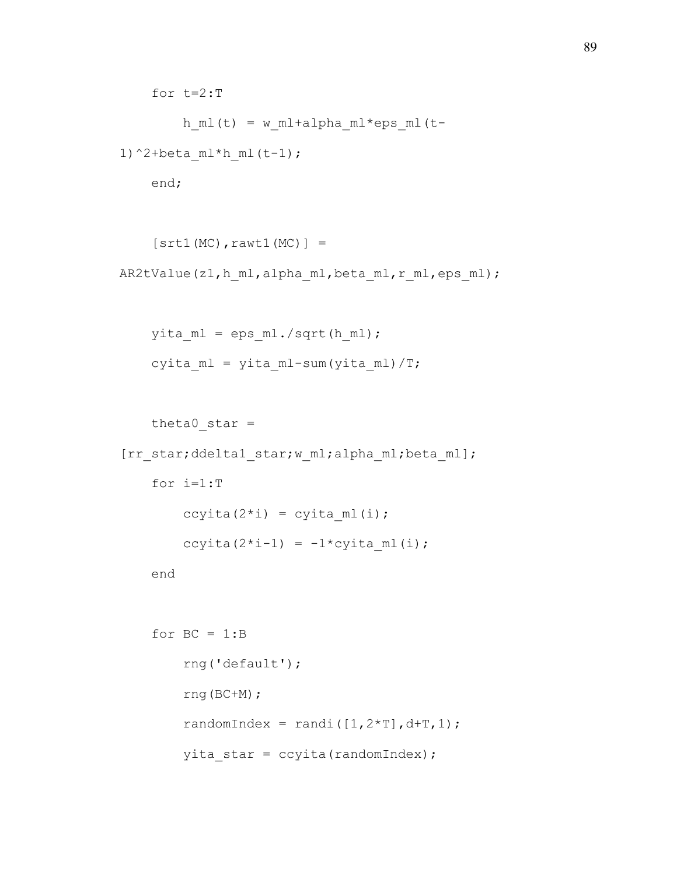for t=2:T h ml(t) = w ml+alpha ml\*eps ml(t-1)^2+beta  $ml*h$   $ml(t-1)$ ;

end;

```
[srt1(MC),rawt1(MC)] =AR2tValue(z1,h ml,alpha ml,beta ml,r ml,eps ml);
```

```
yita ml = eps ml./sqrt(h ml);cyita ml = yita ml-sum(yita ml)/T;
```

```
theta0 star =
[rr_star;ddelta1_star;w_ml;alpha_ml;beta_ml]; 
     for i=1:T 
        ccyita(2 * i) = cyita ml(i);
        ccyita(2*i-1) = -1*cyita ml(i);
     end
```

```
for BC = 1:B rng('default'); 
     rng(BC+M); 
    randomIndex = randi([1,2*T],d+T,1);
    yita star = ccyita(randomIndex);
```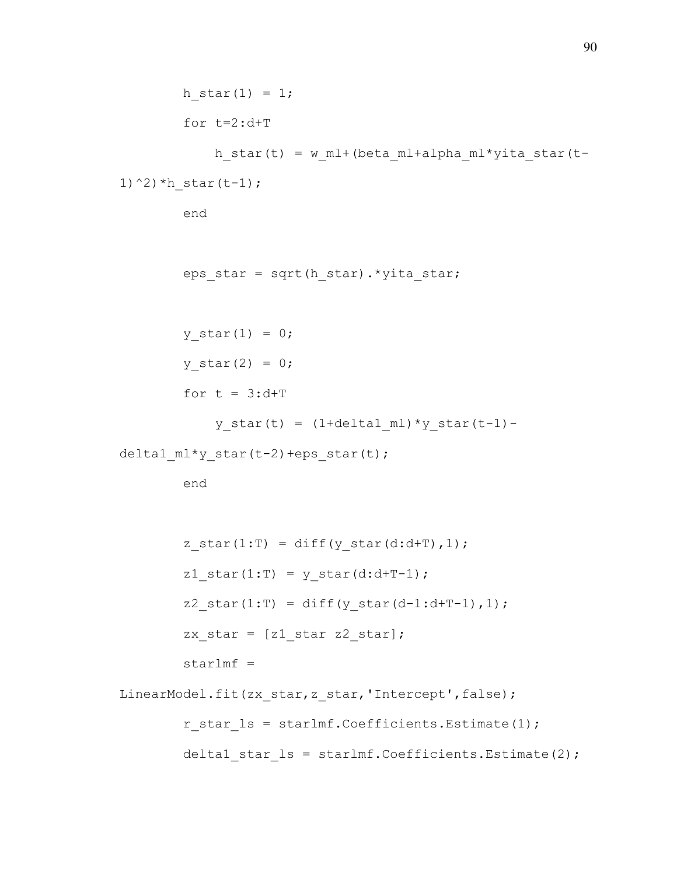```
h star(1) = 1;for t=2:d+T
```

```
h star(t) = w ml+(beta ml+alpha ml*yita star(t-
```

```
1)^{\wedge}2) ^{\star}h star(t-1);
```
end

```
eps star = sqrt(h star).*yita star;
```
y star $(1) = 0;$  $y$  star(2) = 0; for  $t = 3: d+T$ 

 $y_{\text{star}}(t) = (1 + \text{delta1_m1}) * y_{\text{star}}(t-1) -$ 

delta1\_ml\*y\_star(t-2)+eps\_star(t);

```
z star(1:T) = diff(y star(d:d+T),1);
        z1_{\text{star}}(1:T) = y_{\text{star}}(d:d+T-1);z2 star(1:T) = diff(y star(d-1:d+T-1),1);
        zx star = [z1 \text{ star } z2 \text{ star}];starlmf =LinearModel.fit(zx_star,z_star,'Intercept',false);
        r star ls = starlmf.Coefficients.Estimate(1);delta1 star ls = starlmf.Coefficients.Estimate(2);
```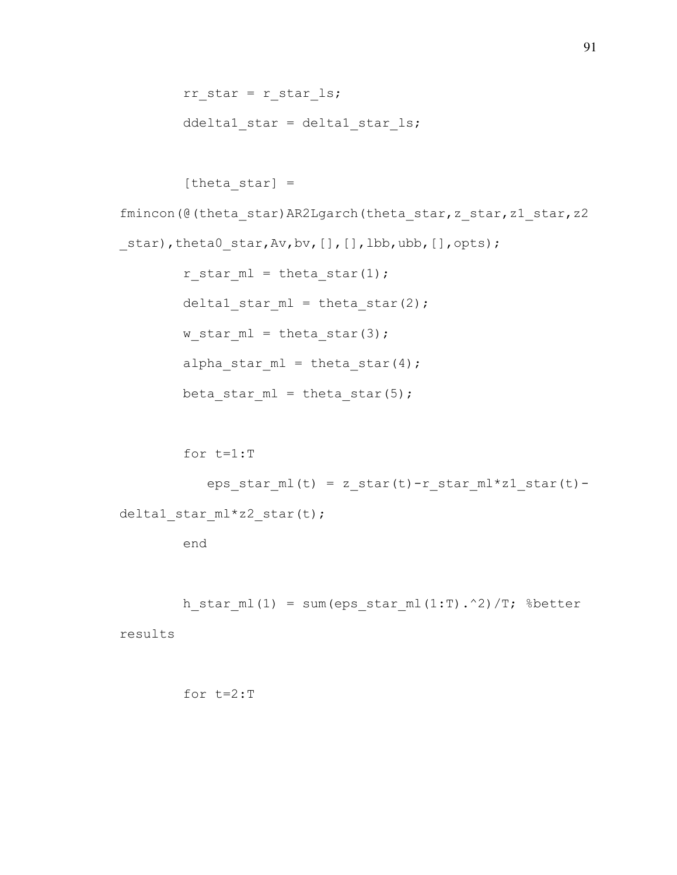```
rr\_star = r\_star\_ls;ddelta1 star = delta1 star ls;
```
[theta star]  $=$ fmincon(@(theta\_star)AR2Lgarch(theta\_star,z\_star,z1\_star,z2 star),theta0 star,Av,bv, [], [],lbb,ubb, [],opts); r star ml = theta star(1); delta1 star\_ml = theta\_star(2); w star  $ml = theta star(3);$ alpha star  $ml = theta star(4);$  $beta_5tan_m1 = theta_star(5)$ ;

eps star ml(t) = z star(t)-r star ml\*z1 star(t)deltal star  $ml*z2$  star(t);

end

for t=1:T

h star ml(1) = sum(eps star ml(1:T).^2)/T; %better

results

for t=2:T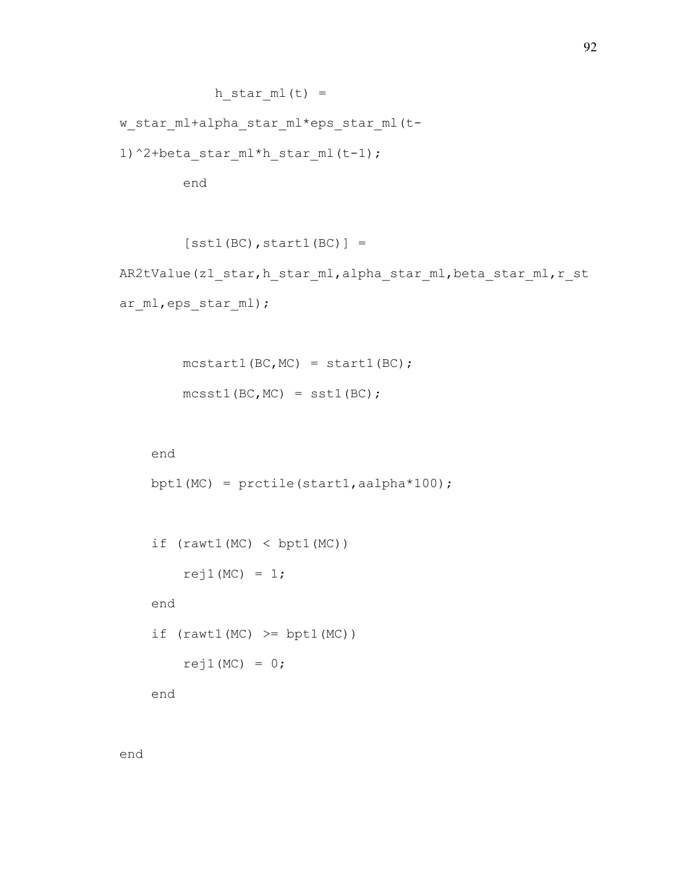```
h star ml(t) =
```
w star ml+alpha star ml\*eps star ml(t-

1)^2+beta star ml\*h star ml(t-1);

end

```
[sst1(BC), start1(BC)] =
```
AR2tValue(z1 star,h star ml,alpha star ml,beta star ml,r st ar ml, eps star ml);

```
mcstart1(BC, MC) = start1(BC);mcsst1(BC, MC) = sst1(BC);
```
end

```
bpt1(MC) = prctile(start1, aalpha*100);
```

```
if (rawt1(MC) < bpt1(MC))rej1(MC) = 1; end 
if (rawtl(MC) \geq bptl(MC))rej1(MC) = 0;
```
end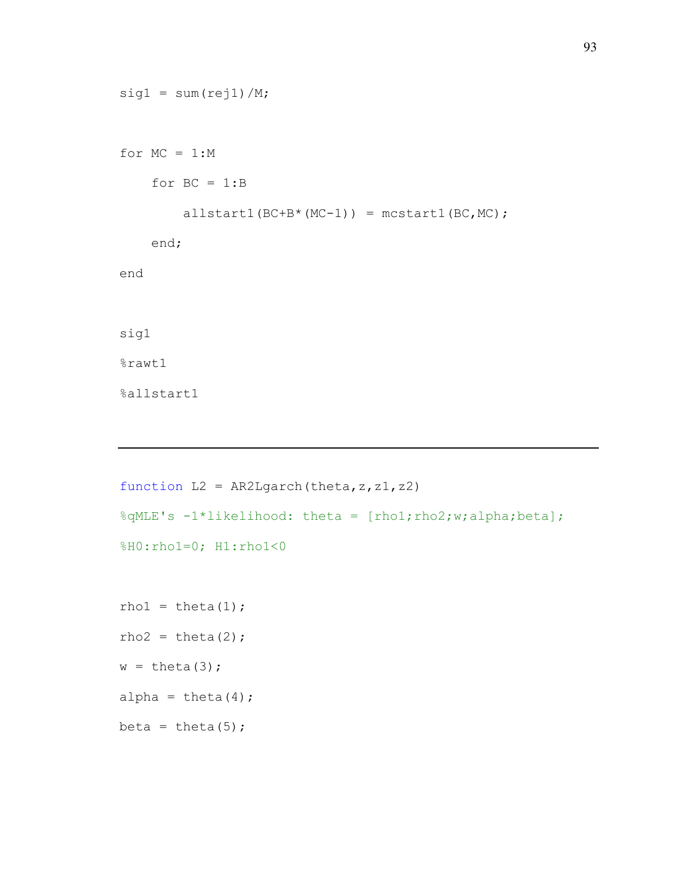```
sig1 = sum(rej1)/M;for MC = 1:Mfor BC = 1:Ballstart1(BC+B*(MC-1)) = mcstart1(BC, MC); end; 
end 
sig1 
%rawt1 
%allstart1
```

```
function L2 = AR2Lgarch(theta,z,z1,z2)%qMLE's -1*likelihood: theta = [rho1;rho2;w;alpha;beta];
%H0:rho1=0; H1:rho1<0
rho1 = \text{theta}(1);
rho2 = theta(2);
w = \text{theta}(3);
alpha = theta(4);
beta = theta(5);
```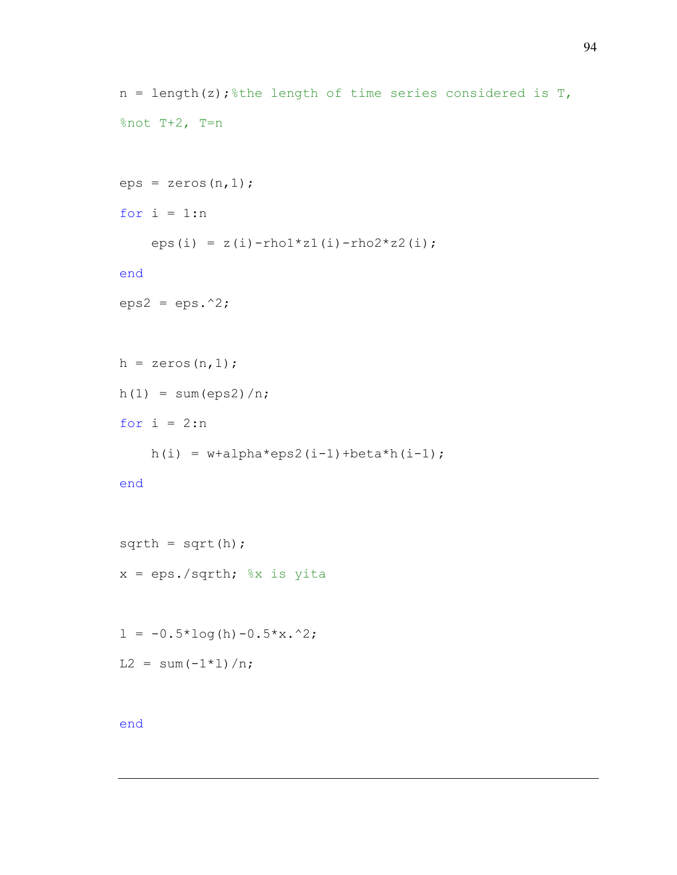```
n = length(z); the length of time series considered is T,
%not T+2, T=n
eps = zeros(n, 1);for i = 1:neps(i) = z(i)-rho1 * z1(i)-rho2 * z2(i);
end
eps2 =eps.^2;h = zeros(n, 1);
h(1) = sum(eps2)/n;for i = 2:nh(i) = w + \alpha + \alpha \cdot \cos(1 - 1) + \beta \cdot \tan(1 - 1);
end
sqrt{a} = sqrt(h);
x = \text{eps./sqrtth; } % is yita
```

```
1 = -0.5*log(h)-0.5*x.^2;L2 = sum(-1*1)/n;
```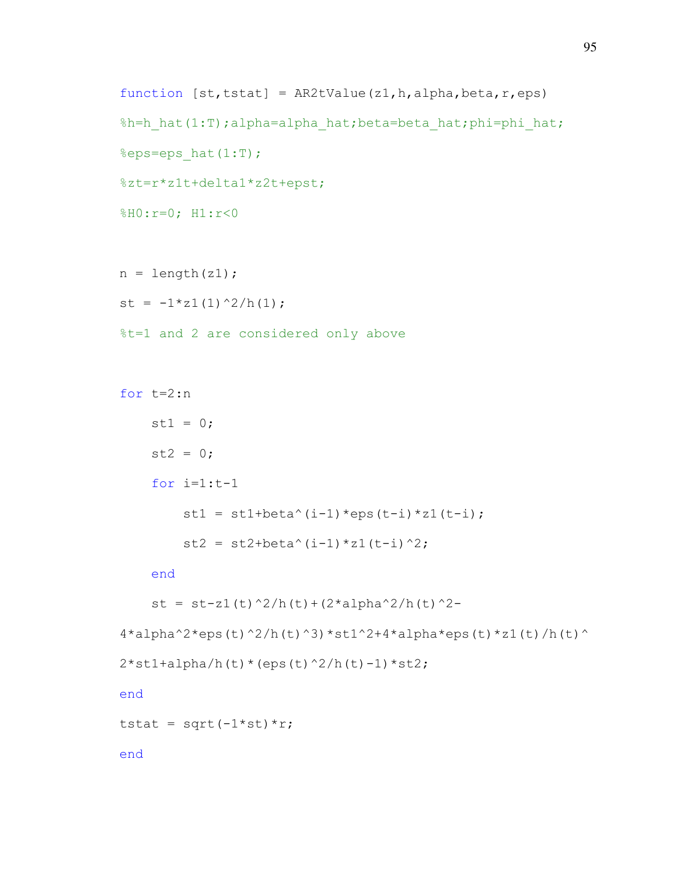```
function [st,tstat] = AR2tValue(z1,h,alpha,beta,r,eps)%h=h_hat(1:T);alpha=alpha_hat;beta=beta_hat;phi=phi_hat;
%eps=eps hat(1:T);
%zt=r*z1t+delta1*z2t+epst;
%H0:r=0; H1:r<0
```

```
n = length(z1);st = -1*z1(1)^2/h(1);
%t=1 and 2 are considered only above
```

```
for t=2:n 
    st1 = 0;st2 = 0;for i=1:t-1st1 = st1 + beta^(i-1) *eps(t-i) *z1(t-i);st2 = st2 + beta^(i-1)*z1(t-i)^2;
```
end

```
st = st-z1(t)^2/h(t)+(2*alpha^2/h(t)^2-
```

```
4*alpha^2*eps(t)^2/h(t)^3*st1^2+4*alpha*eps(t)*z1(t)/h(t)^{-1}
```

```
2*st1+alpha/h(t)*(eps(t)^2/h(t)-1)*st2;
```
end

tstat = sqrt $(-1 * st) * r$ ;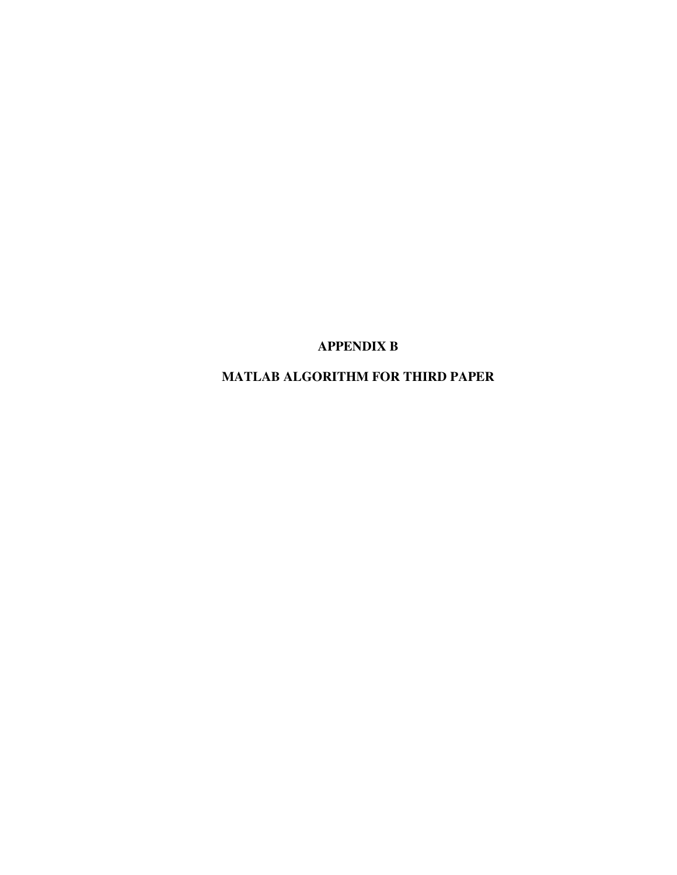# **APPENDIX B**

# **MATLAB ALGORITHM FOR THIRD PAPER**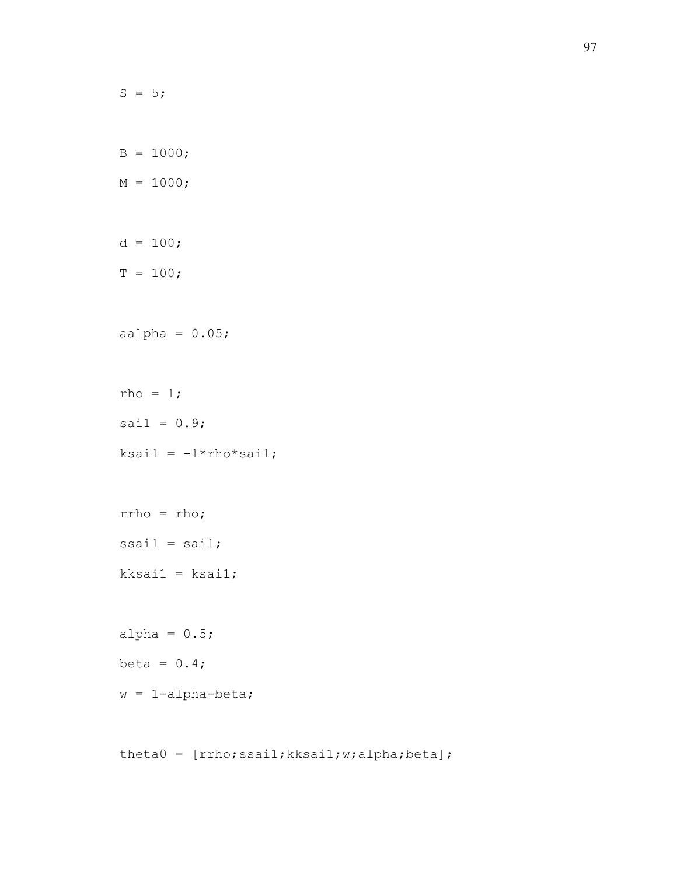```
S = 5;B = 1000;M = 1000;d = 100;T = 100;aalpha = 0.05;
rho = 1;sail = 0.9;ksail = -1*rho*sail;rrho = rho; 
ssail = sail;kksai1 = ksai1; 
alpha = 0.5;
beta = 0.4;
w = 1-alpha-beta;
```
theta0 = [rrho;ssai1;kksai1;w;alpha;beta];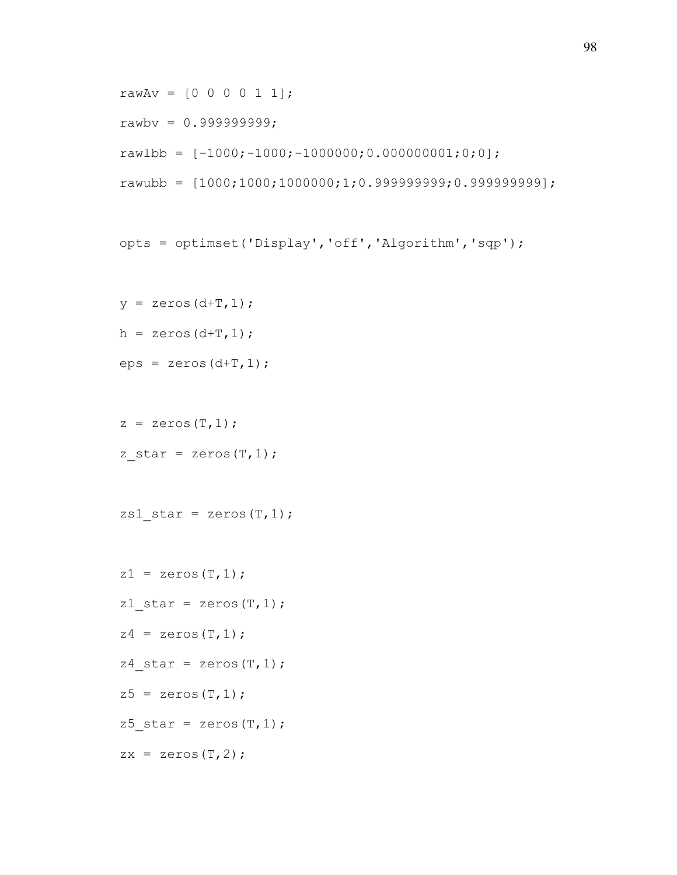```
rawAv = [0 0 0 0 1 1];
rawbv = 0.9999999999rawlbb = [-1000; -1000; -1000000; 0.000000001; 0; 0];rawubb = [1000; 1000; 1000000; 1; 0.999999999; 0.999999999];
```

```
opts = optimset('Display','off','Algorithm','sqp');
```

```
y = zeros (d+T, 1);
```

```
h = zeros (d+T, 1);
```

```
eps = zeros(d+T, 1);
```

```
z = zeros(T, 1);
```

```
z star = zeros(T,1);
```

```
zs1 star = zeros(T,1);
```

```
z1 = zeros(T, 1);z1 star = zeros(T,1);z4 = zeros(T, 1);z4 star = zeros(T,1);z5 = zeros(T, 1);z5 star = zeros(T,1);zx = zeros(T, 2);
```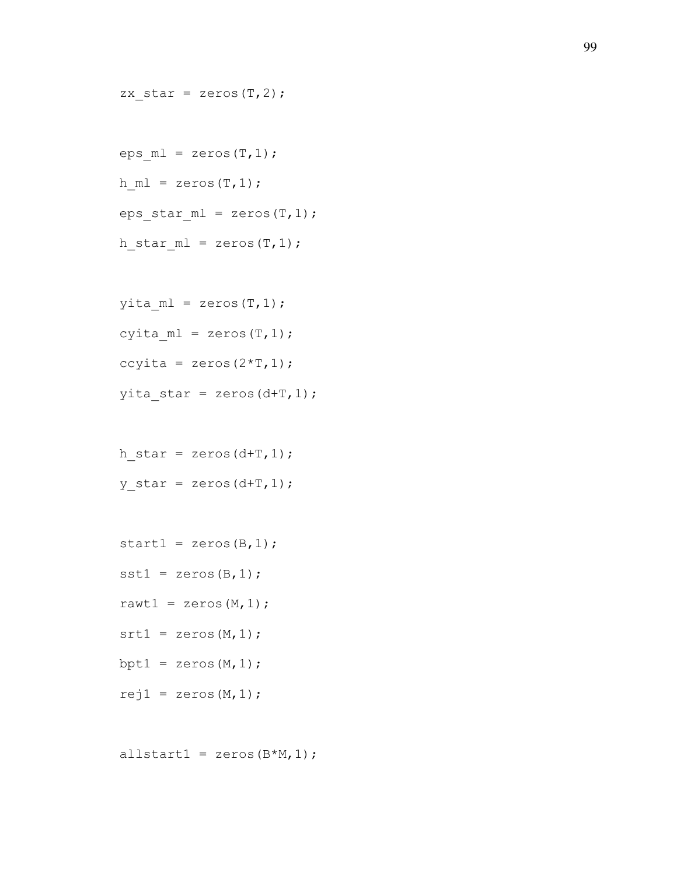```
eps ml = zeros(T,1);h ml = zeros(T,1);eps star ml = zeros(T,1);h star ml = zeros(T,1);
```
zx star = zeros $(T, 2)$ ;

```
yita ml = zeros(T,1);cyita ml = zeros(T,1);ccyita = zeros(2*T,1);yita\_star = zeros(d+T, 1);
```
 $h_{\text{star}} = \text{zeros}(d+T, 1);$ y star = zeros $(d+T,1);$ 

```
start1 = zeros (B, 1);
sst1 = zeros(B,1);rawt1 = zeros (M, 1);
srt1 = zeros(M,1);bpt1 = zeros (M, 1);
rej1 = zeros(M,1);
```
allstart1 = zeros $(B*M,1)$ ;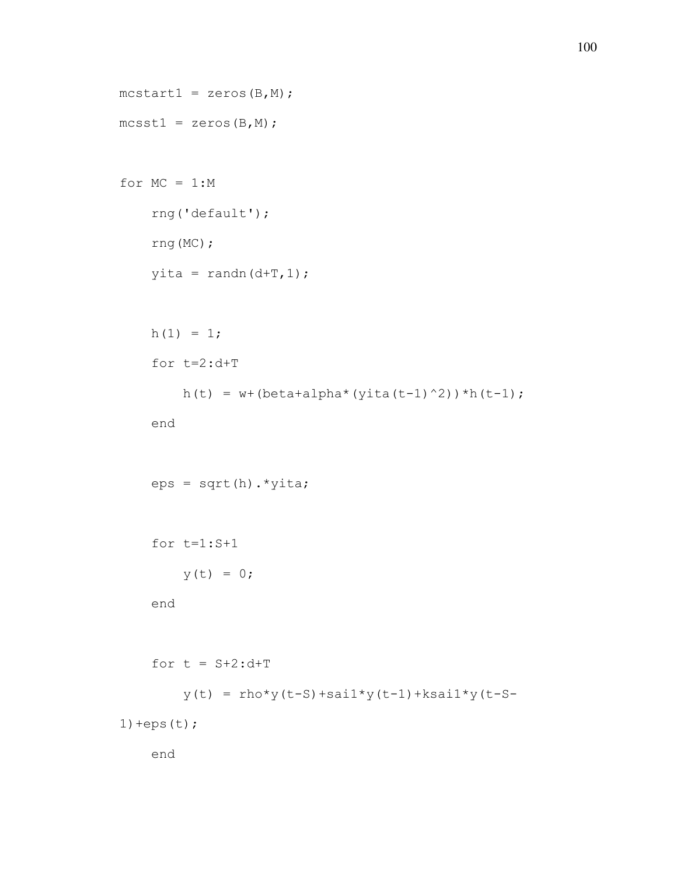```
mcstart1 = zeros(B,M);mcsst1 = zeros(B,M);for MC = 1:M rng('default'); 
     rng(MC); 
    yita = randn(d+T,1);
    h(1) = 1; for t=2:d+T 
        h(t) = w + (beta + alpha * (yita(t-1)^2)) *h(t-1); end 
    eps = sqrt(h) . *yita; for t=1:S+1 
        y(t) = 0; end 
    for t = S+2:d+Ty(t) = rho*y(t-S)+sail*y(t-1)+ksail*y(t-S-1) +eps(t);
     end
```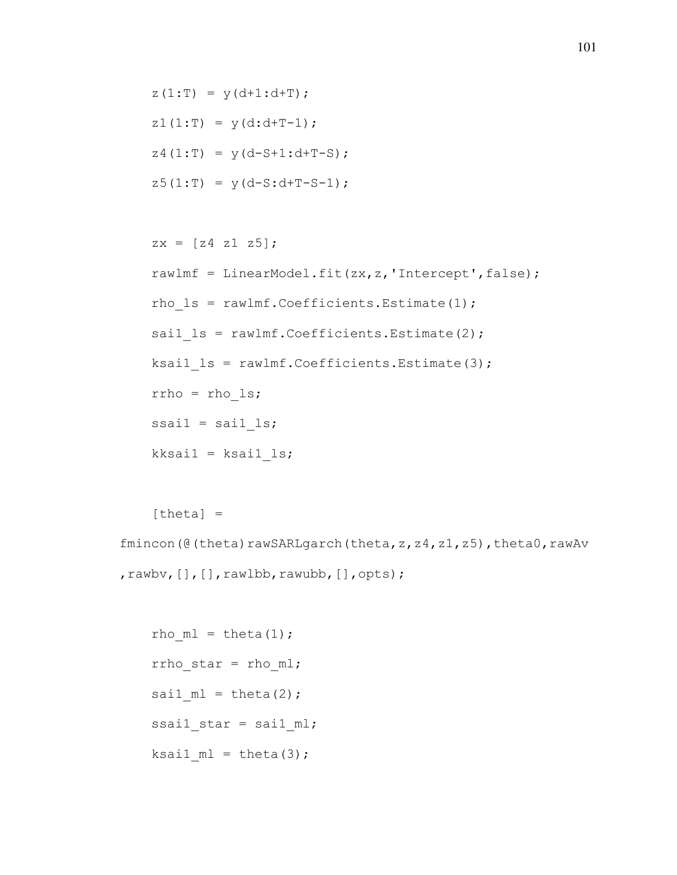$z(1:T) = y(d+1:d+T);$  $z1(1:T) = y(d:d+T-1);$  $z4(1:T) = y(d-S+1:d+T-S);$  $z5(1:T) = y(d-S:d+T-S-1);$ 

```
zx = [z4 z1 z5]; rawlmf = LinearModel.fit(zx,z,'Intercept',false); 
rho ls = rawlmf.Coefficients.Estimate(1);sail ls = rawlmf.Coefficients.Estimate(2);ksai1 ls = rawlmf.Coefficients.Estimate(3); rrho = rho_ls; 
ssai1 =sai1ls;
kksail = ksail_ls;
```
 $[theta] =$ 

fmincon(@(theta)rawSARLgarch(theta,z,z4,z1,z5),theta0,rawAv ,rawbv, [], [],rawlbb,rawubb, [],opts);

rho  $ml = theta(1);$  rrho\_star = rho\_ml; sai1  $ml = theta(2)$ ; ssail star = sail  $ml$ ; ksai1  $ml = theta(3);$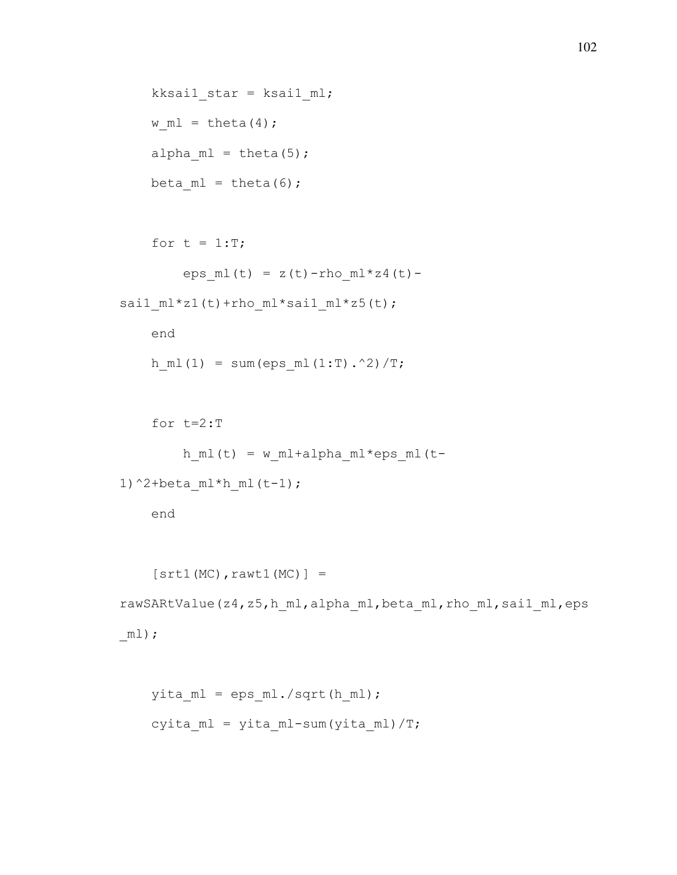```
kksai1 star = ksai1 ml;
w ml = theta(4);
alpha ml = theta(5);beta ml = theta(6);
```

```
for t = 1:T;eps ml(t) = z(t)-rho ml*z4(t)-
sai1 ml*z1(t)+rho ml*sai1 ml*z5(t);
```

```
 end 
h ml(1) = sum(eps ml(1:T).^2)/T;
```

```
 for t=2:T 
        h_ml(t) = w_ml+alpha_ml*eps_ml(t-1)^2+beta ml*h ml(t-1);
```

```
[str1(MC),rawt1(MC)] =rawSARtValue(z4,z5,h ml,alpha ml,beta ml,rho ml,sai1 ml,eps
\_ml);
```

```
yita ml = epsml./sqrt(hml);cyita ml = yita ml-sum(yita ml)/T;
```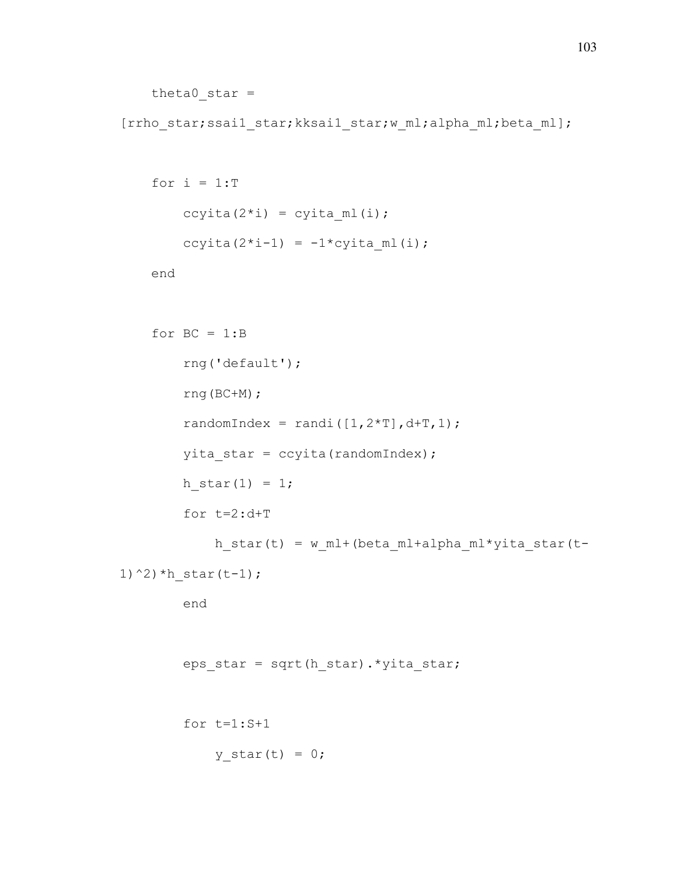```
theta0 star =
```
[rrho star;ssai1 star;kksai1 star;w ml;alpha ml;beta ml];

```
for i = 1:Tccyita(2 * i) = cyita ml(i);
    ccyita(2*i-1) = -1*cyita ml(i);
```

```
for BC = 1:B rng('default'); 
           rng(BC+M); 
          randomIndex = randi([1,2*T], d+T, 1);
           yita_star = ccyita(randomIndex); 
          h star(1) = 1; for t=2:d+T 
                h_{\text{star}}(t) = w_{\text{ml}} + (beta_{\text{ml}} + alpha_{\text{ml}} * yita_{\text{star}}(t-1)^{\wedge}2) ^{\star}h star(t-1);
           end 
           eps_star = sqrt(h_star).*yita_star; 
           for t=1:S+1 
                y_{\text{start}}(t) = 0;
```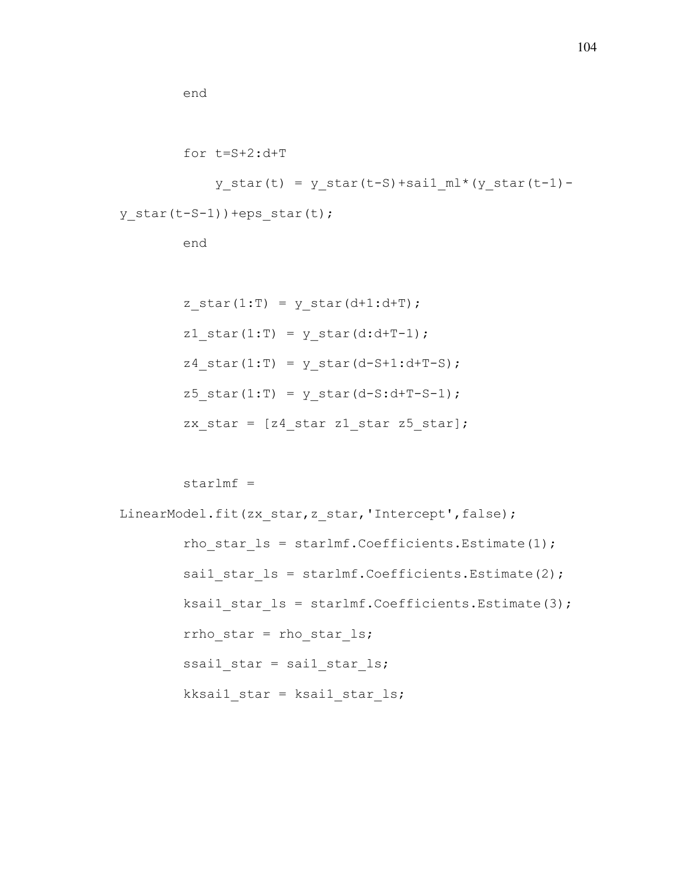```
 for t=S+2:d+T 
            y star(t) = y star(t-S)+sail ml*(y star(t-1)-
y star(t-S-1))+eps star(t);
         end
```

```
z star(1:T) = y star(d+1:d+T);
z1 star(1:T) = y star(d:d+T-1);
z4 star(1:T) = y star(d-S+1:d+T-S);
z5<sup>_star(1:T) = y_star(d-S:d+T-S-1);</sup>
zx star = [z4 \text{ star } z1 \text{ star } z5 \text{ star}];
```

```
starlmf =
```

```
LinearModel.fit(zx_star,z_star,'Intercept',false);
        rho star ls = starlmf.Coefficients.Estimate(1);sail star ls = starlmf.Coefficients.Estimate(2);ksai1 star ls = starlmf.Coefficients.Estimate(3);rrho star = rho star ls; ssai1_star = sai1_star_ls; 
        kksai1 star = ksai1 star ls;
```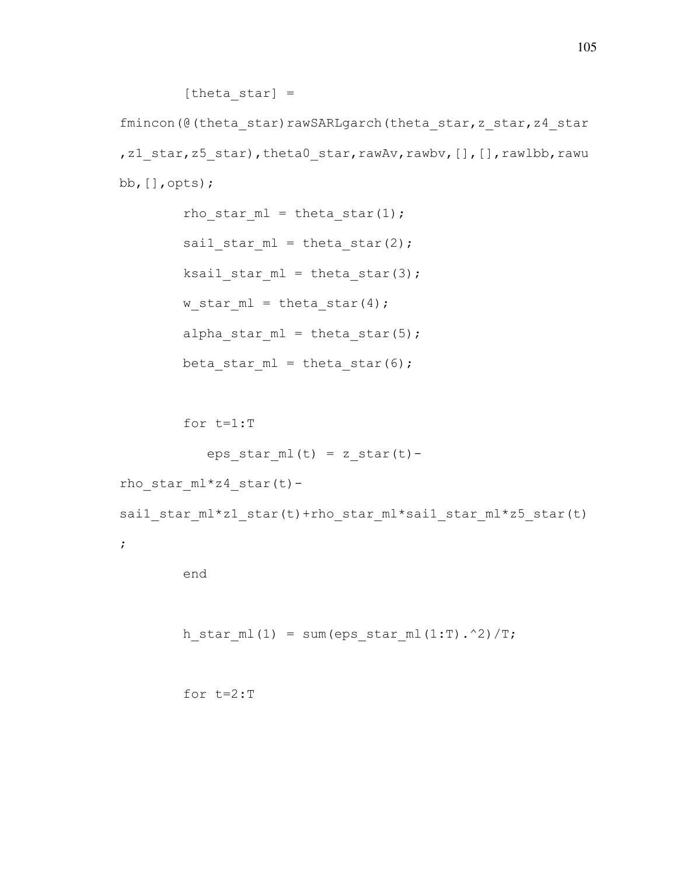[theta star]  $=$ 

fmincon(@(theta\_star)rawSARLgarch(theta\_star,z\_star,z4\_star ,z1 star,z5 star),theta0 star,rawAv,rawbv, [], [],rawlbb,rawu bb,[],opts);

> rho star  $ml = theta star(1);$ sail star  $ml = theta star(2);$  $ksail\_star\_ml = theta\_star(3);$ w star  $ml = theta star(4);$ alpha star  $ml = theta star(5);$ beta star  $ml = theta star(6);$

for t=1:T

```
eps\_star_ml(t) = z\_star(t)-
```
rho star  $ml*z4$  star(t)-

sai1\_star\_ml\*z1\_star(t)+rho\_star\_ml\*sai1\_star\_ml\*z5\_star(t)

;

```
h star ml(1) = sum(eps star ml(1:T).^2)/T;
```

```
 for t=2:T
```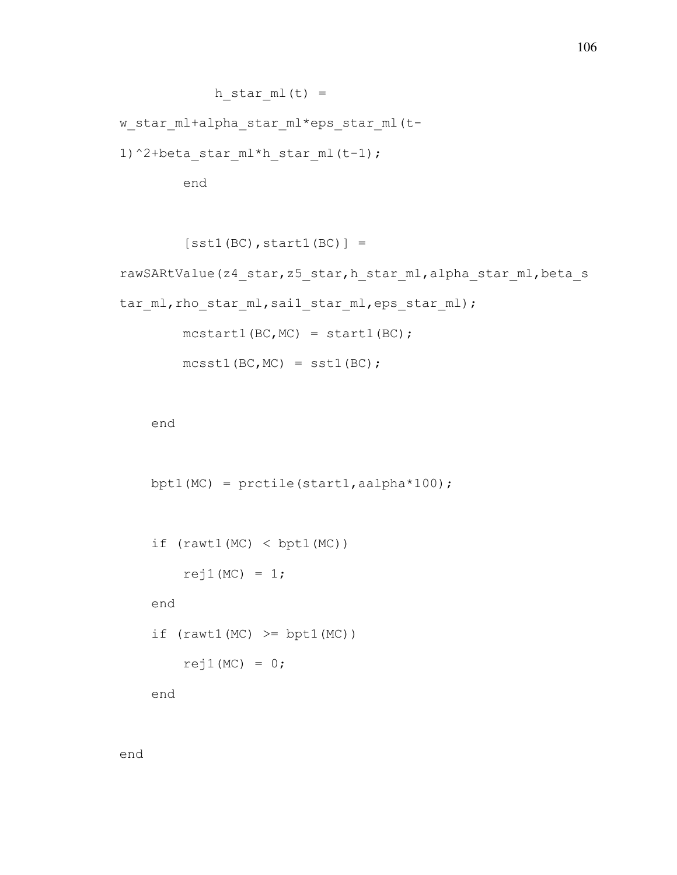```
h star ml(t) =
```
w star ml+alpha star ml\*eps star ml(t-

1)^2+beta star ml\*h star ml(t-1);

end

```
[sst1(BC), start1(BC)] =rawSARtValue(z4_star,z5_star,h_star_ml,alpha_star_ml,beta_s
tar ml, rho star ml, sai1 star ml, eps star ml);
       mcstart1(BC, MC) = start1(BC);mcsst1(BC, MC) = sst1(BC);
```
end

```
bpt1(MC) = prctile(start1, aalpha*100);
```

```
if (rawt1(MC) < bpt1(MC))rej1(MC) = 1; end 
if (rawtl(MC) \geq bptl(MC))rej1(MC) = 0;
```
end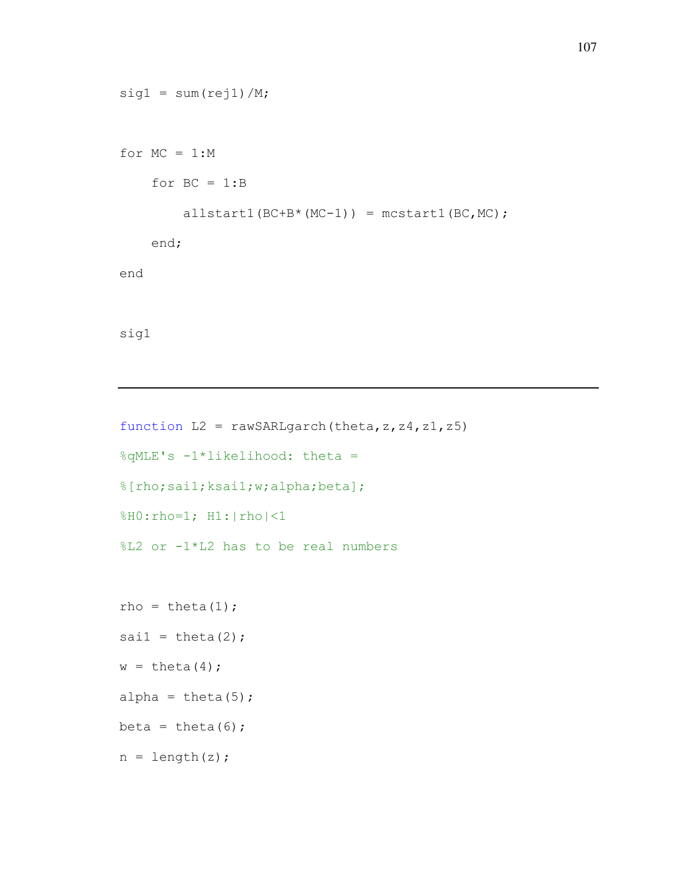```
sig1 = sum(rej1)/M;for MC = 1:Mfor BC = 1:Ballstart1(BC+B*(MC-1)) = mcstart1(BC, MC); end; 
end 
sig1
```

```
function L2 = \text{rawSARLgarch}(\text{theta}, z, z4, z1, z5)%qMLE's -1*likelihood: theta = 
%[rho;sai1;ksai1;w;alpha;beta];
%H0:rho=1; H1:|rho|<1
%L2 or -1*L2 has to be real numbers 
rho = theta(1);
sai1 = \text{theta}(2);
w = \text{theta}(4);
alpha = theta(5);
beta = theta(6);
n = length(z);
```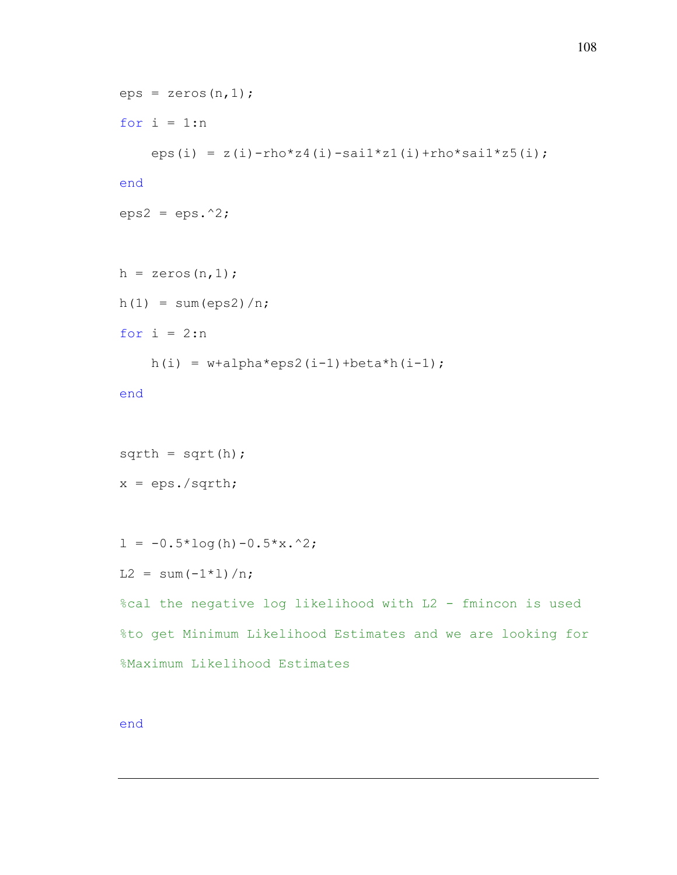```
eps = zeros(n, 1);for i = 1:neps(i) = z(i)-rho*z4(i)-sai1*z1(i)+rho*sai1*z5(i);
end
eps2 =eps.^2;h = zeros(n, 1);
h(1) = sum(eps2)/n;for i = 2:nh(i) = w + \alpha + \alpha \cdot \cos(1 - 1) + \beta \cdot \tan(1 - 1);
end
sqrt{a} = sqrt(h);
x = eps./sqrth;1 = -0.5*log(h) - 0.5*x.^2;L2 = sum(-1*1)/n;%cal the negative log likelihood with L2 - fmincon is used 
%to get Minimum Likelihood Estimates and we are looking for 
%Maximum Likelihood Estimates
```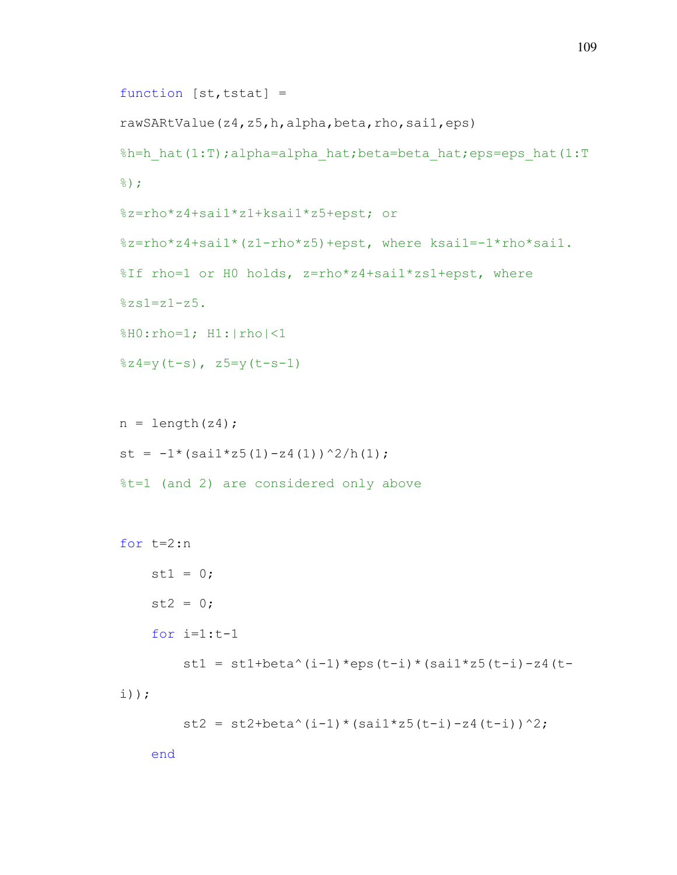```
function [st, tstat] =rawSARtValue(z4,z5,h,alpha,beta,rho,sai1,eps) 
%h=h_hat(1:T);alpha=alpha_hat;beta=beta_hat;eps=eps_hat(1:T
%);
%z=rho*z4+sai1*z1+ksai1*z5+epst; or
%z=rho*z4+sai1*(z1-rho*z5)+epst, where ksai1=-1*rho*sai1.
%If rho=1 or H0 holds, z=rho*z4+sai1*zs1+epst, where 
8zs1=z1-z5.
%H0:rho=1; H1:|rho|<1
\frac{2}{3}z4=y(t-s), z5=y(t-s-1)n = length(24);st = -1*(\text{sail}*z5(1)-z4(1))^2/h(1);%t=1 (and 2) are considered only above 
for t=2:n 
    st1 = 0;st2 = 0;for i=1:t-1st1 = st1+beta^(i-1)*eps(t-i)*(sai1*z5(t-i)-z4(t-
i));
```

```
st2 = st2 + beta^(i-1)*(sail*z5(t-i)-z4(t-i))^2;
```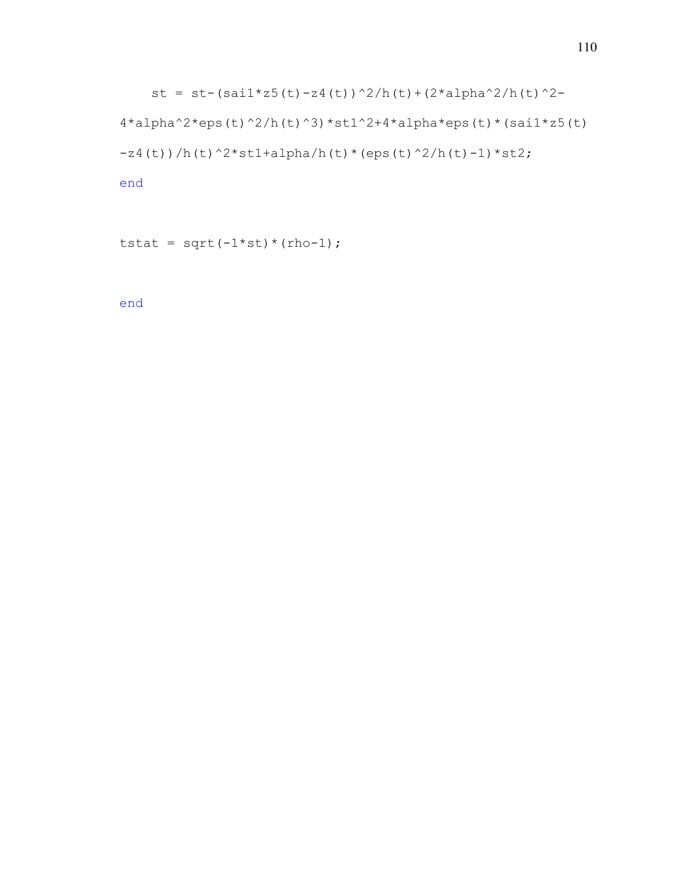```
st = st-(sai1*z5(t)-z4(t))^2/h(t)+(2*alpha^2/h(t)^2-
4*alpha^2*eps(t)^2/h(t)^3)*st1^2+4*alpha*eps(t)*(sail*z5(t))-z4(t))/h(t)^2*st1+alpha/h(t)*(eps(t)^2/h(t)-1)*st2;
```

```
tstat = sqrt(-1 * st) * (rho-1);
```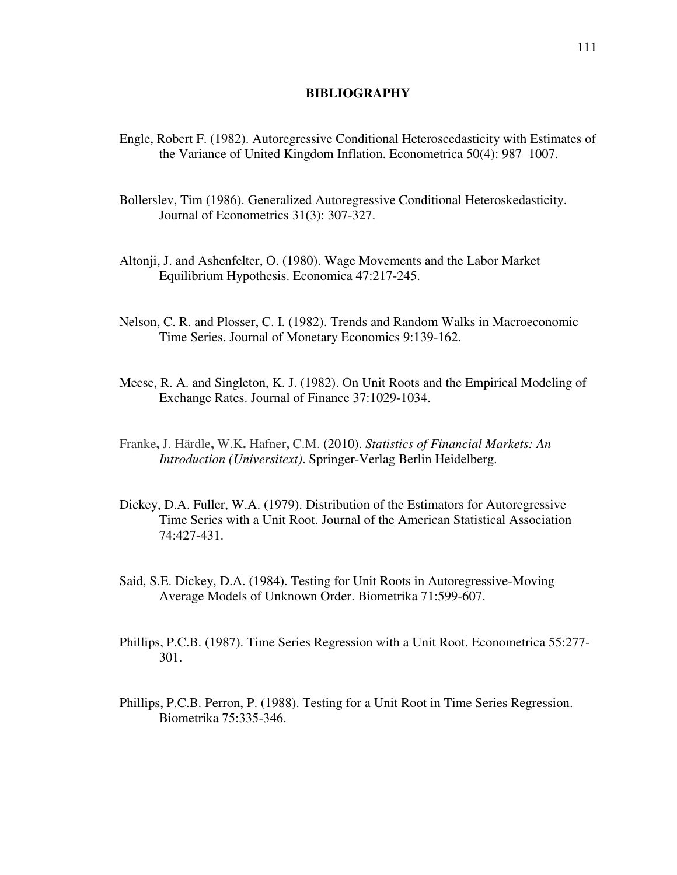## **BIBLIOGRAPHY**

- Engle, Robert F. (1982). Autoregressive Conditional Heteroscedasticity with Estimates of the Variance of United Kingdom Inflation. [Econometrica](https://en.wikipedia.org/wiki/Econometrica) 50(4): 987–1007.
- [Bollerslev, Tim](https://en.wikipedia.org/wiki/Tim_Bollerslev) (1986). Generalized Autoregressive Conditional Heteroskedasticity. [Journal of Econometrics](https://en.wikipedia.org/wiki/Journal_of_Econometrics) 31(3): 307-327.
- Altonji, J. and Ashenfelter, O. (1980). Wage Movements and the Labor Market Equilibrium Hypothesis. Economica 47:217-245.
- Nelson, C. R. and Plosser, C. I. (1982). Trends and Random Walks in Macroeconomic Time Series. Journal of Monetary Economics 9:139-162.
- Meese, R. A. and Singleton, K. J. (1982). On Unit Roots and the Empirical Modeling of Exchange Rates. Journal of Finance 37:1029-1034.
- Franke**,** J. Härdle**,** W.K**.** Hafner**,** C.M. (2010). *Statistics of Financial Markets: An Introduction (Universitext)*. Springer-Verlag Berlin Heidelberg.
- Dickey, D.A. Fuller, W.A. (1979). Distribution of the Estimators for Autoregressive Time Series with a Unit Root. Journal of the American Statistical Association 74:427-431.
- Said, S.E. Dickey, D.A. (1984). Testing for Unit Roots in Autoregressive-Moving Average Models of Unknown Order. Biometrika 71:599-607.
- Phillips, P.C.B. (1987). Time Series Regression with a Unit Root. Econometrica 55:277- 301.
- Phillips, P.C.B. Perron, P. (1988). Testing for a Unit Root in Time Series Regression. Biometrika 75:335-346.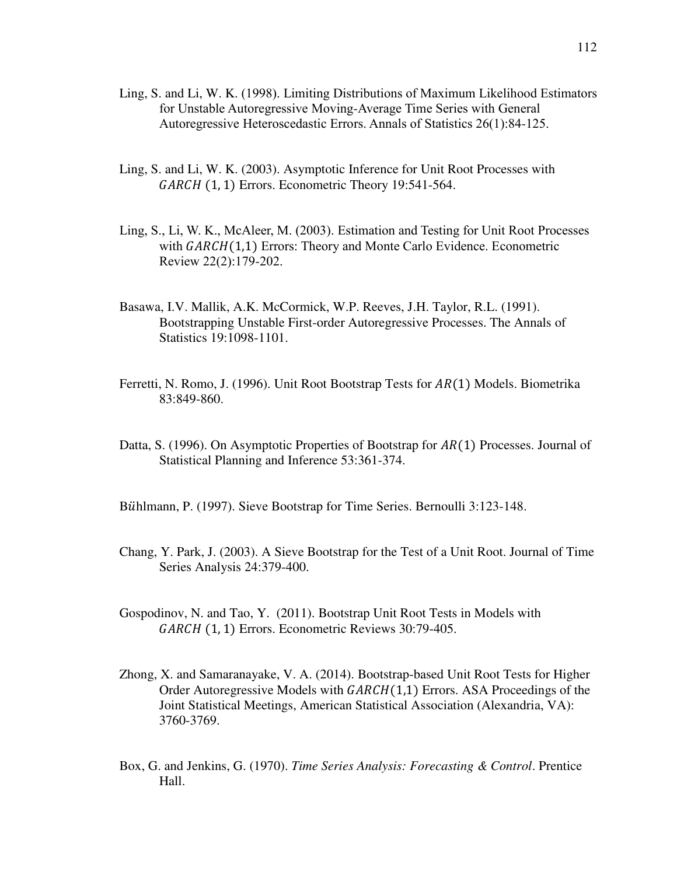- Ling, S. and Li, W. K. (1998). Limiting Distributions of Maximum Likelihood Estimators for Unstable Autoregressive Moving-Average Time Series with General Autoregressive Heteroscedastic Errors. Annals of Statistics 26(1):84-125.
- Ling, S. and Li, W. K. (2003). Asymptotic Inference for Unit Root Processes with  $GARCH$  (1, 1) Errors. Econometric Theory 19:541-564.
- Ling, S., Li, W. K., McAleer, M. (2003). Estimation and Testing for Unit Root Processes with  $GARCH(1,1)$  Errors: Theory and Monte Carlo Evidence. Econometric Review 22(2):179-202.
- Basawa, I.V. Mallik, A.K. McCormick, W.P. Reeves, J.H. Taylor, R.L. (1991). Bootstrapping Unstable First-order Autoregressive Processes. The Annals of Statistics 19:1098-1101.
- Ferretti, N. Romo, J. (1996). Unit Root Bootstrap Tests for  $AR(1)$  Models. Biometrika 83:849-860.
- Datta, S. (1996). On Asymptotic Properties of Bootstrap for  $AR(1)$  Processes. Journal of Statistical Planning and Inference 53:361-374.
- Bühlmann, P. (1997). Sieve Bootstrap for Time Series. Bernoulli 3:123-148.
- Chang, Y. Park, J. (2003). A Sieve Bootstrap for the Test of a Unit Root. Journal of Time Series Analysis 24:379-400.
- Gospodinov, N. and Tao, Y. (2011). Bootstrap Unit Root Tests in Models with  $GARCH$  (1, 1) Errors. Econometric Reviews 30:79-405.
- Zhong, X. and Samaranayake, V. A. (2014). Bootstrap-based Unit Root Tests for Higher Order Autoregressive Models with  $GARCH(1,1)$  Errors. ASA Proceedings of the Joint Statistical Meetings, American Statistical Association (Alexandria, VA): 3760-3769.
- Box, G. and Jenkins, G. (1970). *Time Series Analysis: Forecasting & Control*. Prentice Hall.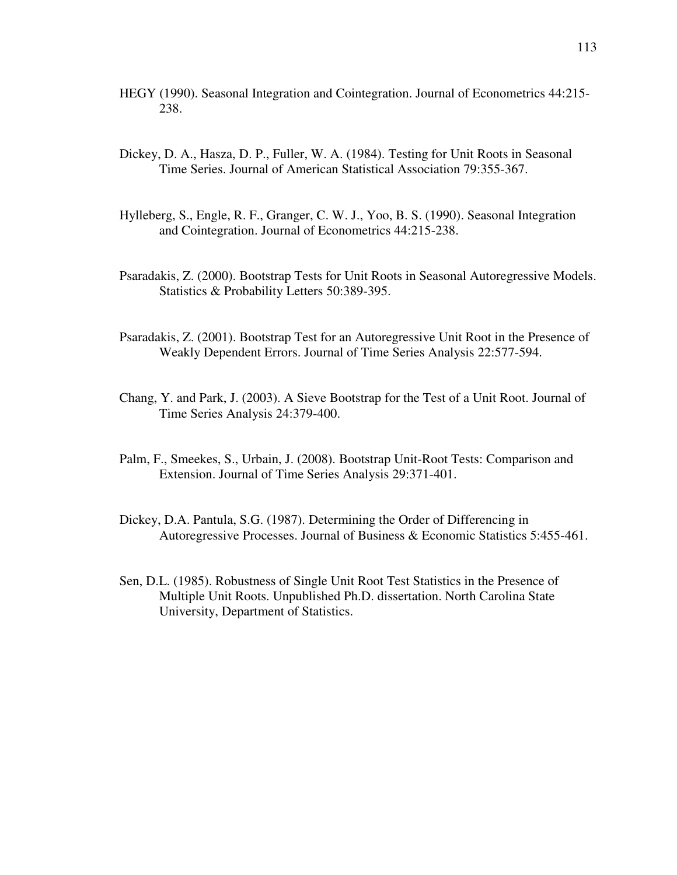- HEGY (1990). Seasonal Integration and Cointegration. Journal of Econometrics 44:215- 238.
- Dickey, D. A., Hasza, D. P., Fuller, W. A. (1984). Testing for Unit Roots in Seasonal Time Series. Journal of American Statistical Association 79:355-367.
- Hylleberg, S., Engle, R. F., Granger, C. W. J., Yoo, B. S. (1990). Seasonal Integration and Cointegration. Journal of Econometrics 44:215-238.
- Psaradakis, Z. (2000). Bootstrap Tests for Unit Roots in Seasonal Autoregressive Models. Statistics & Probability Letters 50:389-395.
- Psaradakis, Z. (2001). Bootstrap Test for an Autoregressive Unit Root in the Presence of Weakly Dependent Errors. Journal of Time Series Analysis 22:577-594.
- Chang, Y. and Park, J. (2003). A Sieve Bootstrap for the Test of a Unit Root. Journal of Time Series Analysis 24:379-400.
- Palm, F., Smeekes, S., Urbain, J. (2008). Bootstrap Unit-Root Tests: Comparison and Extension. Journal of Time Series Analysis 29:371-401.
- Dickey, D.A. Pantula, S.G. (1987). Determining the Order of Differencing in Autoregressive Processes. Journal of Business & Economic Statistics 5:455-461.
- Sen, D.L. (1985). Robustness of Single Unit Root Test Statistics in the Presence of Multiple Unit Roots. Unpublished Ph.D. dissertation. North Carolina State University, Department of Statistics.